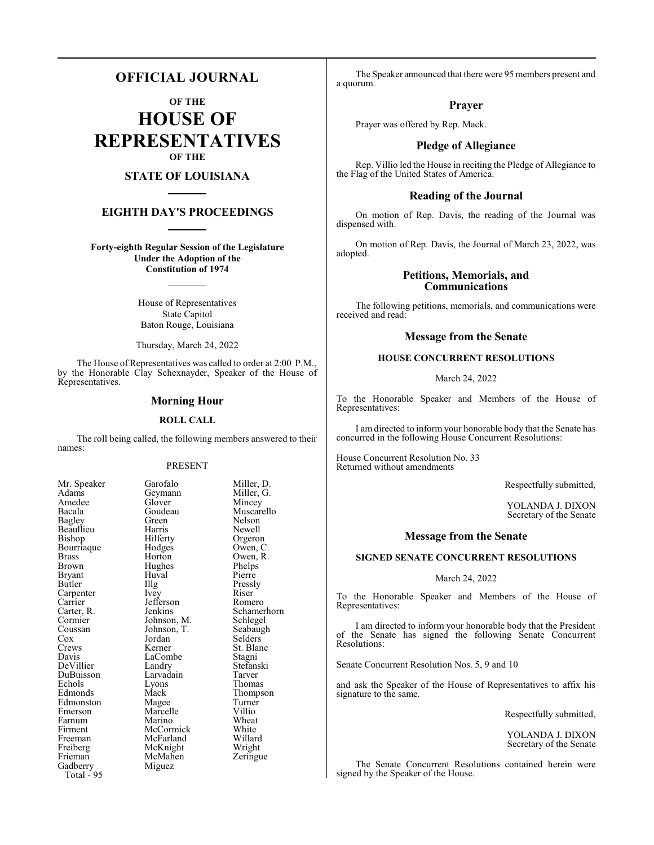### **OFFICIAL JOURNAL**

**OF THE**

**HOUSE OF REPRESENTATIVES OF THE**

#### **STATE OF LOUISIANA**

#### **EIGHTH DAY'S PROCEEDINGS**

**Forty-eighth Regular Session of the Legislature Under the Adoption of the Constitution of 1974**

> House of Representatives State Capitol Baton Rouge, Louisiana

Thursday, March 24, 2022

The House of Representatives was called to order at 2:00 P.M., by the Honorable Clay Schexnayder, Speaker of the House of Representatives.

#### **Morning Hour**

#### **ROLL CALL**

The roll being called, the following members answered to their names:

#### PRESENT

Huval<br>Illg

Miguez

| Mr. Speaker                      |
|----------------------------------|
| Adams                            |
| Amedee                           |
| Bacala                           |
| Bagley                           |
| Beaullieu                        |
| Bishop                           |
| Bourriaque                       |
| <b>Brass</b>                     |
| <b>Brown</b>                     |
| <b>Bryant</b>                    |
| <b>Butler</b>                    |
| Carpenter                        |
| Carrier<br>Carrier<br>Carter, R. |
|                                  |
| Cormier                          |
| Coussan                          |
| $\overline{C}$ ox                |
| Crews                            |
| Davis                            |
| DeVillier                        |
| <b>DuBuisson</b>                 |
| Echols                           |
| Edmonds                          |
| Edmonston                        |
| Emerson                          |
| Farnum                           |
| Firment                          |
| Freeman                          |
| Freiberg                         |
| Frieman                          |
| Frie<br>Gadberry<br>195          |
|                                  |

Garofalo Miller, D.<br>Geymann Miller, G. Geymann<br>Glover Glover Mincey<br>Goudeau Muscare Goudeau Muscarello<br>Green Nelson Green Nelson<br>Harris Newell Harris Newell<br>Hilferty Orgeror Hilferty Orgeron<br>Hodges Owen, C Hodges Owen, C.<br>Horton Owen, R. Owen, R.<br>Phelps Hughes Phelps<br>Huval Pierre Illg Pressly<br>Ivey Riser Carpenter Ivey Riser Jefferson Romero<br>Jenkins Schamer Schamerhorn<br>Schlegel Johnson, M. Schlegel<br>Johnson, T. Seabaugh Johnson, T.<br>Jordan Jordan Selders<br>Kerner St. Blan St. Blanc<br>Stagni LaCombe<br>Landry Stefanski<br>Tarver Larvadain<br>Lyons Extends Lyons Thomas<br>
Mack Thomps Thompson<br>Turner Magee Turner<br>
Marcelle Villio Marcelle Villio<br>
Marino Wheat Marino Wheat<br>
McCormick White McCormick White<br>
McFarland Willard McFarland Willard<br>
McKnight Wright McKnight Wright<br>
McMahen Zeringue McMahen

The Speaker announced that there were 95 members present and a quorum.

#### **Prayer**

Prayer was offered by Rep. Mack.

#### **Pledge of Allegiance**

Rep. Villio led the House in reciting the Pledge of Allegiance to the Flag of the United States of America.

#### **Reading of the Journal**

On motion of Rep. Davis, the reading of the Journal was dispensed with.

On motion of Rep. Davis, the Journal of March 23, 2022, was adopted.

#### **Petitions, Memorials, and Communications**

The following petitions, memorials, and communications were received and read:

#### **Message from the Senate**

#### **HOUSE CONCURRENT RESOLUTIONS**

March 24, 2022

To the Honorable Speaker and Members of the House of Representatives:

I am directed to inform your honorable body that the Senate has concurred in the following House Concurrent Resolutions:

House Concurrent Resolution No. 33 Returned without amendments

Respectfully submitted,

YOLANDA J. DIXON Secretary of the Senate

#### **Message from the Senate**

#### **SIGNED SENATE CONCURRENT RESOLUTIONS**

#### March 24, 2022

To the Honorable Speaker and Members of the House of Representatives:

I am directed to inform your honorable body that the President of the Senate has signed the following Senate Concurrent Resolutions:

Senate Concurrent Resolution Nos. 5, 9 and 10

and ask the Speaker of the House of Representatives to affix his signature to the same.

Respectfully submitted,

YOLANDA J. DIXON Secretary of the Senate

The Senate Concurrent Resolutions contained herein were signed by the Speaker of the House.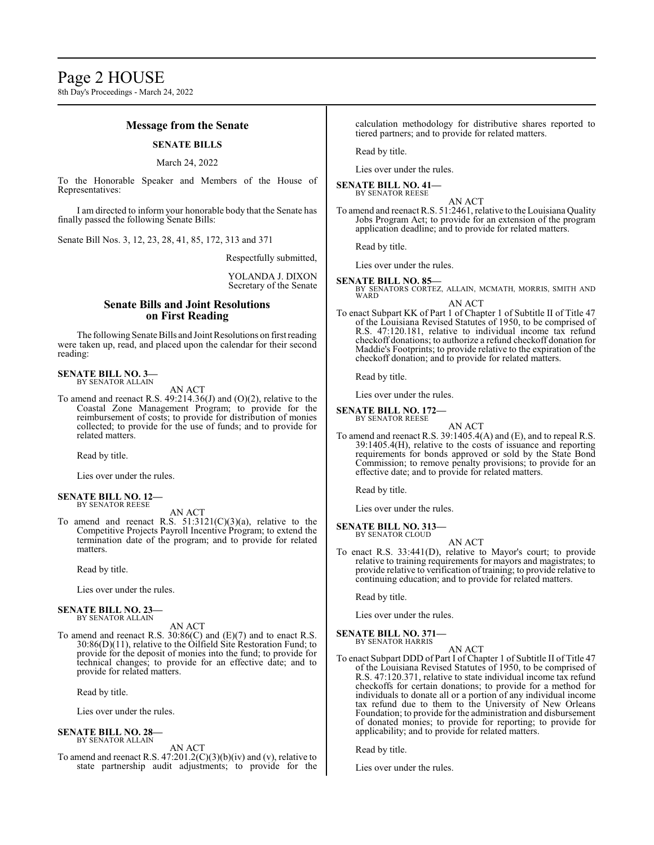#### **Message from the Senate**

#### **SENATE BILLS**

#### March 24, 2022

To the Honorable Speaker and Members of the House of Representatives:

I am directed to inform your honorable body that the Senate has finally passed the following Senate Bills:

Senate Bill Nos. 3, 12, 23, 28, 41, 85, 172, 313 and 371

Respectfully submitted,

#### YOLANDA J. DIXON Secretary of the Senate

#### **Senate Bills and Joint Resolutions on First Reading**

The following Senate Bills and Joint Resolutions on first reading were taken up, read, and placed upon the calendar for their second reading:

**SENATE BILL NO. 3—** BY SENATOR ALLAIN

AN ACT

To amend and reenact R.S. 49:214.36(J) and (O)(2), relative to the Coastal Zone Management Program; to provide for the reimbursement of costs; to provide for distribution of monies collected; to provide for the use of funds; and to provide for related matters.

Read by title.

Lies over under the rules.

#### **SENATE BILL NO. 12—** BY SENATOR REESE

AN ACT

To amend and reenact R.S. 51:3121(C)(3)(a), relative to the Competitive Projects Payroll Incentive Program; to extend the termination date of the program; and to provide for related matters.

Read by title.

Lies over under the rules.

#### **SENATE BILL NO. 23—** BY SENATOR ALLAIN

AN ACT

To amend and reenact R.S. 30:86(C) and (E)(7) and to enact R.S. 30:86(D)(11), relative to the Oilfield Site Restoration Fund; to provide for the deposit of monies into the fund; to provide for technical changes; to provide for an effective date; and to provide for related matters.

Read by title.

Lies over under the rules.

#### **SENATE BILL NO. 28—** BY SENATOR ALLAIN

AN ACT

To amend and reenact R.S. 47:201.2(C)(3)(b)(iv) and (v), relative to state partnership audit adjustments; to provide for the calculation methodology for distributive shares reported to tiered partners; and to provide for related matters.

Read by title.

Lies over under the rules.

#### **SENATE BILL NO. 41—** BY SENATOR REESE

AN ACT

To amend and reenact R.S. 51:2461, relative to the Louisiana Quality Jobs Program Act; to provide for an extension of the program application deadline; and to provide for related matters.

Read by title.

Lies over under the rules.

#### **SENATE BILL NO. 85—**

- BY SENATORS CORTEZ, ALLAIN, MCMATH, MORRIS, SMITH AND WARD AN ACT
- To enact Subpart KK of Part 1 of Chapter 1 of Subtitle II of Title 47 of the Louisiana Revised Statutes of 1950, to be comprised of R.S. 47:120.181, relative to individual income tax refund checkoff donations; to authorize a refund checkoff donation for Maddie's Footprints; to provide relative to the expiration of the checkoff donation; and to provide for related matters.

Read by title.

Lies over under the rules.

**SENATE BILL NO. 172—** BY SENATOR REESE

AN ACT

To amend and reenact R.S. 39:1405.4(A) and (E), and to repeal R.S. 39:1405.4(H), relative to the costs of issuance and reporting requirements for bonds approved or sold by the State Bond Commission; to remove penalty provisions; to provide for an effective date; and to provide for related matters.

Read by title.

Lies over under the rules.

**SENATE BILL NO. 313—** BY SENATOR CLOUD

- AN ACT
- To enact R.S. 33:441(D), relative to Mayor's court; to provide relative to training requirements for mayors and magistrates; to provide relative to verification of training; to provide relative to continuing education; and to provide for related matters.

Read by title.

Lies over under the rules.

#### **SENATE BILL NO. 371—** BY SENATOR HARRIS

AN ACT

To enact Subpart DDD of Part I of Chapter 1 of Subtitle II of Title 47 of the Louisiana Revised Statutes of 1950, to be comprised of R.S. 47:120.371, relative to state individual income tax refund checkoffs for certain donations; to provide for a method for individuals to donate all or a portion of any individual income tax refund due to them to the University of New Orleans Foundation; to provide for the administration and disbursement of donated monies; to provide for reporting; to provide for applicability; and to provide for related matters.

Read by title.

Lies over under the rules.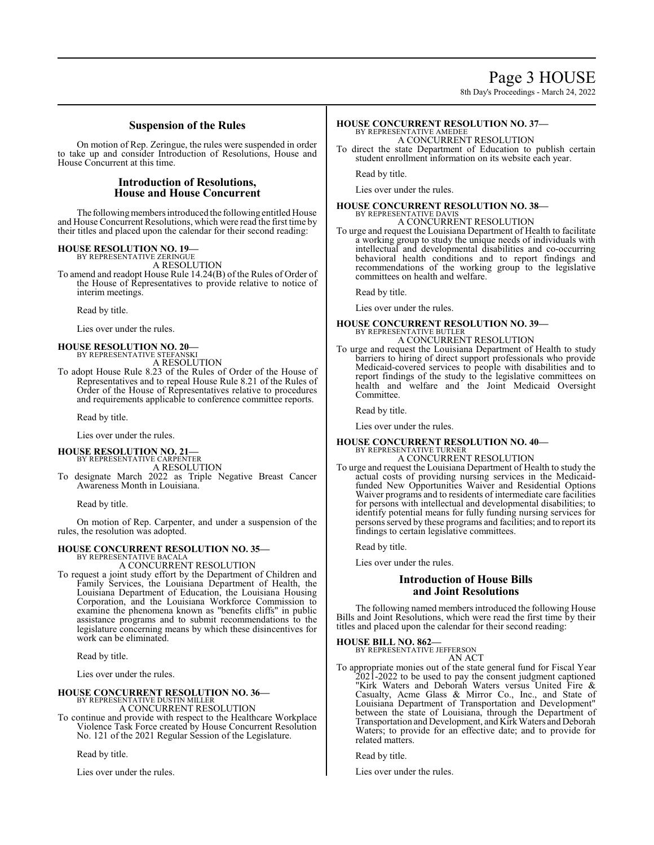8th Day's Proceedings - March 24, 2022

#### **Suspension of the Rules**

On motion of Rep. Zeringue, the rules were suspended in order to take up and consider Introduction of Resolutions, House and House Concurrent at this time.

#### **Introduction of Resolutions, House and House Concurrent**

The following members introduced the following entitled House and House Concurrent Resolutions, which were read the first time by their titles and placed upon the calendar for their second reading:

**HOUSE RESOLUTION NO. 19—** BY REPRESENTATIVE ZERINGUE

A RESOLUTION

To amend and readopt House Rule 14.24(B) of the Rules of Order of the House of Representatives to provide relative to notice of interim meetings.

Read by title.

Lies over under the rules.

### **HOUSE RESOLUTION NO. 20—** BY REPRESENTATIVE STEFANSKI A RESOLUTION

To adopt House Rule 8.23 of the Rules of Order of the House of Representatives and to repeal House Rule 8.21 of the Rules of Order of the House of Representatives relative to procedures and requirements applicable to conference committee reports.

Read by title.

Lies over under the rules.

**HOUSE RESOLUTION NO. 21—** BY REPRESENTATIVE CARPENTER

A RESOLUTION

To designate March 2022 as Triple Negative Breast Cancer Awareness Month in Louisiana.

Read by title.

On motion of Rep. Carpenter, and under a suspension of the rules, the resolution was adopted.

#### **HOUSE CONCURRENT RESOLUTION NO. 35—**

BY REPRESENTATIVE BACALA A CONCURRENT RESOLUTION

To request a joint study effort by the Department of Children and Family Services, the Louisiana Department of Health, the Louisiana Department of Education, the Louisiana Housing Corporation, and the Louisiana Workforce Commission to examine the phenomena known as "benefits cliffs" in public assistance programs and to submit recommendations to the legislature concerning means by which these disincentives for work can be eliminated.

Read by title.

Lies over under the rules.

#### **HOUSE CONCURRENT RESOLUTION NO. 36—** BY REPRESENTATIVE DUSTIN MILLER

A CONCURRENT RESOLUTION

To continue and provide with respect to the Healthcare Workplace Violence Task Force created by House Concurrent Resolution No. 121 of the 2021 Regular Session of the Legislature.

Read by title.

Lies over under the rules.

#### **HOUSE CONCURRENT RESOLUTION NO. 37—** BY REPRESENTATIVE AMEDEE

A CONCURRENT RESOLUTION To direct the state Department of Education to publish certain

student enrollment information on its website each year.

Read by title.

Lies over under the rules.

#### **HOUSE CONCURRENT RESOLUTION NO. 38—** BY REPRESENTATIVE DAVIS

A CONCURRENT RESOLUTION

To urge and request the Louisiana Department of Health to facilitate a working group to study the unique needs of individuals with intellectual and developmental disabilities and co-occurring behavioral health conditions and to report findings and recommendations of the working group to the legislative committees on health and welfare.

Read by title.

Lies over under the rules.

#### **HOUSE CONCURRENT RESOLUTION NO. 39—** BY REPRESENTATIVE BUTLER A CONCURRENT RESOLUTION

To urge and request the Louisiana Department of Health to study barriers to hiring of direct support professionals who provide Medicaid-covered services to people with disabilities and to report findings of the study to the legislative committees on health and welfare and the Joint Medicaid Oversight Committee.

Read by title.

Lies over under the rules.

#### **HOUSE CONCURRENT RESOLUTION NO. 40—** BY REPRESENTATIVE TURNER

A CONCURRENT RESOLUTION

To urge and request the Louisiana Department of Health to study the actual costs of providing nursing services in the Medicaidfunded New Opportunities Waiver and Residential Options Waiver programs and to residents of intermediate care facilities for persons with intellectual and developmental disabilities; to identify potential means for fully funding nursing services for persons served by these programs and facilities; and to report its findings to certain legislative committees.

Read by title.

Lies over under the rules.

### **Introduction of House Bills and Joint Resolutions**

The following named members introduced the following House Bills and Joint Resolutions, which were read the first time by their titles and placed upon the calendar for their second reading:

#### **HOUSE BILL NO. 862—**

BY REPRESENTATIVE JEFFERSON AN ACT

To appropriate monies out of the state general fund for Fiscal Year 2021-2022 to be used to pay the consent judgment captioned "Kirk Waters and Deborah Waters versus United Fire & Casualty, Acme Glass & Mirror Co., Inc., and State of Louisiana Department of Transportation and Development" between the state of Louisiana, through the Department of Transportation and Development, and Kirk Waters and Deborah Waters; to provide for an effective date; and to provide for related matters.

Read by title.

Lies over under the rules.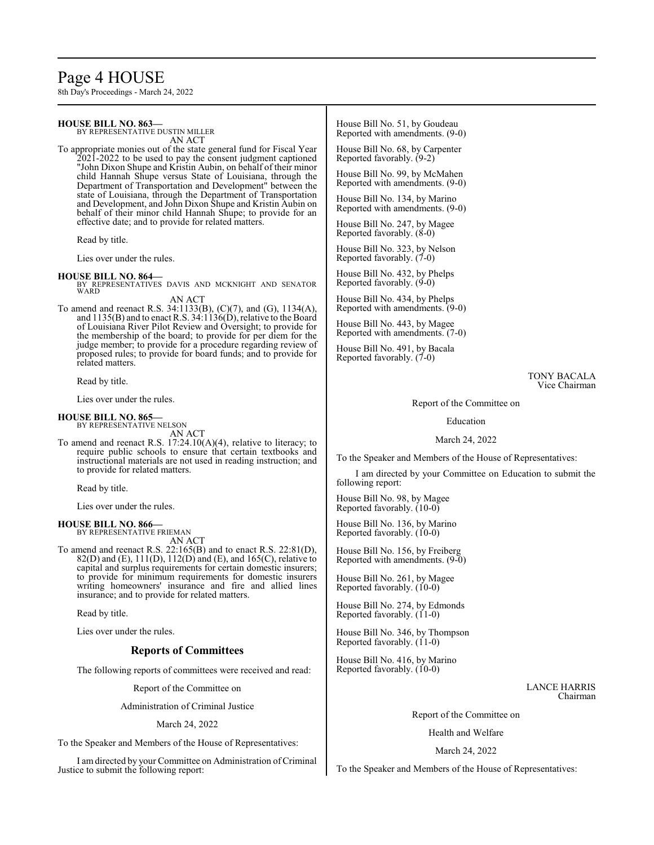## Page 4 HOUSE

8th Day's Proceedings - March 24, 2022

| <b>HOUSE BILL NO. 863-</b><br>BY REPRESENTATIVE DUSTIN MILLER<br>AN ACT                                                                                                                          | House Bill No. 51, by Goudeau<br>Reported with amendments. (9-0) |
|--------------------------------------------------------------------------------------------------------------------------------------------------------------------------------------------------|------------------------------------------------------------------|
| To appropriate monies out of the state general fund for Fiscal Year<br>$2021-2022$ to be used to pay the consent judgment captioned                                                              | House Bill No. 68, by Carpenter<br>Reported favorably. (9-2)     |
| "John Dixon Shupe and Kristin Aubin, on behalf of their minor<br>child Hannah Shupe versus State of Louisiana, through the<br>Department of Transportation and Development" between the          | House Bill No. 99, by McMahen<br>Reported with amendments. (9-0) |
| state of Louisiana, through the Department of Transportation<br>and Development, and John Dixon Shupe and Kristin Aubin on<br>behalf of their minor child Hannah Shupe; to provide for an        | House Bill No. 134, by Marino<br>Reported with amendments. (9-0) |
| effective date; and to provide for related matters.<br>Read by title.                                                                                                                            | House Bill No. 247, by Magee<br>Reported favorably. $(8-0)$      |
| Lies over under the rules.                                                                                                                                                                       | House Bill No. 323, by Nelson<br>Reported favorably. (7-0)       |
| <b>HOUSE BILL NO. 864-</b><br>BY REPRESENTATIVES DAVIS AND MCKNIGHT AND SENATOR<br>WARD                                                                                                          | House Bill No. 432, by Phelps<br>Reported favorably. (9-0)       |
| AN ACT<br>To amend and reenact R.S. 34:1133(B), (C)(7), and (G), 1134(A),                                                                                                                        | House Bill No. 434, by Phelps<br>Reported with amendments. (9-0) |
| and 1135(B) and to enact R.S. 34:1136(D), relative to the Board<br>of Louisiana River Pilot Review and Oversight; to provide for<br>the membership of the board; to provide for per diem for the | House Bill No. 443, by Magee<br>Reported with amendments. (7-0)  |
| judge member; to provide for a procedure regarding review of<br>proposed rules; to provide for board funds; and to provide for<br>related matters.                                               | House Bill No. 491, by Bacala<br>Reported favorably. (7-0)       |
| Read by title.                                                                                                                                                                                   | TONY BACALA<br>Vice Chairman                                     |
| Lies over under the rules.                                                                                                                                                                       | Report of the Committee on                                       |
| <b>HOUSE BILL NO. 865-</b><br>BY REPRESENTATIVE NELSON                                                                                                                                           | Education                                                        |
| AN ACT<br>To amend and reenact R.S. $17:24.10(A)(4)$ , relative to literacy; to<br>$11'$ and $11'$                                                                                               | March 24, 2022                                                   |

require public schools to ensure that certain textbooks and instructional materials are not used in reading instruction; and to provide for related matters.

Read by title.

Lies over under the rules.

#### **HOUSE BILL NO. 866—** BY REPRESENTATIVE FRIEMAN

AN ACT To amend and reenact R.S. 22:165(B) and to enact R.S. 22:81(D), 82(D) and (E), 111(D), 112(D) and (E), and 165(C), relative to capital and surplus requirements for certain domestic insurers; to provide for minimum requirements for domestic insurers writing homeowners' insurance and fire and allied lines insurance; and to provide for related matters.

Read by title.

Lies over under the rules.

#### **Reports of Committees**

The following reports of committees were received and read:

Report of the Committee on

Administration of Criminal Justice

March 24, 2022

To the Speaker and Members of the House of Representatives:

I amdirected by your Committee on Administration ofCriminal Justice to submit the following report:

To the Speaker and Members of the House of Representatives:

I am directed by your Committee on Education to submit the following report:

House Bill No. 98, by Magee Reported favorably. (10-0)

House Bill No. 136, by Marino Reported favorably. (10-0)

House Bill No. 156, by Freiberg Reported with amendments. (9-0)

House Bill No. 261, by Magee Reported favorably. (10-0)

House Bill No. 274, by Edmonds Reported favorably. (11-0)

House Bill No. 346, by Thompson Reported favorably. (11-0)

House Bill No. 416, by Marino Reported favorably. (10-0)

> LANCE HARRIS Chairman

Report of the Committee on

Health and Welfare

March 24, 2022

To the Speaker and Members of the House of Representatives: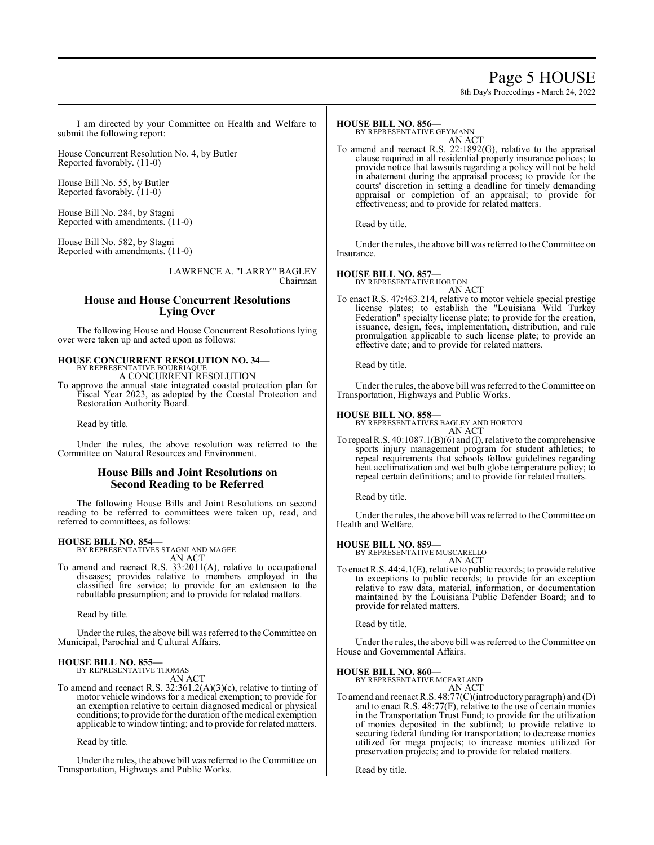### Page 5 HOUSE

8th Day's Proceedings - March 24, 2022

I am directed by your Committee on Health and Welfare to submit the following report:

House Concurrent Resolution No. 4, by Butler Reported favorably. (11-0)

House Bill No. 55, by Butler Reported favorably. (11-0)

House Bill No. 284, by Stagni Reported with amendments. (11-0)

House Bill No. 582, by Stagni Reported with amendments. (11-0)

> LAWRENCE A. "LARRY" BAGLEY Chairman

#### **House and House Concurrent Resolutions Lying Over**

The following House and House Concurrent Resolutions lying over were taken up and acted upon as follows:

#### **HOUSE CONCURRENT RESOLUTION NO. 34—** BY REPRESENTATIVE BOURRIAQUE

A CONCURRENT RESOLUTION

To approve the annual state integrated coastal protection plan for Fiscal Year 2023, as adopted by the Coastal Protection and Restoration Authority Board.

Read by title.

Under the rules, the above resolution was referred to the Committee on Natural Resources and Environment.

### **House Bills and Joint Resolutions on Second Reading to be Referred**

The following House Bills and Joint Resolutions on second reading to be referred to committees were taken up, read, and referred to committees, as follows:

#### **HOUSE BILL NO. 854—**

BY REPRESENTATIVES STAGNI AND MAGEE AN ACT

To amend and reenact R.S. 33:2011(A), relative to occupational diseases; provides relative to members employed in the classified fire service; to provide for an extension to the rebuttable presumption; and to provide for related matters.

Read by title.

Under the rules, the above bill was referred to the Committee on Municipal, Parochial and Cultural Affairs.

### **HOUSE BILL NO. 855—** BY REPRESENTATIVE THOMAS

AN ACT

To amend and reenact R.S. 32:361.2(A)(3)(c), relative to tinting of motor vehicle windows for a medical exemption; to provide for an exemption relative to certain diagnosed medical or physical conditions; to provide for the duration of the medical exemption applicable to window tinting; and to provide for related matters.

Read by title.

Under the rules, the above bill was referred to the Committee on Transportation, Highways and Public Works.

#### **HOUSE BILL NO. 856—**

BY REPRESENTATIVE GEYMANN

AN ACT To amend and reenact R.S. 22:1892(G), relative to the appraisal clause required in all residential property insurance polices; to provide notice that lawsuits regarding a policy will not be held in abatement during the appraisal process; to provide for the courts' discretion in setting a deadline for timely demanding appraisal or completion of an appraisal; to provide for effectiveness; and to provide for related matters.

Read by title.

Under the rules, the above bill was referred to the Committee on Insurance.

#### **HOUSE BILL NO. 857—**

BY REPRESENTATIVE HORTON AN ACT

To enact R.S. 47:463.214, relative to motor vehicle special prestige license plates; to establish the "Louisiana Wild Turkey Federation" specialty license plate; to provide for the creation, issuance, design, fees, implementation, distribution, and rule promulgation applicable to such license plate; to provide an effective date; and to provide for related matters.

Read by title.

Under the rules, the above bill was referred to the Committee on Transportation, Highways and Public Works.

**HOUSE BILL NO. 858—** BY REPRESENTATIVES BAGLEY AND HORTON AN ACT

To repeal R.S. 40:1087.1(B)(6) and (I), relative to the comprehensive sports injury management program for student athletics; to repeal requirements that schools follow guidelines regarding heat acclimatization and wet bulb globe temperature policy; to repeal certain definitions; and to provide for related matters.

Read by title.

Under the rules, the above bill was referred to the Committee on Health and Welfare.

#### **HOUSE BILL NO. 859—**

BY REPRESENTATIVE MUSCARELLO AN ACT

To enact R.S. 44:4.1(E), relative to public records; to provide relative to exceptions to public records; to provide for an exception relative to raw data, material, information, or documentation maintained by the Louisiana Public Defender Board; and to provide for related matters.

Read by title.

Under the rules, the above bill was referred to the Committee on House and Governmental Affairs.

#### **HOUSE BILL NO. 860—**

BY REPRESENTATIVE MCFARLAND

AN ACT

To amend and reenact R.S. 48:77(C)(introductoryparagraph) and (D) and to enact R.S. 48:77(F), relative to the use of certain monies in the Transportation Trust Fund; to provide for the utilization of monies deposited in the subfund; to provide relative to securing federal funding for transportation; to decrease monies utilized for mega projects; to increase monies utilized for preservation projects; and to provide for related matters.

Read by title.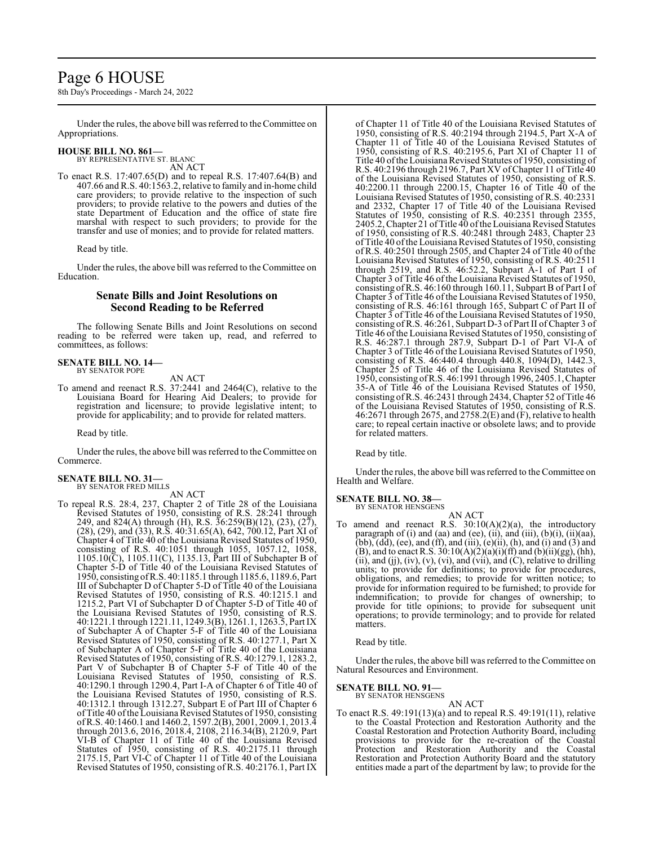### Page 6 HOUSE

8th Day's Proceedings - March 24, 2022

Under the rules, the above bill was referred to the Committee on Appropriations.

# **HOUSE BILL NO. 861—** BY REPRESENTATIVE ST. BLANC AN ACT

To enact R.S. 17:407.65(D) and to repeal R.S. 17:407.64(B) and 407.66 and R.S. 40:1563.2, relative to family and in-home child care providers; to provide relative to the inspection of such providers; to provide relative to the powers and duties of the state Department of Education and the office of state fire marshal with respect to such providers; to provide for the transfer and use of monies; and to provide for related matters.

Read by title.

Under the rules, the above bill was referred to the Committee on Education.

#### **Senate Bills and Joint Resolutions on Second Reading to be Referred**

The following Senate Bills and Joint Resolutions on second reading to be referred were taken up, read, and referred to committees, as follows:

#### **SENATE BILL NO. 14—** BY SENATOR POPE

AN ACT

To amend and reenact R.S. 37:2441 and 2464(C), relative to the Louisiana Board for Hearing Aid Dealers; to provide for registration and licensure; to provide legislative intent; to provide for applicability; and to provide for related matters.

Read by title.

Under the rules, the above bill was referred to theCommittee on Commerce.

#### **SENATE BILL NO. 31—** BY SENATOR FRED MILLS

AN ACT

To repeal R.S. 28:4, 237, Chapter 2 of Title 28 of the Louisiana Revised Statutes of 1950, consisting of R.S. 28:241 through 249, and 824(A) through (H), R.S. 36:259(B)(12), (23), (27), (28), (29), and (33), R.S. 40:31.65(A), 642, 700.12, Part XI of Chapter 4 of Title 40 of the Louisiana Revised Statutes of 1950, consisting of R.S. 40:1051 through 1055, 1057.12, 1058, 1105.10(C), 1105.11(C), 1135.13, Part III of Subchapter B of Chapter 5-D of Title 40 of the Louisiana Revised Statutes of 1950, consisting ofR.S. 40:1185.1 through 1185.6, 1189.6, Part III of Subchapter D of Chapter 5-D of Title 40 of the Louisiana Revised Statutes of 1950, consisting of R.S. 40:1215.1 and 1215.2, Part VI of Subchapter D of Chapter 5-D of Title 40 of the Louisiana Revised Statutes of 1950, consisting of R.S. 40:1221.1 through 1221.11, 1249.3(B), 1261.1, 1263.5, Part IX of Subchapter  $\overline{A}$  of Chapter 5-F of Title 40 of the Louisiana Revised Statutes of 1950, consisting of R.S. 40:1277.1, Part X of Subchapter A of Chapter 5-F of Title 40 of the Louisiana Revised Statutes of 1950, consisting of R.S. 40:1279.1, 1283.2, Part V of Subchapter B of Chapter 5-F of Title 40 of the Louisiana Revised Statutes of 1950, consisting of R.S. 40:1290.1 through 1290.4, Part I-A of Chapter 6 of Title 40 of the Louisiana Revised Statutes of 1950, consisting of R.S. 40:1312.1 through 1312.27, Subpart E of Part III of Chapter 6 of Title 40 ofthe Louisiana Revised Statutes of 1950, consisting ofR.S. 40:1460.1 and 1460.2, 1597.2(B), 2001, 2009.1, 2013.4 through 2013.6, 2016, 2018.4, 2108, 2116.34(B), 2120.9, Part VI-B of Chapter 11 of Title 40 of the Louisiana Revised Statutes of 1950, consisting of R.S. 40:2175.11 through 2175.15, Part VI-C of Chapter 11 of Title 40 of the Louisiana Revised Statutes of 1950, consisting of R.S. 40:2176.1, Part IX

of Chapter 11 of Title 40 of the Louisiana Revised Statutes of 1950, consisting of R.S. 40:2194 through 2194.5, Part X-A of Chapter 11 of Title 40 of the Louisiana Revised Statutes of 1950, consisting of R.S. 40:2195.6, Part XI of Chapter 11 of Title 40 oftheLouisiana Revised Statutes of 1950, consisting of R.S. 40:2196 through 2196.7, Part XV ofChapter 11 of Title 40 of the Louisiana Revised Statutes of 1950, consisting of R.S. 40:2200.11 through 2200.15, Chapter 16 of Title 40 of the Louisiana Revised Statutes of 1950, consisting of R.S. 40:2331 and 2332, Chapter 17 of Title 40 of the Louisiana Revised Statutes of 1950, consisting of R.S. 40:2351 through 2355, 2405.2, Chapter 21 ofTitle 40 ofthe Louisiana Revised Statutes of 1950, consisting of R.S. 40:2481 through 2483, Chapter 23 of Title 40 of the Louisiana Revised Statutes of 1950, consisting of R.S. 40:2501 through 2505, and Chapter 24 of Title 40 of the Louisiana Revised Statutes of 1950, consisting of R.S. 40:2511 through 2519, and R.S. 46:52.2, Subpart A-1 of Part I of Chapter 3 of Title 46 of the Louisiana Revised Statutes of 1950, consisting ofR.S. 46:160 through 160.11, Subpart B of Part I of Chapter 3 of Title 46 of the Louisiana Revised Statutes of 1950, consisting of R.S. 46:161 through 165, Subpart C of Part II of Chapter 3 of Title 46 of the Louisiana Revised Statutes of 1950, consisting of R.S. 46:261, Subpart D-3 of Part II of Chapter 3 of Title 46 ofthe Louisiana Revised Statutes of 1950, consisting of R.S. 46:287.1 through 287.9, Subpart D-1 of Part VI-A of Chapter 3 of Title 46 of the Louisiana Revised Statutes of 1950, consisting of R.S. 46:440.4 through 440.8, 1094(D), 1442.3, Chapter 25 of Title 46 of the Louisiana Revised Statutes of 1950, consisting ofR.S. 46:1991 through 1996, 2405.1,Chapter 35-A of Title 46 of the Louisiana Revised Statutes of 1950, consisting ofR.S. 46:2431 through 2434, Chapter 52 of Title 46 of the Louisiana Revised Statutes of 1950, consisting of R.S. 46:2671 through 2675, and 2758.2(E) and (F), relative to health care; to repeal certain inactive or obsolete laws; and to provide for related matters.

Read by title.

Under the rules, the above bill was referred to the Committee on Health and Welfare.

#### **SENATE BILL NO. 38—** BY SENATOR HENSGENS

AN ACT To amend and reenact R.S.  $30:10(A)(2)(a)$ , the introductory paragraph of (i) and (aa) and (ee), (ii), and (iii), (b)(i), (ii)(aa), (bb), (dd), (ee), and (ff), and (iii), (e)(ii), (h), and (i) and (3) and (B), and to enact R.S.  $30:10(A)(2)(a)(i)(ff)$  and  $(b)(ii)(gg)$ , (hh), (ii), and (ji), (iv), (v), (vi), and (vii), and  $(C)$ , relative to drilling units; to provide for definitions; to provide for procedures, obligations, and remedies; to provide for written notice; to provide for information required to be furnished; to provide for indemnification; to provide for changes of ownership; to provide for title opinions; to provide for subsequent unit operations; to provide terminology; and to provide for related matters.

Read by title.

Under the rules, the above bill was referred to the Committee on Natural Resources and Environment.

#### **SENATE BILL NO. 91—**

BY SENATOR HENSGENS AN ACT

To enact R.S. 49:191(13)(a) and to repeal R.S. 49:191(11), relative to the Coastal Protection and Restoration Authority and the Coastal Restoration and Protection Authority Board, including provisions to provide for the re-creation of the Coastal Protection and Restoration Authority and the Coastal Restoration and Protection Authority Board and the statutory entities made a part of the department by law; to provide for the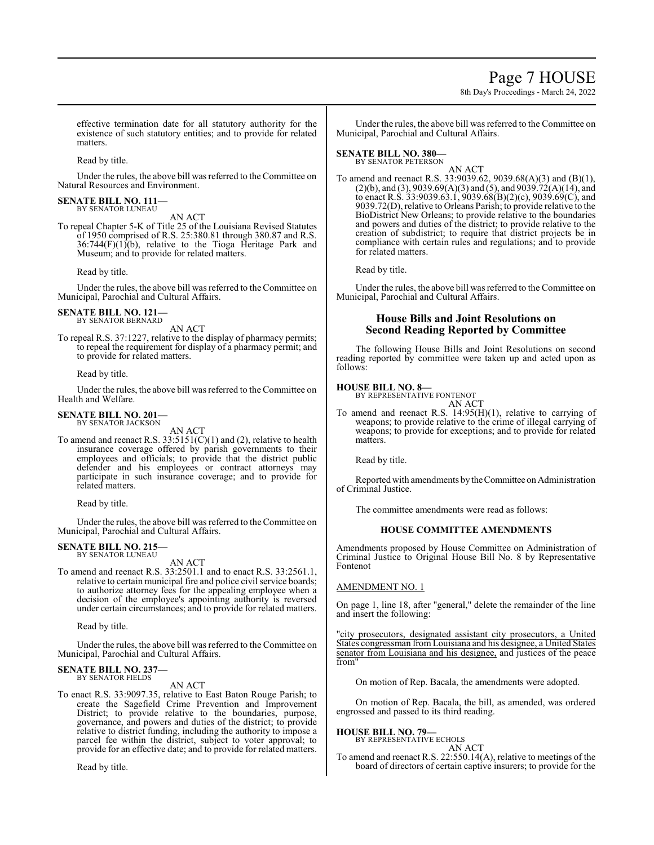### Page 7 HOUSE

8th Day's Proceedings - March 24, 2022

effective termination date for all statutory authority for the existence of such statutory entities; and to provide for related matters.

Read by title.

Under the rules, the above bill was referred to the Committee on Natural Resources and Environment.

#### **SENATE BILL NO. 111—** BY SENATOR LUNEAU

AN ACT

To repeal Chapter 5-K of Title 25 of the Louisiana Revised Statutes of 1950 comprised of R.S. 25:380.81 through 380.87 and R.S.  $36:744(F)(1)(b)$ , relative to the Tioga Heritage Park and Museum; and to provide for related matters.

Read by title.

Under the rules, the above bill was referred to the Committee on Municipal, Parochial and Cultural Affairs.

#### **SENATE BILL NO. 121—** BY SENATOR BERNARD

AN ACT

To repeal R.S. 37:1227, relative to the display of pharmacy permits; to repeal the requirement for display of a pharmacy permit; and to provide for related matters.

Read by title.

Under the rules, the above bill was referred to the Committee on Health and Welfare.

### **SENATE BILL NO. 201—** BY SENATOR JACKSON

AN ACT

To amend and reenact R.S. 33:5151(C)(1) and (2), relative to health insurance coverage offered by parish governments to their employees and officials; to provide that the district public defender and his employees or contract attorneys may participate in such insurance coverage; and to provide for related matters.

Read by title.

Under the rules, the above bill was referred to theCommittee on Municipal, Parochial and Cultural Affairs.

#### **SENATE BILL NO. 215—** BY SENATOR LUNEAU

AN ACT

To amend and reenact R.S. 33:2501.1 and to enact R.S. 33:2561.1, relative to certain municipal fire and police civil service boards; to authorize attorney fees for the appealing employee when a decision of the employee's appointing authority is reversed under certain circumstances; and to provide for related matters.

Read by title.

Under the rules, the above bill was referred to the Committee on Municipal, Parochial and Cultural Affairs.

#### **SENATE BILL NO. 237—** BY SENATOR FIELDS

AN ACT

To enact R.S. 33:9097.35, relative to East Baton Rouge Parish; to create the Sagefield Crime Prevention and Improvement District; to provide relative to the boundaries, purpose, governance, and powers and duties of the district; to provide relative to district funding, including the authority to impose a parcel fee within the district, subject to voter approval; to provide for an effective date; and to provide for related matters.

Read by title.

Under the rules, the above bill was referred to the Committee on Municipal, Parochial and Cultural Affairs.

#### **SENATE BILL NO. 380—** BY SENATOR PETERSON

AN ACT

To amend and reenact R.S. 33:9039.62, 9039.68(A)(3) and (B)(1),  $(2)(b)$ , and  $(3)$ , 9039.69 $(A)(3)$  and  $(5)$ , and 9039.72 $(A)(14)$ , and to enact R.S. 33:9039.63.1, 9039.68(B)(2)(c), 9039.69(C), and 9039.72(D), relative to Orleans Parish; to provide relative to the BioDistrict New Orleans; to provide relative to the boundaries and powers and duties of the district; to provide relative to the creation of subdistrict; to require that district projects be in compliance with certain rules and regulations; and to provide for related matters.

Read by title.

Under the rules, the above bill was referred to the Committee on Municipal, Parochial and Cultural Affairs.

#### **House Bills and Joint Resolutions on Second Reading Reported by Committee**

The following House Bills and Joint Resolutions on second reading reported by committee were taken up and acted upon as follows:

#### **HOUSE BILL NO. 8—**

BY REPRESENTATIVE FONTENOT AN ACT

To amend and reenact R.S. 14:95(H)(1), relative to carrying of weapons; to provide relative to the crime of illegal carrying of weapons; to provide for exceptions; and to provide for related matters.

Read by title.

Reported with amendments by the Committee on Administration of Criminal Justice.

The committee amendments were read as follows:

#### **HOUSE COMMITTEE AMENDMENTS**

Amendments proposed by House Committee on Administration of Criminal Justice to Original House Bill No. 8 by Representative Fontenot

#### AMENDMENT NO. 1

On page 1, line 18, after "general," delete the remainder of the line and insert the following:

"city prosecutors, designated assistant city prosecutors, a United States congressman fromLouisiana and his designee, a United States senator from Louisiana and his designee, and justices of the peace from"

On motion of Rep. Bacala, the amendments were adopted.

On motion of Rep. Bacala, the bill, as amended, was ordered engrossed and passed to its third reading.

#### **HOUSE BILL NO. 79—**

BY REPRESENTATIVE ECHOLS AN ACT

To amend and reenact R.S. 22:550.14(A), relative to meetings of the board of directors of certain captive insurers; to provide for the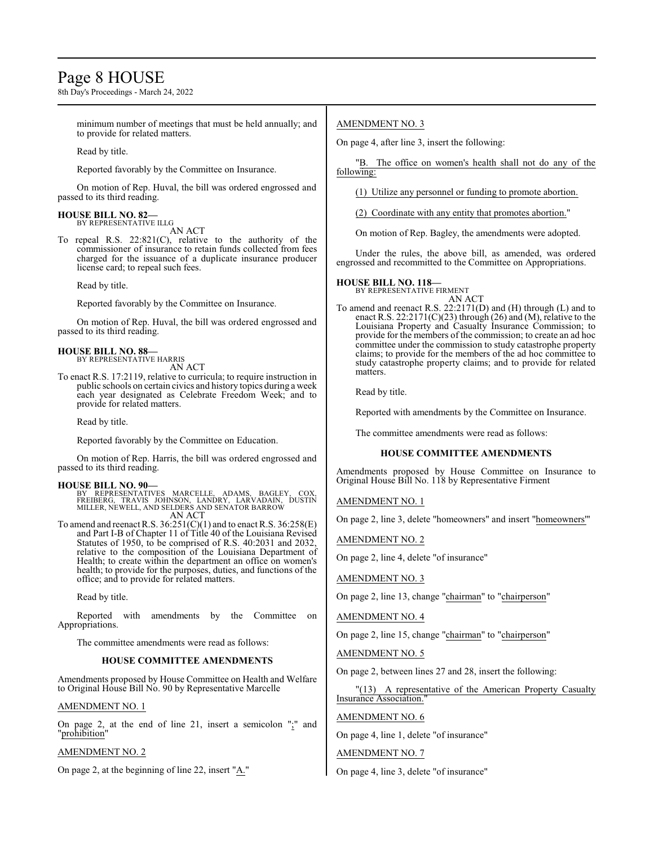### Page 8 HOUSE

8th Day's Proceedings - March 24, 2022

minimum number of meetings that must be held annually; and to provide for related matters.

Read by title.

Reported favorably by the Committee on Insurance.

On motion of Rep. Huval, the bill was ordered engrossed and passed to its third reading.

### **HOUSE BILL NO. 82—** BY REPRESENTATIVE ILLG

AN ACT

To repeal R.S. 22:821(C), relative to the authority of the commissioner of insurance to retain funds collected from fees charged for the issuance of a duplicate insurance producer license card; to repeal such fees.

Read by title.

Reported favorably by the Committee on Insurance.

On motion of Rep. Huval, the bill was ordered engrossed and passed to its third reading.

#### **HOUSE BILL NO. 88—** BY REPRESENTATIVE HARRIS

AN ACT

To enact R.S. 17:2119, relative to curricula; to require instruction in public schools on certain civics and history topics during a week each year designated as Celebrate Freedom Week; and to provide for related matters.

Read by title.

Reported favorably by the Committee on Education.

On motion of Rep. Harris, the bill was ordered engrossed and passed to its third reading.

- **HOUSE BILL NO. 90—** BY REPRESENTATIVES MARCELLE, ADAMS, BAGLEY, COX, FREIBERG, TRAVIS JOHNSON, LANDRY, LARVADAIN, DUSTIN MILLER, NEWELL, AND SELDERS AND SENATOR BARROW AN ACT
- To amend and reenact R.S.  $36:251(\text{C})(1)$  and to enact R.S.  $36:258(\text{E})$ and Part I-B of Chapter 11 of Title 40 of the Louisiana Revised Statutes of 1950, to be comprised of R.S. 40:2031 and 2032, relative to the composition of the Louisiana Department of Health; to create within the department an office on women's health; to provide for the purposes, duties, and functions of the office; and to provide for related matters.

Read by title.

Reported with amendments by the Committee on Appropriations.

The committee amendments were read as follows:

#### **HOUSE COMMITTEE AMENDMENTS**

Amendments proposed by House Committee on Health and Welfare to Original House Bill No. 90 by Representative Marcelle

#### AMENDMENT NO. 1

On page 2, at the end of line 21, insert a semicolon ";" and "prohibition"

#### AMENDMENT NO. 2

On page 2, at the beginning of line 22, insert "A."

#### AMENDMENT NO. 3

On page 4, after line 3, insert the following:

"B. The office on women's health shall not do any of the following:

(1) Utilize any personnel or funding to promote abortion.

(2) Coordinate with any entity that promotes abortion."

On motion of Rep. Bagley, the amendments were adopted.

Under the rules, the above bill, as amended, was ordered engrossed and recommitted to the Committee on Appropriations.

### **HOUSE BILL NO. 118—** BY REPRESENTATIVE FIRMENT

AN ACT

To amend and reenact R.S. 22:2171(D) and (H) through (L) and to enact R.S. 22:2171(C)(23) through (26) and (M), relative to the Louisiana Property and Casualty Insurance Commission; to provide for the members of the commission; to create an ad hoc committee under the commission to study catastrophe property claims; to provide for the members of the ad hoc committee to study catastrophe property claims; and to provide for related matters.

Read by title.

Reported with amendments by the Committee on Insurance.

The committee amendments were read as follows:

#### **HOUSE COMMITTEE AMENDMENTS**

Amendments proposed by House Committee on Insurance to Original House Bill No. 118 by Representative Firment

AMENDMENT NO. 1

On page 2, line 3, delete "homeowners" and insert "homeowners'"

AMENDMENT NO. 2

On page 2, line 4, delete "of insurance"

AMENDMENT NO. 3

On page 2, line 13, change "chairman" to "chairperson"

AMENDMENT NO. 4

On page 2, line 15, change "chairman" to "chairperson"

AMENDMENT NO. 5

On page 2, between lines 27 and 28, insert the following:

"(13) A representative of the American Property Casualty Insurance Association."

AMENDMENT NO. 6

On page 4, line 1, delete "of insurance"

AMENDMENT NO. 7

On page 4, line 3, delete "of insurance"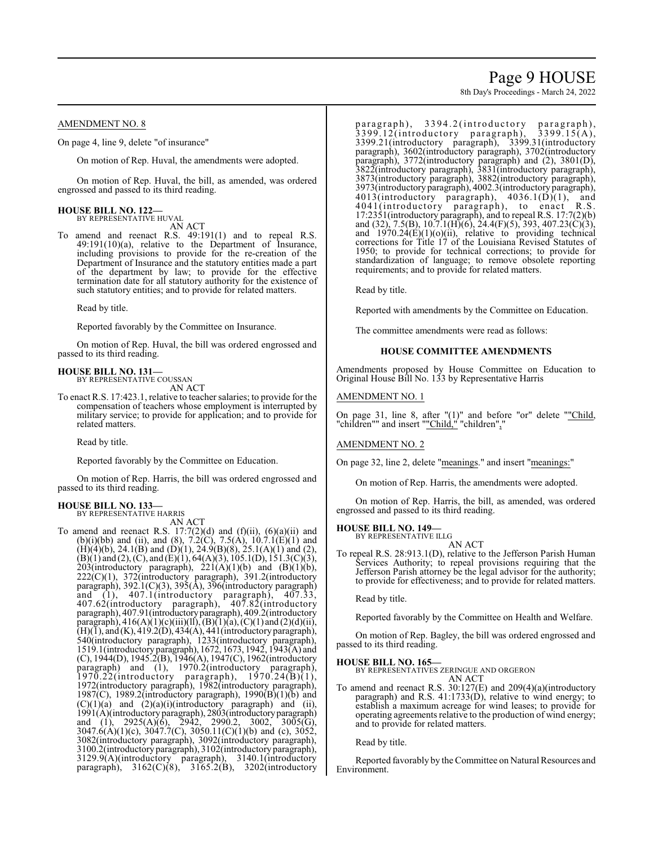## Page 9 HOUSE

8th Day's Proceedings - March 24, 2022

#### AMENDMENT NO. 8

On page 4, line 9, delete "of insurance"

On motion of Rep. Huval, the amendments were adopted.

On motion of Rep. Huval, the bill, as amended, was ordered engrossed and passed to its third reading.

## **HOUSE BILL NO. 122—** BY REPRESENTATIVE HUVAL

AN ACT

To amend and reenact R.S. 49:191(1) and to repeal R.S. 49:191(10)(a), relative to the Department of Insurance, including provisions to provide for the re-creation of the Department of Insurance and the statutory entities made a part of the department by law; to provide for the effective termination date for all statutory authority for the existence of such statutory entities; and to provide for related matters.

Read by title.

Reported favorably by the Committee on Insurance.

On motion of Rep. Huval, the bill was ordered engrossed and passed to its third reading.

#### **HOUSE BILL NO. 131—**

BY REPRESENTATIVE COUSSAN AN ACT

To enact R.S. 17:423.1, relative to teacher salaries; to provide for the compensation of teachers whose employment is interrupted by military service; to provide for application; and to provide for related matters.

Read by title.

Reported favorably by the Committee on Education.

On motion of Rep. Harris, the bill was ordered engrossed and passed to its third reading.

#### **HOUSE BILL NO. 133—** BY REPRESENTATIVE HARRIS

AN ACT

To amend and reenact R.S.  $17:7(2)(d)$  and  $(f)(ii)$ ,  $(6)(a)(ii)$  and (b)(i)(bb) and (ii), and (8), 7.2(C), 7.5(A), 10.7.1(E)(1) and  $(H)(4)(b)$ , 24.1 $(B)$  and  $(D)(1)$ , 24.9 $(B)(8)$ , 25.1 $(A)(1)$  and  $(2)$ ,  $(B)(1)$  and  $(2)$ ,  $(C)$ , and  $(E)(1)$ , 64(A)(3), 105.1(D), 151.3(C)(3), 203(introductory paragraph),  $221(A)(1)(b)$  and  $(B)(1)(b)$ , 222(C)(1), 372(introductory paragraph), 391.2(introductory paragraph), 392.1(C)(3), 395(A), 396(introductory paragraph) and (1), 407.1(introductory paragraph), 407.33, 407.62(introductory paragraph), 407.82(introductory paragraph), 407.91(introductoryparagraph), 409.2(introductory paragraph),  $416(A)(1)(c)(iii)(ll), (B)(1)(a), (C)(1)$  and  $(2)(d)(ii),$  $(H)(I)$ , and  $(K)$ , 419.2(D), 434(A), 441 (introductory paragraph), 540(introductory paragraph), 1233(introductory paragraph), 1519.1(introductory paragraph), 1672, 1673, 1942, 1943(A) and (C), 1944(D), 1945.2(B), 1946(A), 1947(C), 1962(introductory paragraph) and (1), 1970.2(introductory paragraph),  $1970.22$ (introductory paragraph),  $1970.24(B)(1)$ , 1970.22(introductory paragraph), 1970.24(B)(1), 1972(introductory paragraph), 1982(introductory paragraph), 1987(C), 1989.2(introductory paragraph), 1990(B)(1)(b) and  $(C)(1)(a)$  and  $(2)(a)(i)(introducing) paragnaph)$  and  $(ii)$ , 1991(A)(introductory paragraph), 2803(introductoryparagraph) and (1), 2925(A)(6), 2942, 2990.2, 3002, 3005(G), 3047.6(A)(1)(c), 3047.7(C), 3050.11(C)(1)(b) and (c), 3052, 3082(introductory paragraph), 3092(introductory paragraph), 3100.2(introductory paragraph), 3102(introductory paragraph), 3129.9(A)(introductory paragraph), 3140.1(introductory paragraph), 3162(C)(8), 3165.2(B), 3202(introductory

p a r a g r a p h ), 3394.2 (introductory par a g r a p h ),  $3399.12$ (introductory paragraph),  $3399.15(A)$ , paragraph), 3394.2(introductory paragraph), 3399.12(introductory paragraph), 3399.15(A), 3399.21(introductory paragraph), 3399.31(introductory paragraph), 3602(introductory paragraph), 3702(introductory paragraph), 3772(introductory paragraph) and (2), 3801(D), 3822(introductory paragraph), 3831(introductory paragraph), 3873(introductory paragraph), 3882(introductory paragraph), 3973(introductory paragraph), 4002.3(introductory paragraph),  $4013$ (introductory paragraph),  $4036.1(\overline{D})(1)$ , and 4041(introductory paragraph), to enact R.S. 17:2351(introductory paragraph), and to repeal R.S. 17:7(2)(b) and (32), 7.5(B), 10.7.1(H)(6), 24.4(F)(5), 393, 407.23(C)(3), and  $1970.24(E)(1)(o)(ii)$ , relative to providing technical corrections for Title 17 of the Louisiana Revised Statutes of 1950; to provide for technical corrections; to provide for standardization of language; to remove obsolete reporting requirements; and to provide for related matters.

Read by title.

Reported with amendments by the Committee on Education.

The committee amendments were read as follows:

#### **HOUSE COMMITTEE AMENDMENTS**

Amendments proposed by House Committee on Education to Original House Bill No. 133 by Representative Harris

#### AMENDMENT NO. 1

On page 31, line 8, after "(1)" and before "or" delete ""Child, "children"" and insert ""Child," "children","

#### AMENDMENT NO. 2

On page 32, line 2, delete "meanings." and insert "meanings:"

On motion of Rep. Harris, the amendments were adopted.

On motion of Rep. Harris, the bill, as amended, was ordered engrossed and passed to its third reading.

### **HOUSE BILL NO. 149—** BY REPRESENTATIVE ILLG

AN ACT

To repeal R.S. 28:913.1(D), relative to the Jefferson Parish Human Services Authority; to repeal provisions requiring that the Jefferson Parish attorney be the legal advisor for the authority; to provide for effectiveness; and to provide for related matters.

Read by title.

Reported favorably by the Committee on Health and Welfare.

On motion of Rep. Bagley, the bill was ordered engrossed and passed to its third reading.

#### **HOUSE BILL NO. 165—**

BY REPRESENTATIVES ZERINGUE AND ORGERON AN ACT

To amend and reenact R.S. 30:127(E) and 209(4)(a)(introductory paragraph) and R.S. 41:1733(D), relative to wind energy; to establish a maximum acreage for wind leases; to provide for operating agreements relative to the production of wind energy; and to provide for related matters.

Read by title.

Reported favorably by the Committee on Natural Resources and Environment.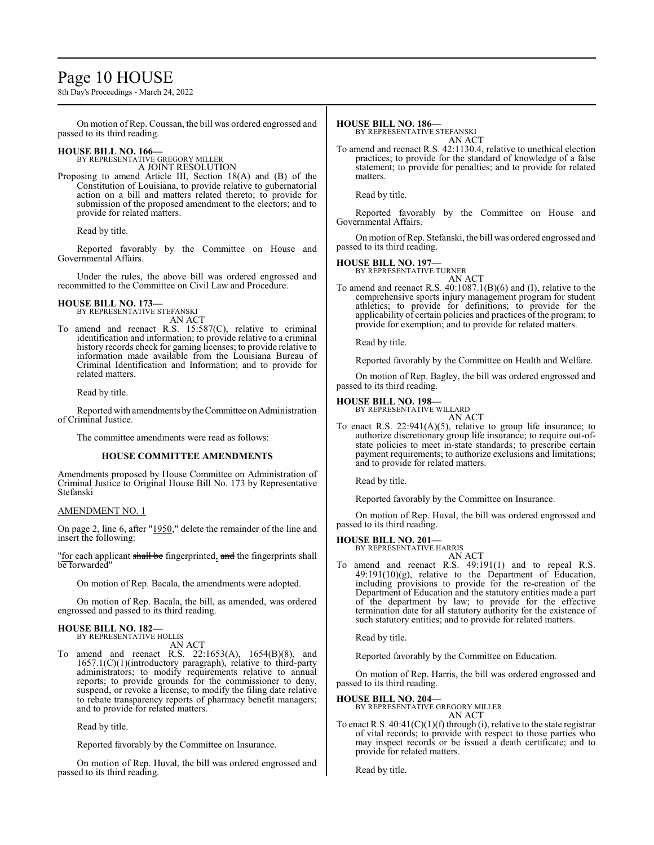### Page 10 HOUSE

8th Day's Proceedings - March 24, 2022

On motion of Rep. Coussan, the bill was ordered engrossed and passed to its third reading.

### **HOUSE BILL NO. 166—** BY REPRESENTATIVE GREGORY MILLER

A JOINT RESOLUTION

Proposing to amend Article III, Section 18(A) and (B) of the Constitution of Louisiana, to provide relative to gubernatorial action on a bill and matters related thereto; to provide for submission of the proposed amendment to the electors; and to provide for related matters.

Read by title.

Reported favorably by the Committee on House and Governmental Affairs.

Under the rules, the above bill was ordered engrossed and recommitted to the Committee on Civil Law and Procedure.

#### **HOUSE BILL NO. 173—** BY REPRESENTATIVE STEFANSKI

AN ACT

To amend and reenact R.S. 15:587(C), relative to criminal identification and information; to provide relative to a criminal history records check for gaming licenses; to provide relative to information made available from the Louisiana Bureau of Criminal Identification and Information; and to provide for related matters.

Read by title.

Reported with amendments bytheCommittee on Administration of Criminal Justice.

The committee amendments were read as follows:

#### **HOUSE COMMITTEE AMENDMENTS**

Amendments proposed by House Committee on Administration of Criminal Justice to Original House Bill No. 173 by Representative Stefanski

#### AMENDMENT NO. 1

On page 2, line 6, after "1950," delete the remainder of the line and insert the following:

"for each applicant shall be fingerprinted, and the fingerprints shall be forwarded"

On motion of Rep. Bacala, the amendments were adopted.

On motion of Rep. Bacala, the bill, as amended, was ordered engrossed and passed to its third reading.

#### **HOUSE BILL NO. 182—** BY REPRESENTATIVE HOLLIS

AN ACT

To amend and reenact R.S. 22:1653(A), 1654(B)(8), and  $1657.1(C)(1)$ (introductory paragraph), relative to third-party administrators; to modify requirements relative to annual reports; to provide grounds for the commissioner to deny, suspend, or revoke a license; to modify the filing date relative to rebate transparency reports of pharmacy benefit managers; and to provide for related matters.

Read by title.

Reported favorably by the Committee on Insurance.

On motion of Rep. Huval, the bill was ordered engrossed and passed to its third reading.

#### **HOUSE BILL NO. 186—**

BY REPRESENTATIVE STEFANSKI

AN ACT To amend and reenact R.S. 42:1130.4, relative to unethical election practices; to provide for the standard of knowledge of a false statement; to provide for penalties; and to provide for related matters.

Read by title.

Reported favorably by the Committee on House and Governmental Affairs.

On motion ofRep. Stefanski, the bill was ordered engrossed and passed to its third reading.

#### **HOUSE BILL NO. 197—**

BY REPRESENTATIVE TURNER AN ACT

To amend and reenact R.S. 40:1087.1(B)(6) and (I), relative to the comprehensive sports injury management program for student athletics; to provide for definitions; to provide for the applicability of certain policies and practices of the program; to provide for exemption; and to provide for related matters.

Read by title.

Reported favorably by the Committee on Health and Welfare.

On motion of Rep. Bagley, the bill was ordered engrossed and passed to its third reading.

#### **HOUSE BILL NO. 198—**

BY REPRESENTATIVE WILLARD AN ACT

To enact R.S.  $22:941(A)(5)$ , relative to group life insurance; to authorize discretionary group life insurance; to require out-ofstate policies to meet in-state standards; to prescribe certain payment requirements; to authorize exclusions and limitations; and to provide for related matters.

Read by title.

Reported favorably by the Committee on Insurance.

On motion of Rep. Huval, the bill was ordered engrossed and passed to its third reading.

#### **HOUSE BILL NO. 201—**

BY REPRESENTATIVE HARRIS AN ACT

To amend and reenact R.S. 49:191(1) and to repeal R.S. 49:191(10)(g), relative to the Department of Education, including provisions to provide for the re-creation of the Department of Education and the statutory entities made a part of the department by law; to provide for the effective termination date for all statutory authority for the existence of such statutory entities; and to provide for related matters.

Read by title.

Reported favorably by the Committee on Education.

On motion of Rep. Harris, the bill was ordered engrossed and passed to its third reading.

#### **HOUSE BILL NO. 204—**

BY REPRESENTATIVE GREGORY MILLER AN ACT

To enact R.S.  $40:41(C)(1)(f)$  through (i), relative to the state registrar of vital records; to provide with respect to those parties who may inspect records or be issued a death certificate; and to provide for related matters.

Read by title.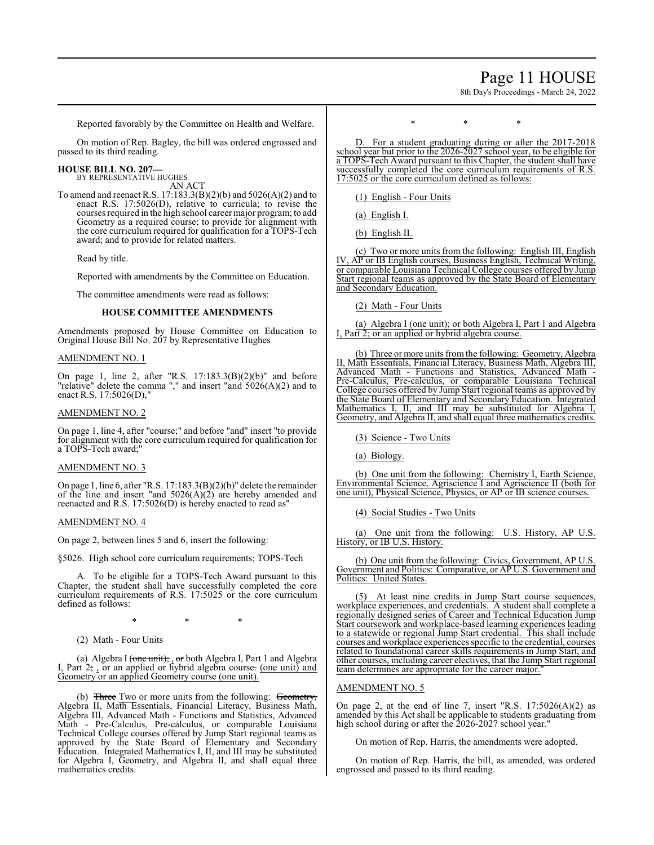### Page 11 HOUSE

8th Day's Proceedings - March 24, 2022

Reported favorably by the Committee on Health and Welfare.

On motion of Rep. Bagley, the bill was ordered engrossed and passed to its third reading.

#### **HOUSE BILL NO. 207—**

BY REPRESENTATIVE HUGHES AN ACT

To amend and reenact R.S. 17:183.3(B)(2)(b) and 5026(A)(2) and to enact R.S. 17:5026(D), relative to curricula; to revise the courses required in the high school career major program; to add Geometry as a required course; to provide for alignment with the core curriculum required for qualification for a TOPS-Tech award; and to provide for related matters.

Read by title.

Reported with amendments by the Committee on Education.

The committee amendments were read as follows:

#### **HOUSE COMMITTEE AMENDMENTS**

Amendments proposed by House Committee on Education to Original House Bill No. 207 by Representative Hughes

#### AMENDMENT NO. 1

On page 1, line 2, after "R.S. 17:183.3(B)(2)(b)" and before "relative" delete the comma "," and insert "and  $5026(A)(2)$  and to enact R.S. 17:5026(D),"

#### AMENDMENT NO. 2

On page 1, line 4, after "course;" and before "and" insert "to provide for alignment with the core curriculum required for qualification for a TOPS-Tech award;"

#### AMENDMENT NO. 3

On page 1, line 6, after "R.S. 17:183.3(B)(2)(b)" delete the remainder of the line and insert "and 5026(A)(2) are hereby amended and reenacted and R.S. 17:5026(D) is hereby enacted to read as"

#### AMENDMENT NO. 4

On page 2, between lines 5 and 6, insert the following:

§5026. High school core curriculum requirements; TOPS-Tech

A. To be eligible for a TOPS-Tech Award pursuant to this Chapter, the student shall have successfully completed the core curriculum requirements of R.S. 17:5025 or the core curriculum defined as follows:

\* \* \*

(2) Math - Four Units

(a) Algebra I (one unit); , or both Algebra I, Part 1 and Algebra I, Part 2; , or an applied or hybrid algebra course. (one unit) and Geometry or an applied Geometry course (one unit).

(b) Three Two or more units from the following: Geometry, Algebra II, Math Essentials, Financial Literacy, Business Math, Algebra III, Advanced Math - Functions and Statistics, Advanced Math - Pre-Calculus, Pre-calculus, or comparable Louisiana Technical College courses offered by Jump Start regional teams as approved by the State Board of Elementary and Secondary Education. Integrated Mathematics I, II, and III may be substituted for Algebra I, Geometry, and Algebra II, and shall equal three mathematics credits.

\* \* \*

D. For a student graduating during or after the 2017-2018 school year but prior to the 2026-2027 school year, to be eligible for a TOPS-Tech Award pursuant to this Chapter, the student shall have successfully completed the core curriculum requirements of R.S. 17:5025 or the core curriculum defined as follows:

(1) English - Four Units

(a) English I.

(b) English II.

(c) Two or more units from the following: English III, English IV, AP or IB English courses, Business English, Technical Writing, or comparable Louisiana Technical College courses offered by Jump Start regional teams as approved by the State Board of Elementary and Secondary Education.

(2) Math - Four Units

(a) Algebra I (one unit); or both Algebra I, Part 1 and Algebra I, Part 2; or an applied or hybrid algebra course.

(b) Three or more units fromthe following: Geometry, Algebra II, Math Essentials, Financial Literacy, Business Math, Algebra III, Advanced Math - Functions and Statistics, Advanced Math - Pre-Calculus, Pre-calculus, or comparable Louisiana Technical College courses offered by Jump Start regional teams as approved by the State Board of Elementary and Secondary Education. Integrated Mathematics I, II, and III may be substituted for Algebra I, Geometry, and Algebra II, and shall equal three mathematics credits.

(3) Science - Two Units

(a) Biology.

(b) One unit from the following: Chemistry I, Earth Science, Environmental Science, Agriscience I and Agriscience II (both for one unit), Physical Science, Physics, or AP or IB science courses.

(4) Social Studies - Two Units

(a) One unit from the following: U.S. History, AP U.S. History, or IB U.S. History.

(b) One unit from the following: Civics, Government, AP U.S. Government and Politics: Comparative, or AP U.S. Government and Politics: United States.

At least nine credits in Jump Start course sequences, workplace experiences, and credentials. A student shall complete a regionally designed series of Career and Technical Education Jump Start coursework and workplace-based learning experiences leading to a statewide or regional Jump Start credential. This shall include courses and workplace experiences specific to the credential, courses related to foundational career skills requirements in Jump Start, and other courses, including career electives, that the Jump Start regional team determines are appropriate for the career major.

#### AMENDMENT NO. 5

On page 2, at the end of line 7, insert "R.S. 17:5026(A)(2) as amended by this Act shall be applicable to students graduating from high school during or after the 2026-2027 school year."

On motion of Rep. Harris, the amendments were adopted.

On motion of Rep. Harris, the bill, as amended, was ordered engrossed and passed to its third reading.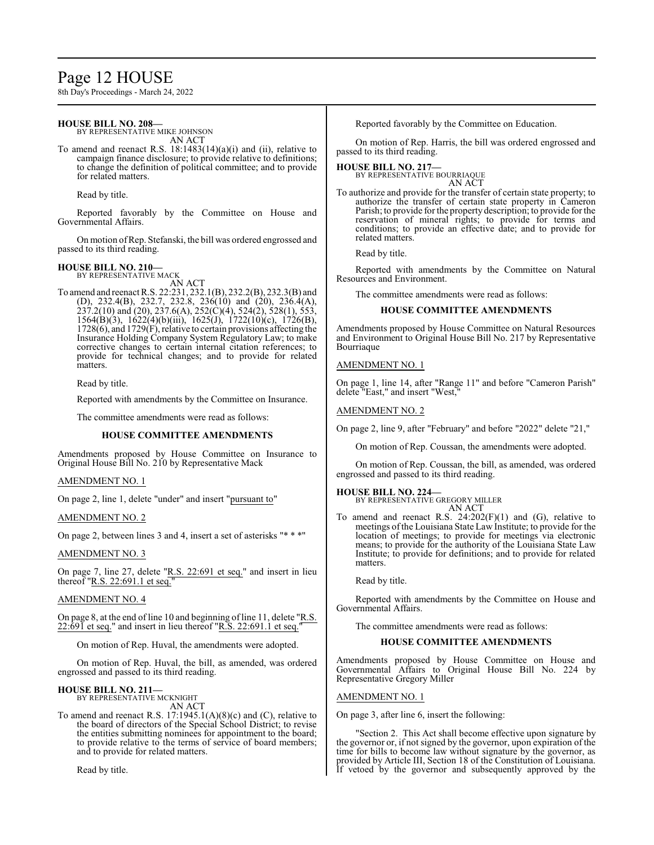## Page 12 HOUSE

8th Day's Proceedings - March 24, 2022

#### **HOUSE BILL NO. 208—**

BY REPRESENTATIVE MIKE JOHNSON AN ACT

To amend and reenact R.S. 18:1483(14)(a)(i) and (ii), relative to campaign finance disclosure; to provide relative to definitions; to change the definition of political committee; and to provide for related matters.

Read by title.

Reported favorably by the Committee on House and Governmental Affairs.

On motion ofRep. Stefanski, the bill was ordered engrossed and passed to its third reading.

#### **HOUSE BILL NO. 210—**

BY REPRESENTATIVE MACK AN ACT

To amend and reenact R.S. 22:231, 232.1(B), 232.2(B), 232.3(B) and (D), 232.4(B), 232.7, 232.8, 236(10) and (20), 236.4(A), 237.2(10) and (20), 237.6(A), 252(C)(4), 524(2), 528(1), 553, 1564(B)(3), 1622(4)(b)(iii), 1625(J), 1722(10)(c), 1726(B),  $1728(6)$ , and  $1729(F)$ , relative to certain provisions affecting the Insurance Holding Company System Regulatory Law; to make corrective changes to certain internal citation references; to provide for technical changes; and to provide for related matters.

Read by title.

Reported with amendments by the Committee on Insurance.

The committee amendments were read as follows:

#### **HOUSE COMMITTEE AMENDMENTS**

Amendments proposed by House Committee on Insurance to Original House Bill No. 210 by Representative Mack

#### AMENDMENT NO. 1

On page 2, line 1, delete "under" and insert "pursuant to"

#### AMENDMENT NO. 2

On page 2, between lines 3 and 4, insert a set of asterisks "\* \* \*"

#### AMENDMENT NO. 3

On page 7, line 27, delete "R.S. 22:691 et seq." and insert in lieu thereof "R.S. 22:691.1 et seq."

#### AMENDMENT NO. 4

On page 8, at the end of line 10 and beginning of line 11, delete "R.S. 22:691 et seq." and insert in lieu thereof "R.S. 22:691.1 et seq."

On motion of Rep. Huval, the amendments were adopted.

On motion of Rep. Huval, the bill, as amended, was ordered engrossed and passed to its third reading.

#### **HOUSE BILL NO. 211—**

BY REPRESENTATIVE MCKNIGHT AN ACT

To amend and reenact R.S. 17:1945.1(A)(8)(c) and (C), relative to the board of directors of the Special School District; to revise the entities submitting nominees for appointment to the board; to provide relative to the terms of service of board members; and to provide for related matters.

Read by title.

Reported favorably by the Committee on Education.

On motion of Rep. Harris, the bill was ordered engrossed and passed to its third reading.

### **HOUSE BILL NO. 217—** BY REPRESENTATIVE BOURRIAQUE

AN ACT

To authorize and provide for the transfer of certain state property; to authorize the transfer of certain state property in Cameron Parish; to provide for the property description; to provide for the reservation of mineral rights; to provide for terms and conditions; to provide an effective date; and to provide for related matters.

Read by title.

Reported with amendments by the Committee on Natural Resources and Environment.

The committee amendments were read as follows:

#### **HOUSE COMMITTEE AMENDMENTS**

Amendments proposed by House Committee on Natural Resources and Environment to Original House Bill No. 217 by Representative **Bourriaque** 

#### AMENDMENT NO. 1

On page 1, line 14, after "Range 11" and before "Cameron Parish" delete "East," and insert "West,"

#### AMENDMENT NO. 2

On page 2, line 9, after "February" and before "2022" delete "21,"

On motion of Rep. Coussan, the amendments were adopted.

On motion of Rep. Coussan, the bill, as amended, was ordered engrossed and passed to its third reading.

#### **HOUSE BILL NO. 224—**

BY REPRESENTATIVE GREGORY MILLER AN ACT

To amend and reenact R.S.  $24:202(F)(1)$  and  $(G)$ , relative to meetings of the Louisiana State Law Institute; to provide for the location of meetings; to provide for meetings via electronic means; to provide for the authority of the Louisiana State Law Institute; to provide for definitions; and to provide for related matters.

Read by title.

Reported with amendments by the Committee on House and Governmental Affairs.

The committee amendments were read as follows:

#### **HOUSE COMMITTEE AMENDMENTS**

Amendments proposed by House Committee on House and Governmental Affairs to Original House Bill No. 224 by Representative Gregory Miller

#### AMENDMENT NO. 1

On page 3, after line 6, insert the following:

"Section 2. This Act shall become effective upon signature by the governor or, if not signed by the governor, upon expiration of the time for bills to become law without signature by the governor, as provided by Article III, Section 18 of the Constitution of Louisiana. If vetoed by the governor and subsequently approved by the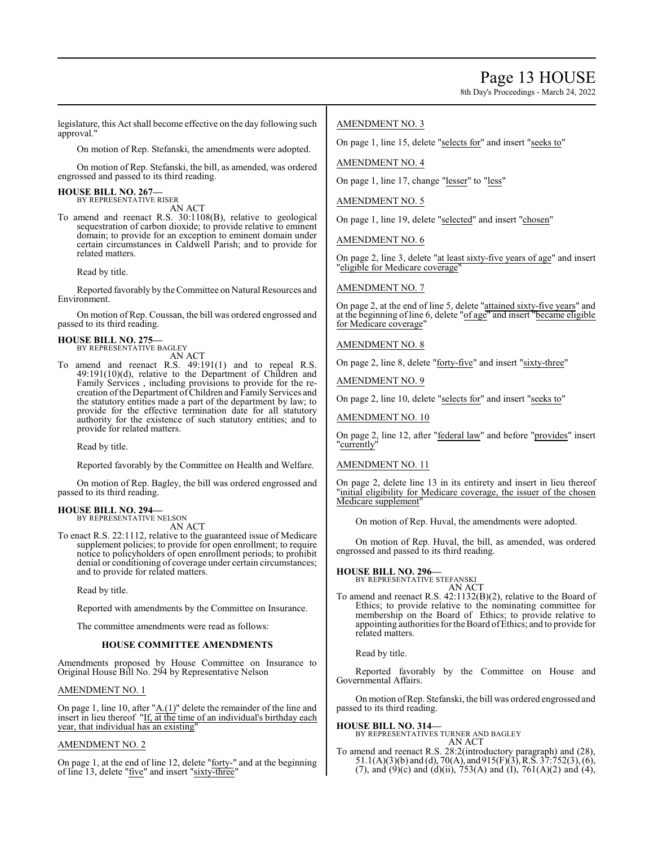8th Day's Proceedings - March 24, 2022

legislature, this Act shall become effective on the day following such approval."

On motion of Rep. Stefanski, the amendments were adopted.

On motion of Rep. Stefanski, the bill, as amended, was ordered engrossed and passed to its third reading.

**HOUSE BILL NO. 267—** BY REPRESENTATIVE RISER

AN ACT

To amend and reenact R.S. 30:1108(B), relative to geological sequestration of carbon dioxide; to provide relative to eminent domain; to provide for an exception to eminent domain under certain circumstances in Caldwell Parish; and to provide for related matters.

Read by title.

Reported favorably by theCommittee on Natural Resources and Environment.

On motion of Rep. Coussan, the bill was ordered engrossed and passed to its third reading.

#### **HOUSE BILL NO. 275—**

BY REPRESENTATIVE BAGLEY AN ACT

To amend and reenact R.S. 49:191(1) and to repeal R.S. 49:191(10)(d), relative to the Department of Children and Family Services , including provisions to provide for the recreation ofthe Department ofChildren and Family Services and the statutory entities made a part of the department by law; to provide for the effective termination date for all statutory authority for the existence of such statutory entities; and to provide for related matters.

Read by title.

Reported favorably by the Committee on Health and Welfare.

On motion of Rep. Bagley, the bill was ordered engrossed and passed to its third reading.

### **HOUSE BILL NO. 294—**

BY REPRESENTATIVE NELSON AN ACT

To enact R.S. 22:1112, relative to the guaranteed issue of Medicare supplement policies; to provide for open enrollment; to require notice to policyholders of open enrollment periods; to prohibit denial or conditioning of coverage under certain circumstances; and to provide for related matters.

Read by title.

Reported with amendments by the Committee on Insurance.

The committee amendments were read as follows:

#### **HOUSE COMMITTEE AMENDMENTS**

Amendments proposed by House Committee on Insurance to Original House Bill No. 294 by Representative Nelson

#### AMENDMENT NO. 1

On page 1, line 10, after " $\underline{A.(1)}$ " delete the remainder of the line and insert in lieu thereof "If, at the time of an individual's birthday each year, that individual has an existing

#### AMENDMENT NO. 2

On page 1, at the end of line 12, delete "forty-" and at the beginning of line 13, delete "five" and insert "sixty-three"

#### AMENDMENT NO. 3

On page 1, line 15, delete "selects for" and insert "seeks to"

#### AMENDMENT NO. 4

On page 1, line 17, change "lesser" to "less"

#### AMENDMENT NO. 5

On page 1, line 19, delete "selected" and insert "chosen"

AMENDMENT NO. 6

On page 2, line 3, delete "at least sixty-five years of age" and insert "eligible for Medicare coverage"

AMENDMENT NO. 7

On page 2, at the end of line 5, delete "attained sixty-five years" and at the beginning of line 6, delete "of age" and insert "became eligible for Medicare coverage"

#### AMENDMENT NO. 8

On page 2, line 8, delete "forty-five" and insert "sixty-three"

AMENDMENT NO. 9

On page 2, line 10, delete "selects for" and insert "seeks to"

AMENDMENT NO. 10

On page 2, line 12, after "federal law" and before "provides" insert "currently"

#### AMENDMENT NO. 11

On page 2, delete line 13 in its entirety and insert in lieu thereof "initial eligibility for Medicare coverage, the issuer of the chosen Medicare supplement"

On motion of Rep. Huval, the amendments were adopted.

On motion of Rep. Huval, the bill, as amended, was ordered engrossed and passed to its third reading.

## **HOUSE BILL NO. 296—** BY REPRESENTATIVE STEFANSKI

AN ACT To amend and reenact R.S. 42:1132(B)(2), relative to the Board of Ethics; to provide relative to the nominating committee for membership on the Board of Ethics; to provide relative to appointing authorities for the Board ofEthics; and to provide for related matters.

Read by title.

Reported favorably by the Committee on House and Governmental Affairs.

On motion ofRep. Stefanski, the bill was ordered engrossed and passed to its third reading.

**HOUSE BILL NO. 314—** BY REPRESENTATIVES TURNER AND BAGLEY

To amend and reenact R.S. 28:2(introductory paragraph) and (28),  $51.1(A)(3)(b)$  and (d),  $70(A)$ , and  $915(F)(3)$ , R.S.  $37:752(3)$ , (6), (7), and (9)(c) and (d)(ii), 753(A) and (I), 761(A)(2) and (4),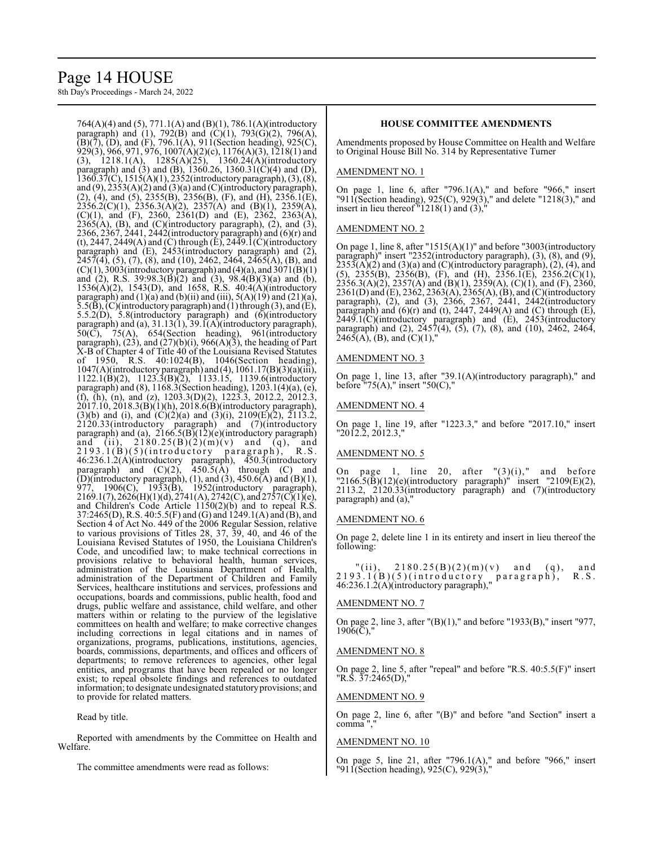## Page 14 HOUSE

8th Day's Proceedings - March 24, 2022

764(A)(4) and (5), 771.1(A) and (B)(1), 786.1(A)(introductory paragraph) and (1), 792(B) and (C)(1), 793(G)(2), 796(A),  $(B)(7)$ ,  $(D)$ , and  $(F)$ , 796.1(A), 911(Section heading), 925(C), 929(3), 966, 971, 976, 1007(A)(2)(c), 1176(A)(3), 1218(1) and (3), 1218.1(A), 1285(A)(25), 1360.24(A)(introductory paragraph) and (3) and (B), 1360.26, 1360.31(C)(4) and (D), 1360.37(C), 1515(A)(1), 2352(introductory paragraph), (3), (8), and (9), 2353(A)(2) and (3)(a) and (C)(introductory paragraph), (2), (4), and (5), 2355(B), 2356(B), (F), and (H), 2356.1(E),  $2356.2(C)(1)$ ,  $2356.3(A)(2)$ ,  $2357(A)$  and  $(B)(1)$ ,  $2359(A)$ , (C)(1), and (F), 2360, 2361(D) and (E), 2362, 2363(A),  $2365(A)$ , (B), and (C)(introductory paragraph), (2), and (3), 2366, 2367, 2441, 2442(introductory paragraph) and  $(6)(r)$  and (t), 2447, 2449(A) and (C) through (E), 2449.1(C)(introductory paragraph) and (E), 2453(introductory paragraph) and (2),  $2457(4)$ , (5), (7), (8), and (10), 2462, 2464, 2465(A), (B), and  $(C)(1)$ , 3003(introductory paragraph) and (4)(a), and 3071(B)(1) and (2), R.S. 39:98.3(B)(2) and (3), 98.4(B)(3)(a) and (b), 1536(A)(2), 1543(D), and 1658, R.S. 40:4(A)(introductory paragraph) and  $(1)(a)$  and  $(b)(ii)$  and  $(iii)$ ,  $5(A)(19)$  and  $(21)(a)$ ,  $5.5(B)$ ,  $(C)$ (introductory paragraph) and (1) through (3), and (E), 5.5.2(D), 5.8(introductory paragraph) and (6)(introductory paragraph) and (a), 31.13(1), 39.1(A)(introductory paragraph),  $50(\overrightarrow{C})$ ,  $75(A)$ ,  $654(Section$  heading),  $961(introductor)$ paragraph),  $(23)$ , and  $(27)(b)(i)$ ,  $966(A)(3)$ , the heading of Part X-B of Chapter 4 of Title 40 of the Louisiana Revised Statutes of 1950, R.S. 40:1024(B), 1046(Section heading),  $1047(A)$ (introductory paragraph) and (4),  $1061.17(B)(3)(a)(iii)$ , 1122.1(B)(2), 1123.3(B)(2), 1133.15, 1139.6(introductory paragraph) and (8), 1168.3(Section heading), 1203.1(4)(a), (e), (f), (h), (n), and (z),  $1203.3(D)(2)$ ,  $1223.3$ ,  $2012.2$ ,  $2012.3$ , 2017.10, 2018.3(B)(1)(h), 2018.6(B)(introductory paragraph), (3)(b) and (i), and  $(C)(2)(a)$  and  $(3)(i)$ , 2109 $(E)(2)$ , 2113.2, 2120.33(introductory paragraph) and (7)(introductory paragraph) and (a), 2166.5(B)(12)(e)(introductory paragraph) and (ii),  $2180.25(B)(2)(m)(v)$  and  $(q)$ , and  $2193.1(B)(5)(introducing pargraph), R.S.$ 46:236.1.2(A)(introductory paragraph), 450.3(introductory paragraph) and  $(C)(2)$ ,  $450.5(A)$  through  $(C)$  and (D)(introductory paragraph), (1), and (3), 450.6(A) and (B)(1), 977, 1906(C), 1933(B), 1952(introductory paragraph), 2169.1(7), 2626(H)(1)(d), 2741(A), 2742(C), and 2757(C)(1)(e), and Children's Code Article 1150(2)(b) and to repeal R.S. 37:2465(D), R.S. 40:5.5(F) and (G) and 1249.1(A) and (B), and Section 4 of Act No. 449 of the 2006 Regular Session, relative to various provisions of Titles 28, 37, 39, 40, and 46 of the Louisiana Revised Statutes of 1950, the Louisiana Children's Code, and uncodified law; to make technical corrections in provisions relative to behavioral health, human services, administration of the Louisiana Department of Health, administration of the Department of Children and Family Services, healthcare institutions and services, professions and occupations, boards and commissions, public health, food and drugs, public welfare and assistance, child welfare, and other matters within or relating to the purview of the legislative committees on health and welfare; to make corrective changes including corrections in legal citations and in names of organizations, programs, publications, institutions, agencies, boards, commissions, departments, and offices and officers of departments; to remove references to agencies, other legal entities, and programs that have been repealed or no longer exist; to repeal obsolete findings and references to outdated information; to designate undesignated statutoryprovisions; and to provide for related matters.

Read by title.

Reported with amendments by the Committee on Health and Welfare.

The committee amendments were read as follows:

#### **HOUSE COMMITTEE AMENDMENTS**

Amendments proposed by House Committee on Health and Welfare to Original House Bill No. 314 by Representative Turner

#### AMENDMENT NO. 1

On page 1, line 6, after "796.1(A)," and before "966," insert "911(Section heading), 925(C), 929(3)," and delete "1218(3)," and insert in lieu thereof "1218(1) and (3),"

#### AMENDMENT NO. 2

On page 1, line 8, after "1515(A)(1)" and before "3003(introductory paragraph)" insert "2352(introductory paragraph), (3), (8), and (9),  $2353(A)(2)$  and  $(3)(a)$  and  $(C)($ introductory paragraph $), (2), (4),$  and (5),  $2355(B)$ ,  $2356(B)$ , (F), and (H),  $2356.1(E)$ ,  $2356.2(C)(1)$ ,  $2356.3(A)(2)$ ,  $2357(A)$  and  $(B)(1)$ ,  $2359(A)$ ,  $(C)(1)$ , and  $(F)$ ,  $2360$ , 2361(D) and (E), 2362, 2363(A), 2365(A), (B), and (C)(introductory paragraph), (2), and (3), 2366, 2367, 2441, 2442(introductory paragraph) and  $(6)(r)$  and  $(t)$ , 2447, 2449 $(A)$  and  $(C)$  through  $(E)$ , 2449.1(C)(introductory paragraph) and (E), 2453(introductory paragraph) and (2), 2457(4), (5), (7), (8), and (10), 2462, 2464,  $2465(A)$ , (B), and (C)(1),

#### AMENDMENT NO. 3

On page 1, line 13, after "39.1(A)(introductory paragraph)," and before "75 $(A)$ ," insert "50 $(C)$ ,"

#### AMENDMENT NO. 4

On page 1, line 19, after "1223.3," and before "2017.10," insert "2012.2, 2012.3,"

#### AMENDMENT NO. 5

On page 1, line 20, after  $\sqrt{3}(i)$ ," and before  $"2166.5(B)(12)(e)$ (introductory paragraph)" insert "2109 $(E)(2)$ , 2113.2, 2120.33(introductory paragraph) and (7)(introductory paragraph) and (a),"

#### AMENDMENT NO. 6

On page 2, delete line 1 in its entirety and insert in lieu thereof the following:

 $"(ii), 2180.25(B)(2)(m)(v)$  and (q), and  $2193.1(B)(5)(introducing~param)$ , R.S. 46:236.1.2(A)(introductory paragraph),"

#### AMENDMENT NO. 7

On page 2, line 3, after "(B)(1)," and before "1933(B)," insert "977,  $1906(\overline{C})$ ,"

#### AMENDMENT NO. 8

On page 2, line 5, after "repeal" and before "R.S. 40:5.5(F)" insert "R.S. 37:2465(D),"

#### AMENDMENT NO. 9

On page 2, line 6, after "(B)" and before "and Section" insert a comma ","

#### AMENDMENT NO. 10

On page 5, line 21, after "796.1(A)," and before "966," insert "911(Section heading), 925(C), 929(3),"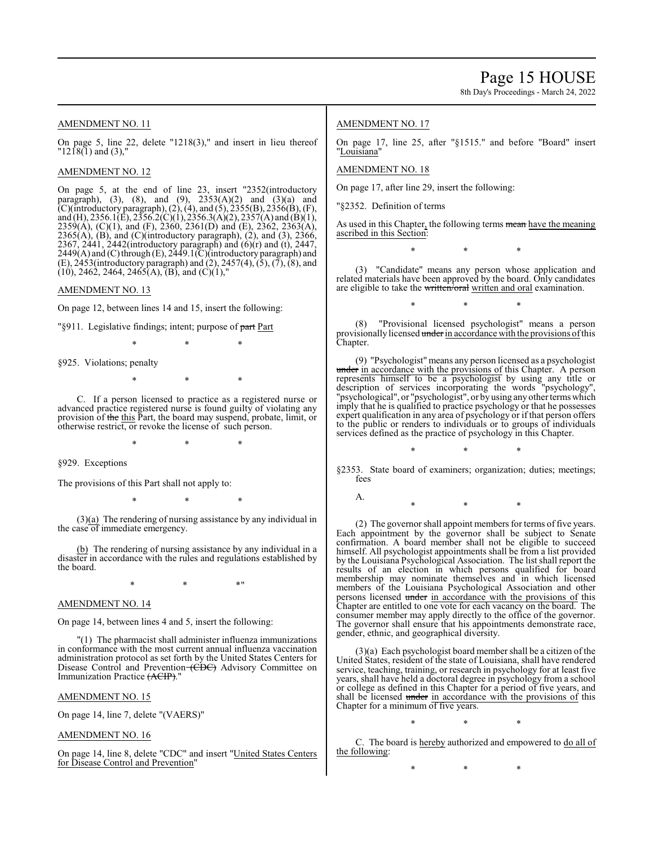AMENDMENT NO. 11

On page 5, line 22, delete "1218(3)," and insert in lieu thereof  $"1218(1)$  and (3),"

AMENDMENT NO. 12

On page 5, at the end of line 23, insert "2352(introductory paragraph), (3), (8), and (9),  $2353(A)(2)$  and  $(3)(a)$  and (C)(introductory paragraph), (2), (4), and (5), 2355(B), 2356(B), (F), and (H), 2356.1(E), 2356.2(C)(1), 2356.3(A)(2), 2357(A) and (B)(1), 2359(A), (C)(1), and (F), 2360, 2361(D) and (E), 2362, 2363(A),  $2365(A)$ , (B), and (C)(introductory paragraph), (2), and (3), 2366, 2367, 2441, 2442(introductory paragraph) and (6)(r) and (t), 2447, 2449(A) and (C) through (E), 2449.1(C)(introductory paragraph) and  $(E)$ , 2453(introductory paragraph) and  $(2)$ , 2457(4),  $(5)$ ,  $(7)$ ,  $(8)$ , and  $(10)$ , 2462, 2464, 2465(A), (B), and (C)(1),"

AMENDMENT NO. 13

On page 12, between lines 14 and 15, insert the following:

"§911. Legislative findings; intent; purpose of part Part

\* \* \*

§925. Violations; penalty

\* \* \*

C. If a person licensed to practice as a registered nurse or advanced practice registered nurse is found guilty of violating any provision of the this Part, the board may suspend, probate, limit, or otherwise restrict, or revoke the license of such person.

\* \* \*

§929. Exceptions

The provisions of this Part shall not apply to:

\* \* \*

(3)(a) The rendering of nursing assistance by any individual in the case of immediate emergency.

(b) The rendering of nursing assistance by any individual in a disaster in accordance with the rules and regulations established by the board.

 $*$  \*  $*$  \*

AMENDMENT NO. 14

On page 14, between lines 4 and 5, insert the following:

"(1) The pharmacist shall administer influenza immunizations in conformance with the most current annual influenza vaccination administration protocol as set forth by the United States Centers for Disease Control and Prevention (CDC) Advisory Committee on Immunization Practice (ACIP).

#### AMENDMENT NO. 15

On page 14, line 7, delete "(VAERS)"

AMENDMENT NO. 16

On page 14, line 8, delete "CDC" and insert "United States Centers for Disease Control and Prevention"

#### AMENDMENT NO. 17

On page 17, line 25, after "§1515." and before "Board" insert "Louisiana"

AMENDMENT NO. 18

On page 17, after line 29, insert the following:

"§2352. Definition of terms

As used in this Chapter, the following terms mean have the meaning ascribed in this Section:

\* \* \*

(3) "Candidate" means any person whose application and related materials have been approved by the board. Only candidates are eligible to take the written/oral written and oral examination.

\* \* \*

(8) "Provisional licensed psychologist" means a person provisionally licensed under in accordance with the provisions of this Chapter.

(9) "Psychologist" means any person licensed as a psychologist under in accordance with the provisions of this Chapter. A person represents himself to be a psychologist by using any title or description of services incorporating the words "psychology", "psychological", or "psychologist", or by using any other terms which imply that he is qualified to practice psychology or that he possesses expert qualification in any area of psychology or if that person offers to the public or renders to individuals or to groups of individuals services defined as the practice of psychology in this Chapter.

§2353. State board of examiners; organization; duties; meetings; fees

\* \* \*

A. \* \* \*

(2) The governor shall appoint members for terms of five years. Each appointment by the governor shall be subject to Senate confirmation. A board member shall not be eligible to succeed himself. All psychologist appointments shall be from a list provided by the Louisiana Psychological Association. The list shall report the results of an election in which persons qualified for board membership may nominate themselves and in which licensed members of the Louisiana Psychological Association and other persons licensed under in accordance with the provisions of this Chapter are entitled to one vote for each vacancy on the board. The consumer member may apply directly to the office of the governor. The governor shall ensure that his appointments demonstrate race, gender, ethnic, and geographical diversity.

(3)(a) Each psychologist board member shall be a citizen of the United States, resident of the state of Louisiana, shall have rendered service, teaching, training, or research in psychology for at least five years, shall have held a doctoral degree in psychology from a school or college as defined in this Chapter for a period of five years, and shall be licensed under in accordance with the provisions of this Chapter for a minimum of five years.

\* \* \*

C. The board is hereby authorized and empowered to do all of the following:

\* \* \*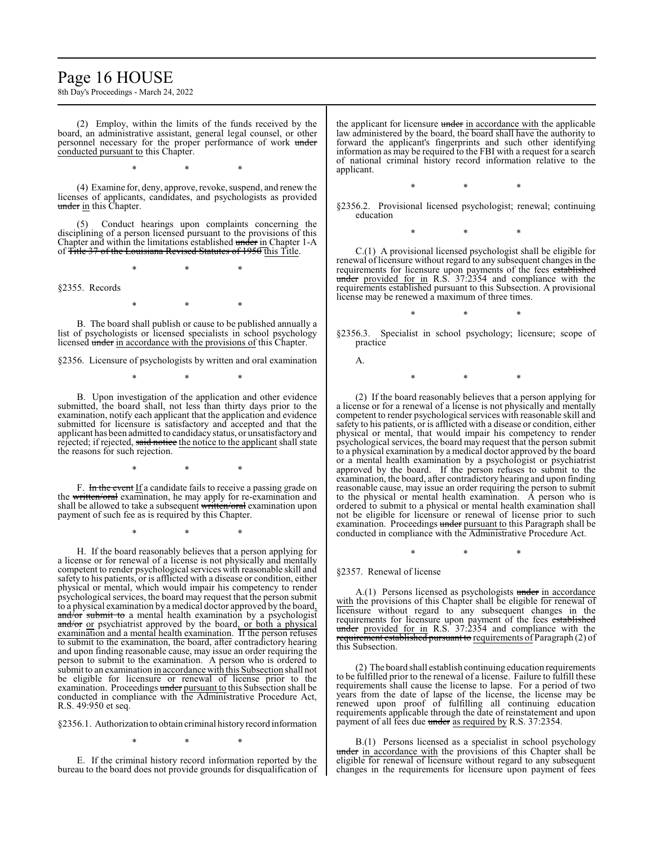### Page 16 HOUSE

8th Day's Proceedings - March 24, 2022

(2) Employ, within the limits of the funds received by the board, an administrative assistant, general legal counsel, or other personnel necessary for the proper performance of work under conducted pursuant to this Chapter.

\* \* \*

(4) Examine for, deny, approve, revoke, suspend, and renew the licenses of applicants, candidates, and psychologists as provided  $\frac{under in}{in}$  this Chapter.

Conduct hearings upon complaints concerning the disciplining of a person licensed pursuant to the provisions of this Chapter and within the limitations established under in Chapter 1-A of Title 37 of the Louisiana Revised Statutes of 1950 this Title.

\* \* \*

§2355. Records

\* \* \*

B. The board shall publish or cause to be published annually a list of psychologists or licensed specialists in school psychology licensed under in accordance with the provisions of this Chapter.

§2356. Licensure of psychologists by written and oral examination

\* \* \*

B. Upon investigation of the application and other evidence submitted, the board shall, not less than thirty days prior to the examination, notify each applicant that the application and evidence submitted for licensure is satisfactory and accepted and that the applicant has been admitted to candidacy status, or unsatisfactory and rejected; if rejected, said notice the notice to the applicant shall state the reasons for such rejection.

F. In the event If a candidate fails to receive a passing grade on the written/oral examination, he may apply for re-examination and shall be allowed to take a subsequent written/oral examination upon payment of such fee as is required by this Chapter.

\* \* \*

\* \* \*

H. If the board reasonably believes that a person applying for a license or for renewal of a license is not physically and mentally competent to render psychological services with reasonable skill and safety to his patients, or is afflicted with a disease or condition, either physical or mental, which would impair his competency to render psychological services, the board may request that the person submit to a physical examination by a medical doctor approved by the board,  $and/or$  submit to a mental health examination by a psychologist and/or or psychiatrist approved by the board, or both a physical examination and a mental health examination. If the person refuses to submit to the examination, the board, after contradictory hearing and upon finding reasonable cause, may issue an order requiring the person to submit to the examination. A person who is ordered to submit to an examination in accordance with this Subsection shall not be eligible for licensure or renewal of license prior to the examination. Proceedings under pursuant to this Subsection shall be conducted in compliance with the Administrative Procedure Act, R.S. 49:950 et seq.

§2356.1. Authorization to obtain criminal history record information

\* \* \*

E. If the criminal history record information reported by the bureau to the board does not provide grounds for disqualification of

the applicant for licensure under in accordance with the applicable law administered by the board, the board shall have the authority to forward the applicant's fingerprints and such other identifying information as may be required to the FBI with a request for a search of national criminal history record information relative to the applicant.

\* \* \*

§2356.2. Provisional licensed psychologist; renewal; continuing education

\* \* \*

C.(1) A provisional licensed psychologist shall be eligible for renewal of licensure without regard to any subsequent changes in the requirements for licensure upon payments of the fees established under provided for in R.S. 37:2354 and compliance with the requirements established pursuant to this Subsection. A provisional license may be renewed a maximum of three times.

\* \* \* §2356.3. Specialist in school psychology; licensure; scope of practice

A.

\* \* \*

(2) If the board reasonably believes that a person applying for a license or for a renewal of a license is not physically and mentally competent to render psychological services with reasonable skill and safety to his patients, or is afflicted with a disease or condition, either physical or mental, that would impair his competency to render psychological services, the board may request that the person submit to a physical examination by a medical doctor approved by the board or a mental health examination by a psychologist or psychiatrist approved by the board. If the person refuses to submit to the examination, the board, after contradictory hearing and upon finding reasonable cause, may issue an order requiring the person to submit to the physical or mental health examination. A person who is ordered to submit to a physical or mental health examination shall not be eligible for licensure or renewal of license prior to such examination. Proceedings under pursuant to this Paragraph shall be conducted in compliance with the Administrative Procedure Act.

\* \* \*

§2357. Renewal of license

A.(1) Persons licensed as psychologists under in accordance with the provisions of this Chapter shall be eligible for renewal of licensure without regard to any subsequent changes in the requirements for licensure upon payment of the fees established under provided for in R.S. 37:2354 and compliance with the requirement established pursuant to requirements of Paragraph (2) of this Subsection.

(2) The board shall establish continuing education requirements to be fulfilled prior to the renewal of a license. Failure to fulfill these requirements shall cause the license to lapse. For a period of two years from the date of lapse of the license, the license may be renewed upon proof of fulfilling all continuing education requirements applicable through the date of reinstatement and upon payment of all fees due under as required by R.S. 37:2354.

B.(1) Persons licensed as a specialist in school psychology under in accordance with the provisions of this Chapter shall be eligible for renewal of licensure without regard to any subsequent changes in the requirements for licensure upon payment of fees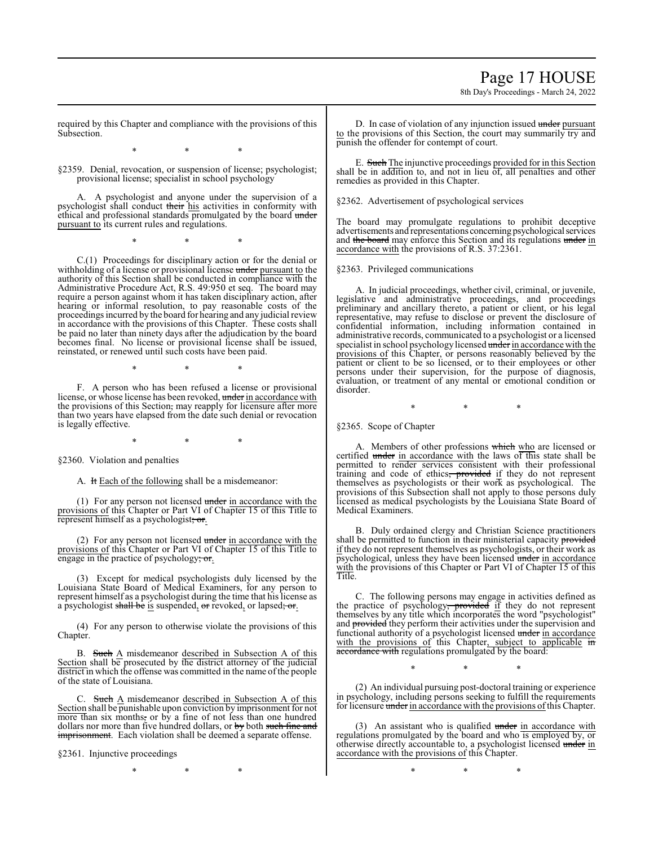8th Day's Proceedings - March 24, 2022

required by this Chapter and compliance with the provisions of this Subsection.

\* \* \*

§2359. Denial, revocation, or suspension of license; psychologist; provisional license; specialist in school psychology

A. A psychologist and anyone under the supervision of a psychologist shall conduct their his activities in conformity with ethical and professional standards promulgated by the board under pursuant to its current rules and regulations.

\* \* \*

C.(1) Proceedings for disciplinary action or for the denial or withholding of a license or provisional license under pursuant to the authority of this Section shall be conducted in compliance with the Administrative Procedure Act, R.S. 49:950 et seq. The board may require a person against whom it has taken disciplinary action, after hearing or informal resolution, to pay reasonable costs of the proceedings incurred by the board for hearing and any judicial review in accordance with the provisions of this Chapter. These costs shall be paid no later than ninety days after the adjudication by the board becomes final. No license or provisional license shall be issued, reinstated, or renewed until such costs have been paid.

\* \* \*

F. A person who has been refused a license or provisional license, or whose license has been revoked, under in accordance with the provisions of this Section, may reapply for licensure after more than two years have elapsed from the date such denial or revocation is legally effective.

\* \* \*

§2360. Violation and penalties

A. It Each of the following shall be a misdemeanor:

(1) For any person not licensed under in accordance with the provisions of this Chapter or Part VI of Chapter 15 of this Title to represent himself as a psychologist; or.

(2) For any person not licensed under in accordance with the provisions of this Chapter or Part VI of Chapter 15 of this Title to engage in the practice of psychology; or.

(3) Except for medical psychologists duly licensed by the Louisiana State Board of Medical Examiners, for any person to represent himself as a psychologist during the time that his license as a psychologist shall be is suspended, or revoked, or lapsed; or.

(4) For any person to otherwise violate the provisions of this Chapter.

B. Such A misdemeanor described in Subsection A of this Section shall be prosecuted by the district attorney of the judicial district in which the offense was committed in the name of the people of the state of Louisiana.

C. Such  $\overline{A}$  misdemeanor described in Subsection A of this Section shall be punishable upon conviction by imprisonment for not more than six months, or by a fine of not less than one hundred dollars nor more than five hundred dollars, or by both such fine and imprisonment. Each violation shall be deemed a separate offense.

§2361. Injunctive proceedings

\* \* \*

D. In case of violation of any injunction issued under pursuant to the provisions of this Section, the court may summarily try and punish the offender for contempt of court.

E. Such The injunctive proceedings provided for in this Section shall be in addition to, and not in lieu of, all penalties and other remedies as provided in this Chapter.

§2362. Advertisement of psychological services

The board may promulgate regulations to prohibit deceptive advertisements and representations concerning psychological services and the board may enforce this Section and its regulations under in accordance with the provisions of R.S. 37:2361.

§2363. Privileged communications

A. In judicial proceedings, whether civil, criminal, or juvenile, legislative and administrative proceedings, and proceedings preliminary and ancillary thereto, a patient or client, or his legal representative, may refuse to disclose or prevent the disclosure of confidential information, including information contained in administrative records, communicated to a psychologist or a licensed specialist in school psychology licensed under in accordance with the provisions of this Chapter, or persons reasonably believed by the patient or client to be so licensed, or to their employees or other persons under their supervision, for the purpose of diagnosis, evaluation, or treatment of any mental or emotional condition or disorder.

\* \* \*

§2365. Scope of Chapter

A. Members of other professions which who are licensed or certified under in accordance with the laws of this state shall be permitted to render services consistent with their professional training and code of ethics, provided if they do not represent themselves as psychologists or their work as psychological. The provisions of this Subsection shall not apply to those persons duly licensed as medical psychologists by the Louisiana State Board of Medical Examiners.

B. Duly ordained clergy and Christian Science practitioners shall be permitted to function in their ministerial capacity provided if they do not represent themselves as psychologists, or their work as psychological, unless they have been licensed  $\overline{u}$  and  $\overline{u}$  in accordance with the provisions of this Chapter or Part VI of Chapter 15 of this Title.

C. The following persons may engage in activities defined as the practice of psychology<del>, provided</del> if they do not represent themselves by any title which incorporates the word "psychologist" and provided they perform their activities under the supervision and functional authority of a psychologist licensed under in accordance with the provisions of this Chapter, subject to applicable in accordance with regulations promulgated by the board:

\* \* \*

(2) An individual pursuing post-doctoral training or experience in psychology, including persons seeking to fulfill the requirements for licensure under in accordance with the provisions of this Chapter.

 $(3)$  An assistant who is qualified under in accordance with regulations promulgated by the board and who is employed by, or otherwise directly accountable to, a psychologist licensed under in accordance with the provisions of this Chapter.

\* \* \*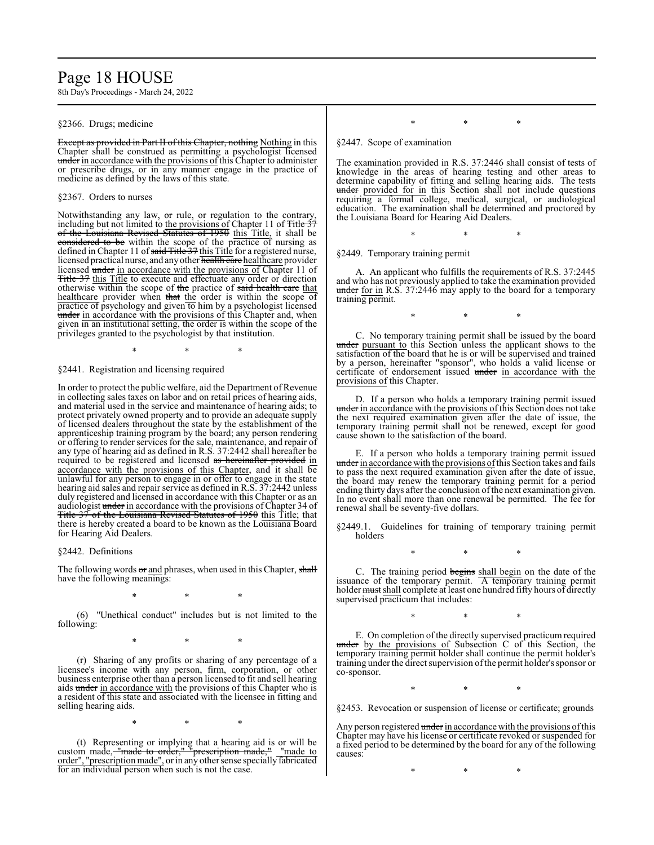### Page 18 HOUSE

8th Day's Proceedings - March 24, 2022

#### §2366. Drugs; medicine

Except as provided in Part II of this Chapter, nothing Nothing in this Chapter shall be construed as permitting a psychologist licensed under in accordance with the provisions of this Chapter to administer or prescribe drugs, or in any manner engage in the practice of medicine as defined by the laws of this state.

#### §2367. Orders to nurses

Notwithstanding any law, or rule, or regulation to the contrary, including but not limited to the provisions of Chapter 11 of Title 37 of the Louisiana Revised Statutes of 1950 this Title, it shall be considered to be within the scope of the practice of nursing as defined in Chapter 11 of said Title 37 this Title for a registered nurse, licensed practical nurse, and any other health care healthcare provider licensed under in accordance with the provisions of Chapter 11 of Title 37 this Title to execute and effectuate any order or direction otherwise within the scope of the practice of said health care that healthcare provider when that the order is within the scope of practice of psychology and given to him by a psychologist licensed under in accordance with the provisions of this Chapter and, when given in an institutional setting, the order is within the scope of the privileges granted to the psychologist by that institution.

\* \* \*

#### §2441. Registration and licensing required

In order to protect the public welfare, aid the Department of Revenue in collecting sales taxes on labor and on retail prices of hearing aids, and material used in the service and maintenance of hearing aids; to protect privately owned property and to provide an adequate supply of licensed dealers throughout the state by the establishment of the apprenticeship training program by the board; any person rendering or offering to render services for the sale, maintenance, and repair of any type of hearing aid as defined in R.S. 37:2442 shall hereafter be required to be registered and licensed as hereinafter provided in accordance with the provisions of this Chapter, and it shall be unlawful for any person to engage in or offer to engage in the state hearing aid sales and repair service as defined in R.S. 37:2442 unless duly registered and licensed in accordance with this Chapter or as an audiologist under in accordance with the provisions of Chapter 34 of Title 37 of the Louisiana Revised Statutes of 1950 this Title; that there is hereby created a board to be known as the Louisiana Board for Hearing Aid Dealers.

#### §2442. Definitions

The following words or and phrases, when used in this Chapter, shall have the following meanings:

\* \* \*

(6) "Unethical conduct" includes but is not limited to the following:

\* \* \*

(r) Sharing of any profits or sharing of any percentage of a licensee's income with any person, firm, corporation, or other business enterprise other than a person licensed to fit and sell hearing aids under in accordance with the provisions of this Chapter who is a resident of this state and associated with the licensee in fitting and selling hearing aids.

\* \* \*

(t) Representing or implying that a hearing aid is or will be custom made, "made to order," "prescription made," Imade to order", "prescription made", orin any other sense specially fabricated for an individual person when such is not the case.

#### \* \* \*

§2447. Scope of examination

The examination provided in R.S. 37:2446 shall consist of tests of knowledge in the areas of hearing testing and other areas to determine capability of fitting and selling hearing aids. The tests under provided for in this Section shall not include questions requiring a formal college, medical, surgical, or audiological education. The examination shall be determined and proctored by the Louisiana Board for Hearing Aid Dealers.

\* \* \*

§2449. Temporary training permit

A. An applicant who fulfills the requirements of R.S. 37:2445 and who has not previously applied to take the examination provided under for in R.S. 37:2446 may apply to the board for a temporary training permit.

\* \* \*

C. No temporary training permit shall be issued by the board under pursuant to this Section unless the applicant shows to the satisfaction of the board that he is or will be supervised and trained by a person, hereinafter "sponsor", who holds a valid license or certificate of endorsement issued under in accordance with the provisions of this Chapter.

D. If a person who holds a temporary training permit issued under in accordance with the provisions of this Section does not take the next required examination given after the date of issue, the temporary training permit shall not be renewed, except for good cause shown to the satisfaction of the board.

E. If a person who holds a temporary training permit issued under in accordance with the provisions of this Section takes and fails to pass the next required examination given after the date of issue, the board may renew the temporary training permit for a period ending thirty days after the conclusion ofthe next examination given. In no event shall more than one renewal be permitted. The fee for renewal shall be seventy-five dollars.

§2449.1. Guidelines for training of temporary training permit holders

\* \* \*

C. The training period begins shall begin on the date of the issuance of the temporary permit. A temporary training permit holder must shall complete at least one hundred fifty hours of directly supervised practicum that includes:

\* \* \* E. On completion of the directly supervised practicum required under by the provisions of Subsection C of this Section, the temporary training permit holder shall continue the permit holder's

training under the direct supervision ofthe permit holder's sponsor or

\* \* \*

co-sponsor.

§2453. Revocation or suspension of license or certificate; grounds

Any person registered under in accordance with the provisions of this Chapter may have his license or certificate revoked or suspended for a fixed period to be determined by the board for any of the following causes:

\* \* \*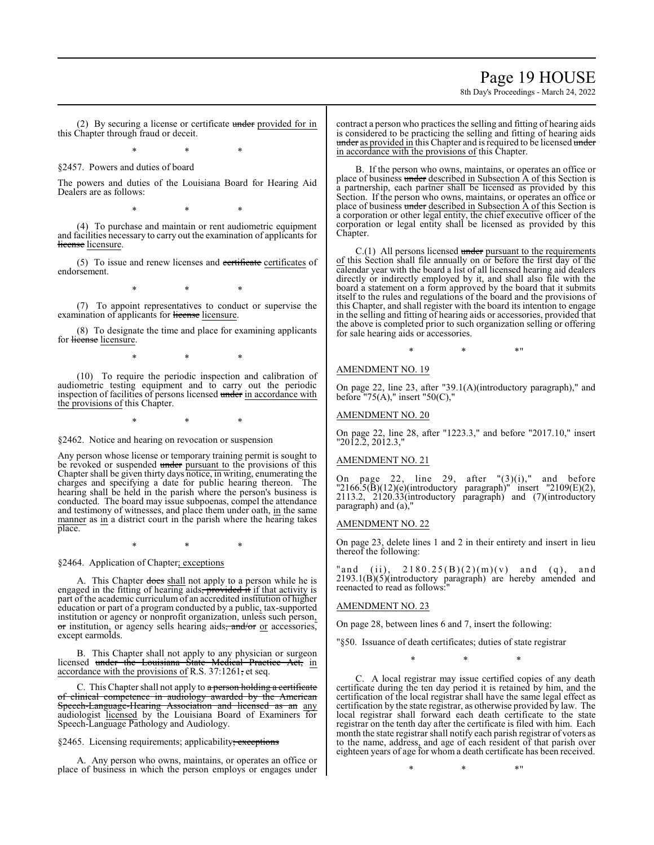### Page 19 HOUSE

8th Day's Proceedings - March 24, 2022

(2) By securing a license or certificate  $under$  provided for in this Chapter through fraud or deceit.

\* \* \*

§2457. Powers and duties of board

The powers and duties of the Louisiana Board for Hearing Aid Dealers are as follows:

\* \* \*

(4) To purchase and maintain or rent audiometric equipment and facilities necessary to carry out the examination of applicants for license licensure.

(5) To issue and renew licenses and certificate certificates of endorsement.

\* \* \*

(7) To appoint representatives to conduct or supervise the examination of applicants for license licensure.

(8) To designate the time and place for examining applicants for license licensure.

\* \* \*

(10) To require the periodic inspection and calibration of audiometric testing equipment and to carry out the periodic inspection of facilities of persons licensed under in accordance with the provisions of this Chapter.

\* \* \*

§2462. Notice and hearing on revocation or suspension

Any person whose license or temporary training permit is sought to be revoked or suspended under pursuant to the provisions of this Chapter shall be given thirty days notice, in writing, enumerating the charges and specifying a date for public hearing thereon. The hearing shall be held in the parish where the person's business is conducted. The board may issue subpoenas, compel the attendance and testimony of witnesses, and place them under oath,  $\overline{in}$  the same manner as in a district court in the parish where the hearing takes place.

\* \* \*

§2464. Application of Chapter; exceptions

A. This Chapter does shall not apply to a person while he is engaged in the fitting of hearing aids, provided it if that activity is part of the academic curriculum of an accredited institution of higher education or part of a program conducted by a public, tax-supported institution or agency or nonprofit organization, unless such person, or institution, or agency sells hearing aids, and/or or accessories, except earmolds.

B. This Chapter shall not apply to any physician or surgeon licensed <del>under the Louisiana State Medical Practice Act,</del> in accordance with the provisions of R.S. 37:1261, et seq.

C. This Chapter shall not apply to a person holding a certificate of clinical competence in audiology awarded by the American Speech-Language-Hearing Association and licensed as an any audiologist licensed by the Louisiana Board of Examiners for Speech-Language Pathology and Audiology.

§2465. Licensing requirements; applicability; exceptions

A. Any person who owns, maintains, or operates an office or place of business in which the person employs or engages under contract a person who practices the selling and fitting of hearing aids is considered to be practicing the selling and fitting of hearing aids under as provided in this Chapter and is required to be licensed under in accordance with the provisions of this Chapter.

B. If the person who owns, maintains, or operates an office or place of business under described in Subsection A of this Section is a partnership, each partner shall be licensed as provided by this Section. If the person who owns, maintains, or operates an office or place of business under described in Subsection A of this Section is a corporation or other legal entity, the chief executive officer of the corporation or legal entity shall be licensed as provided by this Chapter.

 $C.(1)$  All persons licensed under pursuant to the requirements of this Section shall file annually on or before the first day of the calendar year with the board a list of all licensed hearing aid dealers directly or indirectly employed by it, and shall also file with the board a statement on a form approved by the board that it submits itself to the rules and regulations of the board and the provisions of this Chapter, and shall register with the board its intention to engage in the selling and fitting of hearing aids or accessories, provided that the above is completed prior to such organization selling or offering for sale hearing aids or accessories.

AMENDMENT NO. 19

On page 22, line 23, after "39.1(A)(introductory paragraph)," and before "75 $(A)$ ," insert "50 $(C)$ ,"

 $*$  \*  $*$  \*

AMENDMENT NO. 20

On page 22, line 28, after "1223.3," and before "2017.10," insert "2012.2, 2012.3,"

#### AMENDMENT NO. 21

On page 22, line 29, after  $"(3)(i)$ ," and before  $"2166.5(B)(12)(e)$ (introductory paragraph)" insert "2109 $(E)(2)$ , 2113.2, 2120.33(introductory paragraph) and (7)(introductory paragraph) and (a),

#### AMENDMENT NO. 22

On page 23, delete lines 1 and 2 in their entirety and insert in lieu thereof the following:

" and (ii),  $2180.25(B)(2)(m)(v)$  and (q), and 2193.1(B)(5)(introductory paragraph) are hereby amended and reenacted to read as follows:"

#### AMENDMENT NO. 23

On page 28, between lines 6 and 7, insert the following:

"§50. Issuance of death certificates; duties of state registrar

\* \* \*

C. A local registrar may issue certified copies of any death certificate during the ten day period it is retained by him, and the certification of the local registrar shall have the same legal effect as certification by the state registrar, as otherwise provided by law. The local registrar shall forward each death certificate to the state registrar on the tenth day after the certificate is filed with him. Each month the state registrar shall notify each parish registrar of voters as to the name, address, and age of each resident of that parish over eighteen years of age for whom a death certificate has been received.

 $*$  \*  $*$  \*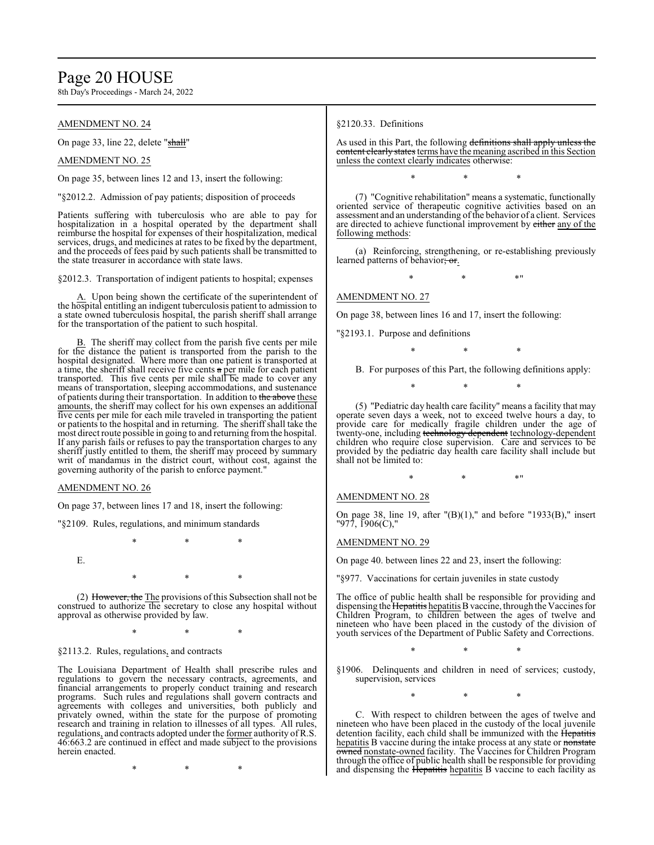### Page 20 HOUSE

8th Day's Proceedings - March 24, 2022

#### AMENDMENT NO. 24

On page 33, line 22, delete "shall"

#### AMENDMENT NO. 25

On page 35, between lines 12 and 13, insert the following:

"§2012.2. Admission of pay patients; disposition of proceeds

Patients suffering with tuberculosis who are able to pay for hospitalization in a hospital operated by the department shall reimburse the hospital for expenses of their hospitalization, medical services, drugs, and medicines at rates to be fixed by the department, and the proceeds of fees paid by such patients shall be transmitted to the state treasurer in accordance with state laws.

§2012.3. Transportation of indigent patients to hospital; expenses

A. Upon being shown the certificate of the superintendent of the hospital entitling an indigent tuberculosis patient to admission to a state owned tuberculosis hospital, the parish sheriff shall arrange for the transportation of the patient to such hospital.

B. The sheriff may collect from the parish five cents per mile for the distance the patient is transported from the parish to the hospital designated. Where more than one patient is transported at a time, the sheriff shall receive five cents a per mile for each patient transported. This five cents per mile shall be made to cover any means of transportation, sleeping accommodations, and sustenance of patients during their transportation. In addition to the above these amounts, the sheriff may collect for his own expenses an additional five cents per mile for each mile traveled in transporting the patient or patients to the hospital and in returning. The sheriff shall take the most direct route possible in going to and returning fromthe hospital. If any parish fails or refuses to pay the transportation charges to any sheriff justly entitled to them, the sheriff may proceed by summary writ of mandamus in the district court, without cost, against the governing authority of the parish to enforce payment."

#### AMENDMENT NO. 26

On page 37, between lines 17 and 18, insert the following:

"§2109. Rules, regulations, and minimum standards

\* \* \*

E.

\* \* \*

(2) However, the The provisions of this Subsection shall not be construed to authorize the secretary to close any hospital without approval as otherwise provided by law.

\* \* \*

#### §2113.2. Rules, regulations, and contracts

The Louisiana Department of Health shall prescribe rules and regulations to govern the necessary contracts, agreements, and financial arrangements to properly conduct training and research programs. Such rules and regulations shall govern contracts and agreements with colleges and universities, both publicly and privately owned, within the state for the purpose of promoting research and training in relation to illnesses of all types. All rules, regulations, and contracts adopted under the former authority of R.S. 46:663.2 are continued in effect and made subject to the provisions herein enacted.

\* \* \*

#### §2120.33. Definitions

As used in this Part, the following definitions shall apply unless the content clearly states terms have the meaning ascribed in this Section unless the context clearly indicates otherwise:

\* \* \*

(7) "Cognitive rehabilitation" means a systematic, functionally oriented service of therapeutic cognitive activities based on an assessment and an understanding of the behavior of a client. Services are directed to achieve functional improvement by either any of the following methods:

(a) Reinforcing, strengthening, or re-establishing previously learned patterns of behavior; or.

\* \* \*"

#### AMENDMENT NO. 27

On page 38, between lines 16 and 17, insert the following:

"§2193.1. Purpose and definitions

\* \* \*

B. For purposes of this Part, the following definitions apply:

(5) "Pediatric day health care facility" means a facility that may operate seven days a week, not to exceed twelve hours a day, to provide care for medically fragile children under the age of twenty-one, including technology dependent technology-dependent children who require close supervision. Care and services to be provided by the pediatric day health care facility shall include but shall not be limited to:

\* \* \*

 $*$  \*  $*$  \*

#### AMENDMENT NO. 28

On page 38, line 19, after "(B)(1)," and before "1933(B)," insert "977, 1906(C),"

#### AMENDMENT NO. 29

On page 40. between lines 22 and 23, insert the following:

"§977. Vaccinations for certain juveniles in state custody

The office of public health shall be responsible for providing and dispensing the Hepatitis hepatitis B vaccine, through the Vaccines for Children Program, to children between the ages of twelve and nineteen who have been placed in the custody of the division of youth services of the Department of Public Safety and Corrections.

\* \* \*

§1906. Delinquents and children in need of services; custody, supervision, services

\* \* \*

C. With respect to children between the ages of twelve and nineteen who have been placed in the custody of the local juvenile detention facility, each child shall be immunized with the Hepatitis hepatitis B vaccine during the intake process at any state or nonstate owned nonstate-owned facility. The Vaccines for Children Program through the office of public health shall be responsible for providing and dispensing the Hepatitis hepatitis B vaccine to each facility as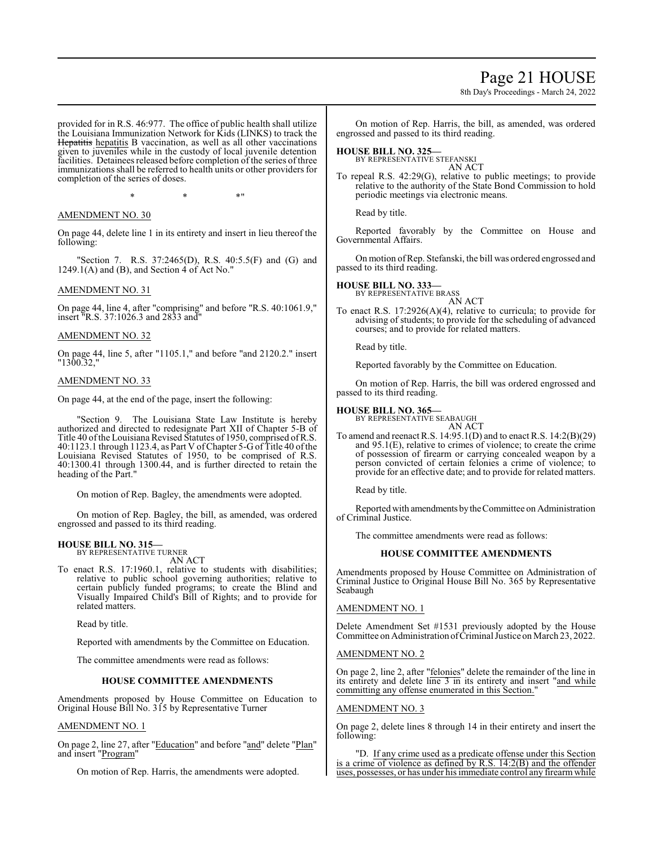### Page 21 HOUSE

8th Day's Proceedings - March 24, 2022

provided for in R.S. 46:977. The office of public health shall utilize the Louisiana Immunization Network for Kids (LINKS) to track the Hepatitis hepatitis B vaccination, as well as all other vaccinations given to juveniles while in the custody of local juvenile detention facilities. Detainees released before completion of the series of three immunizations shall be referred to health units or other providers for completion of the series of doses.

 $*$  \*  $*$  \*

#### AMENDMENT NO. 30

On page 44, delete line 1 in its entirety and insert in lieu thereof the following:

"Section 7. R.S. 37:2465(D), R.S. 40:5.5(F) and (G) and  $1249.1(A)$  and (B), and Section 4 of Act No."

#### AMENDMENT NO. 31

On page 44, line 4, after "comprising" and before "R.S. 40:1061.9," insert "R.S. 37:1026.3 and 2833 and"

#### AMENDMENT NO. 32

On page 44, line 5, after "1105.1," and before "and 2120.2." insert "1300.32,"

#### AMENDMENT NO. 33

On page 44, at the end of the page, insert the following:

"Section 9. The Louisiana State Law Institute is hereby authorized and directed to redesignate Part XII of Chapter 5-B of Title 40 ofthe Louisiana Revised Statutes of 1950, comprised ofR.S. 40:1123.1 through 1123.4, as Part V ofChapter 5-G of Title 40 ofthe Louisiana Revised Statutes of 1950, to be comprised of R.S. 40:1300.41 through 1300.44, and is further directed to retain the heading of the Part."

On motion of Rep. Bagley, the amendments were adopted.

On motion of Rep. Bagley, the bill, as amended, was ordered engrossed and passed to its third reading.

#### **HOUSE BILL NO. 315—** BY REPRESENTATIVE TURNER

AN ACT

To enact R.S. 17:1960.1, relative to students with disabilities; relative to public school governing authorities; relative to certain publicly funded programs; to create the Blind and Visually Impaired Child's Bill of Rights; and to provide for related matters.

Read by title.

Reported with amendments by the Committee on Education.

The committee amendments were read as follows:

#### **HOUSE COMMITTEE AMENDMENTS**

Amendments proposed by House Committee on Education to Original House Bill No. 315 by Representative Turner

#### AMENDMENT NO. 1

On page 2, line 27, after "Education" and before "and" delete "Plan" and insert "Program"

On motion of Rep. Harris, the amendments were adopted.

On motion of Rep. Harris, the bill, as amended, was ordered engrossed and passed to its third reading.

**HOUSE BILL NO. 325—**

BY REPRESENTATIVE STEFANSKI AN ACT

To repeal R.S. 42:29(G), relative to public meetings; to provide relative to the authority of the State Bond Commission to hold periodic meetings via electronic means.

Read by title.

Reported favorably by the Committee on House and Governmental Affairs.

On motion ofRep. Stefanski, the bill was ordered engrossed and passed to its third reading.

**HOUSE BILL NO. 333—** BY REPRESENTATIVE BRASS

AN ACT

To enact R.S. 17:2926(A)(4), relative to curricula; to provide for advising of students; to provide for the scheduling of advanced courses; and to provide for related matters.

Read by title.

Reported favorably by the Committee on Education.

On motion of Rep. Harris, the bill was ordered engrossed and passed to its third reading.

#### **HOUSE BILL NO. 365—**

BY REPRESENTATIVE SEABAUGH

AN ACT To amend and reenact R.S. 14:95.1(D) and to enact R.S. 14:2(B)(29) and 95.1(E), relative to crimes of violence; to create the crime of possession of firearm or carrying concealed weapon by a person convicted of certain felonies a crime of violence; to provide for an effective date; and to provide for related matters.

Read by title.

Reported with amendments bytheCommittee on Administration of Criminal Justice.

The committee amendments were read as follows:

#### **HOUSE COMMITTEE AMENDMENTS**

Amendments proposed by House Committee on Administration of Criminal Justice to Original House Bill No. 365 by Representative Seabaugh

#### AMENDMENT NO. 1

Delete Amendment Set #1531 previously adopted by the House Committee on Administration ofCriminal Justice on March 23, 2022.

#### AMENDMENT NO. 2

On page 2, line 2, after "felonies" delete the remainder of the line in its entirety and delete line 3 in its entirety and insert "and while committing any offense enumerated in this Section."

#### AMENDMENT NO. 3

On page 2, delete lines 8 through 14 in their entirety and insert the following:

"D. If any crime used as a predicate offense under this Section is a crime of violence as defined by R.S. 14:2(B) and the offender uses, possesses, or has under his immediate control any firearmwhile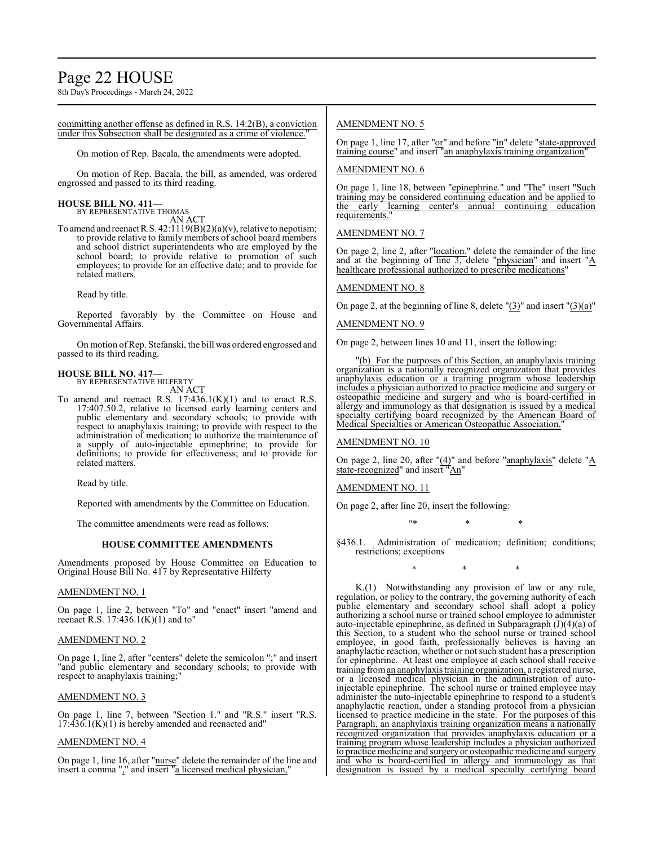8th Day's Proceedings - March 24, 2022

committing another offense as defined in R.S. 14:2(B), a conviction under this Subsection shall be designated as a crime of violence.

On motion of Rep. Bacala, the amendments were adopted.

On motion of Rep. Bacala, the bill, as amended, was ordered engrossed and passed to its third reading.

**HOUSE BILL NO. 411—** BY REPRESENTATIVE THOMAS AN ACT

To amend and reenactR.S. 42:1119(B)(2)(a)(v), relative to nepotism; to provide relative to family members of school board members and school district superintendents who are employed by the school board; to provide relative to promotion of such employees; to provide for an effective date; and to provide for related matters.

Read by title.

Reported favorably by the Committee on House and Governmental Affairs.

On motion ofRep. Stefanski, the bill was ordered engrossed and passed to its third reading.

### **HOUSE BILL NO. 417—**

BY REPRESENTATIVE HILFERTY AN ACT

To amend and reenact R.S.  $17:436.1(K)(1)$  and to enact R.S. 17:407.50.2, relative to licensed early learning centers and public elementary and secondary schools; to provide with respect to anaphylaxis training; to provide with respect to the administration of medication; to authorize the maintenance of a supply of auto-injectable epinephrine; to provide for definitions; to provide for effectiveness; and to provide for related matters.

Read by title.

Reported with amendments by the Committee on Education.

The committee amendments were read as follows:

#### **HOUSE COMMITTEE AMENDMENTS**

Amendments proposed by House Committee on Education to Original House Bill No. 417 by Representative Hilferty

#### AMENDMENT NO. 1

On page 1, line 2, between "To" and "enact" insert "amend and reenact R.S.  $17:436.1(K)(1)$  and to"

#### AMENDMENT NO. 2

On page 1, line 2, after "centers" delete the semicolon ";" and insert "and public elementary and secondary schools; to provide with respect to anaphylaxis training;"

#### AMENDMENT NO. 3

On page 1, line 7, between "Section 1." and "R.S." insert "R.S.  $17:436.1(K)(1)$  is hereby amended and reenacted and"

#### AMENDMENT NO. 4

On page 1, line 16, after "nurse" delete the remainder of the line and insert a comma "," and insert "a licensed medical physician,"

#### AMENDMENT NO. 5

On page 1, line 17, after "or" and before "in" delete "state-approved training course" and insert "an anaphylaxis training organization"

#### AMENDMENT NO. 6

On page 1, line 18, between "epinephrine." and "The" insert "Such training may be considered continuing education and be applied to the early learning center's annual continuing education requirements.

#### AMENDMENT NO. 7

On page 2, line 2, after "location." delete the remainder of the line and at the beginning of line  $\overline{3}$ , delete "physician" and insert " $\underline{A}$ healthcare professional authorized to prescribe medications'

#### AMENDMENT NO. 8

On page 2, at the beginning of line 8, delete  $\Gamma(3)$ " and insert  $\Gamma(3)(a)$ "

#### AMENDMENT NO. 9

On page 2, between lines 10 and 11, insert the following:

(b) For the purposes of this Section, an anaphylaxis training organization is a nationally recognized organization that provides anaphylaxis education or a training program whose leadership includes a physician authorized to practice medicine and surgery or osteopathic medicine and surgery and who is board-certified in allergy and immunology as that designation is issued by a medical specialty certifying board recognized by the American Board of Medical Specialties or American Osteopathic Association.

AMENDMENT NO. 10

On page 2, line 20, after "(4)" and before "anaphylaxis" delete "A state-recognized" and insert "An"

#### AMENDMENT NO. 11

On page 2, after line 20, insert the following:

"\* \* \*

§436.1. Administration of medication; definition; conditions; restrictions; exceptions

\* \* \*

K.(1) Notwithstanding any provision of law or any rule, regulation, or policy to the contrary, the governing authority of each public elementary and secondary school shall adopt a policy authorizing a school nurse or trained school employee to administer auto-injectable epinephrine, as defined in Subparagraph (J)(4)(a) of this Section, to a student who the school nurse or trained school employee, in good faith, professionally believes is having an anaphylactic reaction, whether or not such student has a prescription for epinephrine. At least one employee at each school shall receive training froman anaphylaxis training organization, a registered nurse, or a licensed medical physician in the administration of autoinjectable epinephrine. The school nurse or trained employee may administer the auto-injectable epinephrine to respond to a student's anaphylactic reaction, under a standing protocol from a physician licensed to practice medicine in the state. For the purposes of this Paragraph, an anaphylaxis training organization means a nationally recognized organization that provides anaphylaxis education or a training program whose leadership includes a physician authorized to practice medicine and surgery or osteopathic medicine and surgery and who is board-certified in allergy and immunology as that designation is issued by a medical specialty certifying board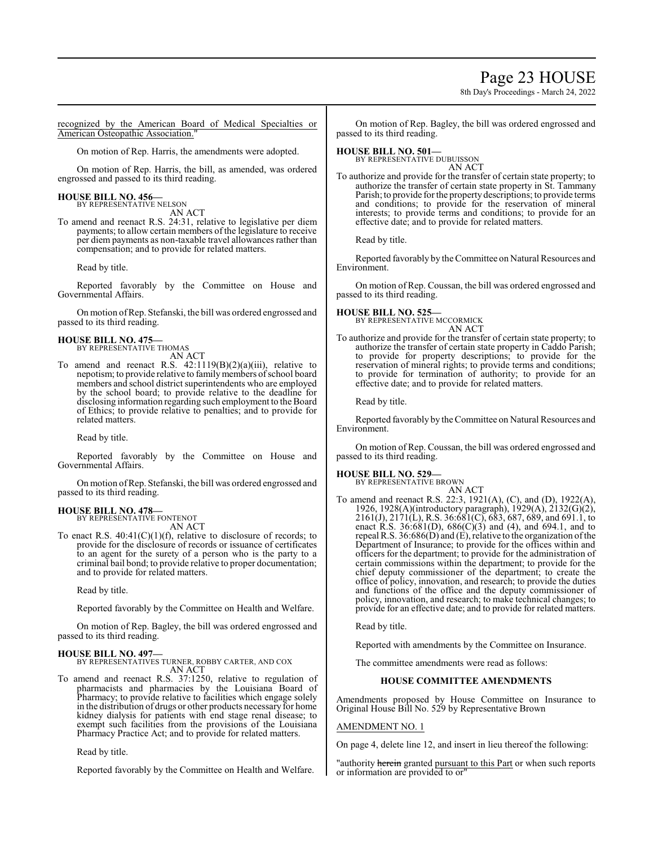### Page 23 HOUSE

8th Day's Proceedings - March 24, 2022

recognized by the American Board of Medical Specialties or American Osteopathic Association."

On motion of Rep. Harris, the amendments were adopted.

On motion of Rep. Harris, the bill, as amended, was ordered engrossed and passed to its third reading.

### **HOUSE BILL NO. 456—** BY REPRESENTATIVE NELSON

AN ACT

To amend and reenact R.S. 24:31, relative to legislative per diem payments; to allow certain members of the legislature to receive per diem payments as non-taxable travel allowances rather than compensation; and to provide for related matters.

Read by title.

Reported favorably by the Committee on House and Governmental Affairs.

On motion ofRep. Stefanski, the bill was ordered engrossed and passed to its third reading.

#### **HOUSE BILL NO. 475—** BY REPRESENTATIVE THOMAS

AN ACT

To amend and reenact R.S. 42:1119(B)(2)(a)(iii), relative to nepotism; to provide relative to family members of school board members and school district superintendents who are employed by the school board; to provide relative to the deadline for disclosing information regarding such employment to the Board of Ethics; to provide relative to penalties; and to provide for related matters.

Read by title.

Reported favorably by the Committee on House and Governmental Affairs.

On motion ofRep. Stefanski, the bill was ordered engrossed and passed to its third reading.

#### **HOUSE BILL NO. 478—**

BY REPRESENTATIVE FONTENOT AN ACT

To enact R.S. 40:41(C)(1)(f), relative to disclosure of records; to provide for the disclosure of records or issuance of certificates to an agent for the surety of a person who is the party to a criminal bail bond; to provide relative to proper documentation; and to provide for related matters.

Read by title.

Reported favorably by the Committee on Health and Welfare.

On motion of Rep. Bagley, the bill was ordered engrossed and passed to its third reading.

#### **HOUSE BILL NO. 497—**

BY REPRESENTATIVES TURNER, ROBBY CARTER, AND COX AN ACT

To amend and reenact R.S. 37:1250, relative to regulation of pharmacists and pharmacies by the Louisiana Board of Pharmacy; to provide relative to facilities which engage solely in the distribution of drugs or other products necessary for home kidney dialysis for patients with end stage renal disease; to exempt such facilities from the provisions of the Louisiana Pharmacy Practice Act; and to provide for related matters.

Read by title.

Reported favorably by the Committee on Health and Welfare.

On motion of Rep. Bagley, the bill was ordered engrossed and passed to its third reading.

### **HOUSE BILL NO. 501—** BY REPRESENTATIVE DUBUISSON

AN ACT

To authorize and provide for the transfer of certain state property; to authorize the transfer of certain state property in St. Tammany Parish; to provide for the property descriptions; to provide terms and conditions; to provide for the reservation of mineral interests; to provide terms and conditions; to provide for an effective date; and to provide for related matters.

Read by title.

Reported favorably by the Committee on Natural Resources and Environment.

On motion of Rep. Coussan, the bill was ordered engrossed and passed to its third reading.

#### **HOUSE BILL NO. 525—**

BY REPRESENTATIVE MCCORMICK AN ACT

To authorize and provide for the transfer of certain state property; to authorize the transfer of certain state property in Caddo Parish; to provide for property descriptions; to provide for the reservation of mineral rights; to provide terms and conditions; to provide for termination of authority; to provide for an effective date; and to provide for related matters.

Read by title.

Reported favorably by the Committee on Natural Resources and Environment.

On motion of Rep. Coussan, the bill was ordered engrossed and passed to its third reading.

**HOUSE BILL NO. 529—** BY REPRESENTATIVE BROWN

AN ACT To amend and reenact R.S. 22:3, 1921(A), (C), and (D), 1922(A), 1926, 1928(A)(introductory paragraph), 1929(A), 2132(G)(2), 2161(J), 2171(L), R.S. 36:681(C), 683, 687, 689, and 691.1, to enact R.S. 36:681(D), 686(C)(3) and (4), and 694.1, and to repeal R.S.  $36:686(D)$  and (E), relative to the organization of the Department of Insurance; to provide for the offices within and officers for the department; to provide for the administration of certain commissions within the department; to provide for the chief deputy commissioner of the department; to create the office of policy, innovation, and research; to provide the duties and functions of the office and the deputy commissioner of policy, innovation, and research; to make technical changes; to provide for an effective date; and to provide for related matters.

Read by title.

Reported with amendments by the Committee on Insurance.

The committee amendments were read as follows:

#### **HOUSE COMMITTEE AMENDMENTS**

Amendments proposed by House Committee on Insurance to Original House Bill No. 529 by Representative Brown

#### AMENDMENT NO. 1

On page 4, delete line 12, and insert in lieu thereof the following:

"authority herein granted pursuant to this Part or when such reports or information are provided to or"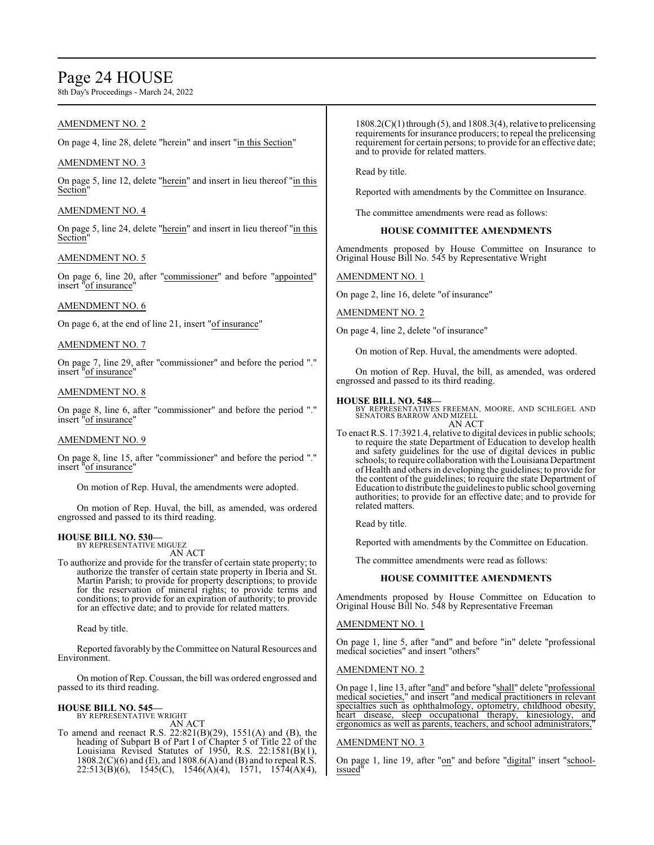### Page 24 HOUSE

8th Day's Proceedings - March 24, 2022

#### AMENDMENT NO. 2

On page 4, line 28, delete "herein" and insert "in this Section"

#### AMENDMENT NO. 3

On page 5, line 12, delete "herein" and insert in lieu thereof "in this Section"

#### AMENDMENT NO. 4

On page 5, line 24, delete "herein" and insert in lieu thereof "in this Section"

#### AMENDMENT NO. 5

On page 6, line 20, after "commissioner" and before "appointed" insert "of insurance"

#### AMENDMENT NO. 6

On page 6, at the end of line 21, insert "of insurance"

#### AMENDMENT NO. 7

On page 7, line 29, after "commissioner" and before the period "." insert "of insurance"

#### AMENDMENT NO. 8

On page 8, line 6, after "commissioner" and before the period "." insert "of insurance"

#### AMENDMENT NO. 9

On page 8, line 15, after "commissioner" and before the period "." insert "of insurance"

On motion of Rep. Huval, the amendments were adopted.

On motion of Rep. Huval, the bill, as amended, was ordered engrossed and passed to its third reading.

#### **HOUSE BILL NO. 530—** BY REPRESENTATIVE MIGUEZ

AN ACT

To authorize and provide for the transfer of certain state property; to authorize the transfer of certain state property in Iberia and St. Martin Parish; to provide for property descriptions; to provide for the reservation of mineral rights; to provide terms and conditions; to provide for an expiration of authority; to provide for an effective date; and to provide for related matters.

Read by title.

Reported favorably by the Committee on Natural Resources and Environment.

On motion of Rep. Coussan, the bill was ordered engrossed and passed to its third reading.

#### **HOUSE BILL NO. 545—**

BY REPRESENTATIVE WRIGHT AN ACT

To amend and reenact R.S. 22:821(B)(29), 1551(A) and (B), the heading of Subpart B of Part I of Chapter 5 of Title 22 of the Louisiana Revised Statutes of 1950, R.S. 22:1581(B)(1),  $1808.2(C)(6)$  and (E), and  $1808.6(A)$  and (B) and to repeal R.S. 22:513(B)(6), 1545(C), 1546(A)(4), 1571, 1574(A)(4),

 $1808.2(C)(1)$  through (5), and  $1808.3(4)$ , relative to prelicensing requirements for insurance producers; to repeal the prelicensing requirement for certain persons; to provide for an effective date; and to provide for related matters.

Read by title.

Reported with amendments by the Committee on Insurance.

The committee amendments were read as follows:

#### **HOUSE COMMITTEE AMENDMENTS**

Amendments proposed by House Committee on Insurance to Original House Bill No. 545 by Representative Wright

#### AMENDMENT NO. 1

On page 2, line 16, delete "of insurance"

AMENDMENT NO. 2

On page 4, line 2, delete "of insurance"

On motion of Rep. Huval, the amendments were adopted.

On motion of Rep. Huval, the bill, as amended, was ordered engrossed and passed to its third reading.

#### **HOUSE BILL NO. 548—**

BY REPRESENTATIVES FREEMAN, MOORE, AND SCHLEGEL AND SENATORS BARROW AND MIZELL AN ACT

To enact R.S. 17:3921.4, relative to digital devices in public schools; to require the state Department of Education to develop health and safety guidelines for the use of digital devices in public schools; to require collaboration with the Louisiana Department of Health and others in developing the guidelines; to provide for the content of the guidelines; to require the state Department of Education to distribute the guidelines to public school governing authorities; to provide for an effective date; and to provide for related matters.

Read by title.

Reported with amendments by the Committee on Education.

The committee amendments were read as follows:

#### **HOUSE COMMITTEE AMENDMENTS**

Amendments proposed by House Committee on Education to Original House Bill No. 548 by Representative Freeman

#### AMENDMENT NO. 1

On page 1, line 5, after "and" and before "in" delete "professional medical societies" and insert "others"

#### AMENDMENT NO. 2

On page 1, line 13, after "and" and before "shall" delete "professional medical societies," and insert "and medical practitioners in relevant specialties such as ophthalmology, optometry, childhood obesity, heart disease, sleep occupational therapy, kinesiology, and ergonomics as well as parents, teachers, and school administrators,"

#### AMENDMENT NO. 3

On page 1, line 19, after "on" and before "digital" insert "schoolissued"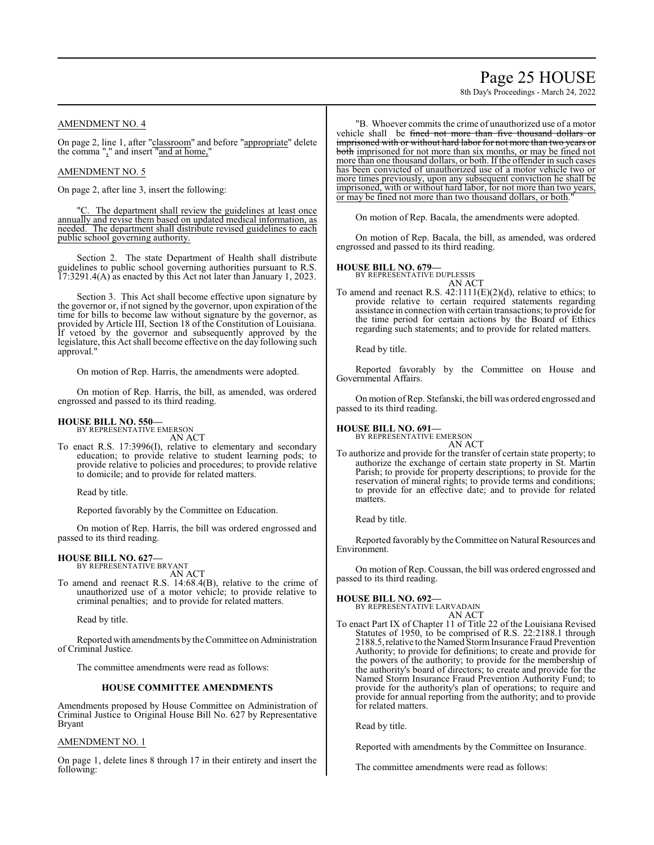## Page 25 HOUSE

8th Day's Proceedings - March 24, 2022

#### AMENDMENT NO. 4

On page 2, line 1, after "classroom" and before "appropriate" delete the comma "," and insert "and at home,"

#### AMENDMENT NO. 5

On page 2, after line 3, insert the following:

"C. The department shall review the guidelines at least once annually and revise them based on updated medical information, as needed. The department shall distribute revised guidelines to each public school governing authority.

Section 2. The state Department of Health shall distribute guidelines to public school governing authorities pursuant to R.S. 17:3291.4(A) as enacted by this Act not later than January 1, 2023.

Section 3. This Act shall become effective upon signature by the governor or, if not signed by the governor, upon expiration of the time for bills to become law without signature by the governor, as provided by Article III, Section 18 of the Constitution of Louisiana. If vetoed by the governor and subsequently approved by the legislature, this Act shall become effective on the day following such approval."

On motion of Rep. Harris, the amendments were adopted.

On motion of Rep. Harris, the bill, as amended, was ordered engrossed and passed to its third reading.

#### **HOUSE BILL NO. 550—** BY REPRESENTATIVE EMERSON

AN ACT

To enact R.S. 17:3996(I), relative to elementary and secondary education; to provide relative to student learning pods; to provide relative to policies and procedures; to provide relative to domicile; and to provide for related matters.

Read by title.

Reported favorably by the Committee on Education.

On motion of Rep. Harris, the bill was ordered engrossed and passed to its third reading.

### **HOUSE BILL NO. 627—**

BY REPRESENTATIVE BRYANT AN ACT

To amend and reenact R.S. 14:68.4(B), relative to the crime of unauthorized use of a motor vehicle; to provide relative to criminal penalties; and to provide for related matters.

Read by title.

Reported with amendments by the Committee on Administration of Criminal Justice.

The committee amendments were read as follows:

#### **HOUSE COMMITTEE AMENDMENTS**

Amendments proposed by House Committee on Administration of Criminal Justice to Original House Bill No. 627 by Representative Bryant

#### AMENDMENT NO. 1

On page 1, delete lines 8 through 17 in their entirety and insert the following:

"B. Whoever commits the crime of unauthorized use of a motor vehicle shall be fined not more than five thousand dollars or imprisoned with or without hard labor for not more than two years or both imprisoned for not more than six months, or may be fined not more than one thousand dollars, or both. If the offender in such cases has been convicted of unauthorized use of a motor vehicle two or more times previously, upon any subsequent conviction he shall be imprisoned, with or without hard labor, for not more than two years, or may be fined not more than two thousand dollars, or both.

On motion of Rep. Bacala, the amendments were adopted.

On motion of Rep. Bacala, the bill, as amended, was ordered engrossed and passed to its third reading.

#### **HOUSE BILL NO. 679—**

BY REPRESENTATIVE DUPLESSIS

AN ACT To amend and reenact R.S.  $42:1111(E)(2)(d)$ , relative to ethics; to provide relative to certain required statements regarding assistance in connection with certain transactions; to provide for the time period for certain actions by the Board of Ethics regarding such statements; and to provide for related matters.

Read by title.

Reported favorably by the Committee on House and Governmental Affairs.

On motion ofRep. Stefanski, the bill was ordered engrossed and passed to its third reading.

**HOUSE BILL NO. 691—**

BY REPRESENTATIVE EMERSON AN ACT

To authorize and provide for the transfer of certain state property; to authorize the exchange of certain state property in St. Martin Parish; to provide for property descriptions; to provide for the reservation of mineral rights; to provide terms and conditions; to provide for an effective date; and to provide for related matters.

Read by title.

Reported favorably by the Committee on Natural Resources and Environment.

On motion of Rep. Coussan, the bill was ordered engrossed and passed to its third reading.

**HOUSE BILL NO. 692—**

BY REPRESENTATIVE LARVADAIN

- AN ACT
- To enact Part IX of Chapter 11 of Title 22 of the Louisiana Revised Statutes of 1950, to be comprised of R.S. 22:2188.1 through 2188.5, relative to the Named Storm Insurance Fraud Prevention Authority; to provide for definitions; to create and provide for the powers of the authority; to provide for the membership of the authority's board of directors; to create and provide for the Named Storm Insurance Fraud Prevention Authority Fund; to provide for the authority's plan of operations; to require and provide for annual reporting from the authority; and to provide for related matters.

Read by title.

Reported with amendments by the Committee on Insurance.

The committee amendments were read as follows: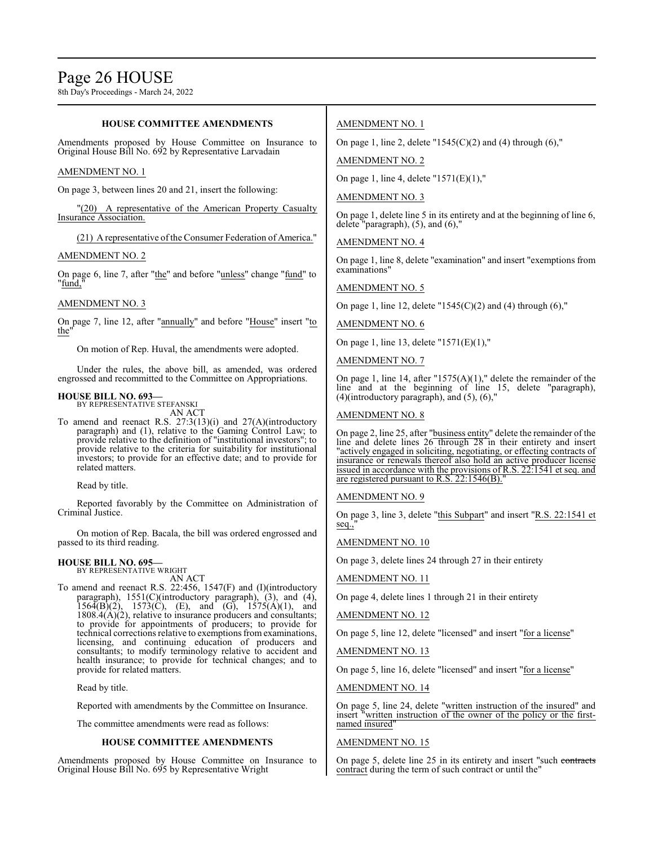#### **HOUSE COMMITTEE AMENDMENTS**

Amendments proposed by House Committee on Insurance to Original House Bill No. 692 by Representative Larvadain

#### AMENDMENT NO. 1

On page 3, between lines 20 and 21, insert the following:

"(20) A representative of the American Property Casualty Insurance Association.

(21) A representative of the Consumer Federation of America."

#### AMENDMENT NO. 2

On page 6, line 7, after "the" and before "unless" change "fund" to "fund,"

#### AMENDMENT NO. 3

On page 7, line 12, after "annually" and before "House" insert "to the"

On motion of Rep. Huval, the amendments were adopted.

Under the rules, the above bill, as amended, was ordered engrossed and recommitted to the Committee on Appropriations.

#### **HOUSE BILL NO. 693—** BY REPRESENTATIVE STEFANSKI

AN ACT

To amend and reenact R.S. 27:3(13)(i) and 27(A)(introductory paragraph) and (1), relative to the Gaming Control Law; to provide relative to the definition of "institutional investors"; to provide relative to the criteria for suitability for institutional investors; to provide for an effective date; and to provide for related matters.

Read by title.

Reported favorably by the Committee on Administration of Criminal Justice.

On motion of Rep. Bacala, the bill was ordered engrossed and passed to its third reading.

#### **HOUSE BILL NO. 695—** BY REPRESENTATIVE WRIGHT

AN ACT

To amend and reenact R.S. 22:456, 1547(F) and (I)(introductory paragraph), 1551(C)(introductory paragraph), (3), and (4),  $156\overline{A(B)}(2)$ ,  $1573\overline{C}$ , (E), and (G),  $1575\overline{A}(1)$ , and  $1808.4(A)(2)$ , relative to insurance producers and consultants; to provide for appointments of producers; to provide for technical corrections relative to exemptions fromexaminations, licensing, and continuing education of producers and consultants; to modify terminology relative to accident and health insurance; to provide for technical changes; and to provide for related matters.

Read by title.

Reported with amendments by the Committee on Insurance.

The committee amendments were read as follows:

#### **HOUSE COMMITTEE AMENDMENTS**

Amendments proposed by House Committee on Insurance to Original House Bill No. 695 by Representative Wright

#### AMENDMENT NO. 1

On page 1, line 2, delete " $1545(C)(2)$  and (4) through (6),"

AMENDMENT NO. 2

On page 1, line 4, delete "1571(E)(1),"

#### AMENDMENT NO. 3

On page 1, delete line 5 in its entirety and at the beginning of line 6, delete "paragraph), (5), and (6),"

AMENDMENT NO. 4

On page 1, line 8, delete "examination" and insert "exemptions from examinations<sup>'</sup>

#### AMENDMENT NO. 5

On page 1, line 12, delete " $1545(C)(2)$  and (4) through (6),"

AMENDMENT NO. 6

On page 1, line 13, delete "1571(E)(1),"

AMENDMENT NO. 7

On page 1, line 14, after "1575(A)(1)," delete the remainder of the line and at the beginning of line 15, delete "paragraph), (4)(introductory paragraph), and (5), (6),"

#### AMENDMENT NO. 8

On page 2, line 25, after "business entity" delete the remainder of the line and delete lines 26 through 28 in their entirety and insert 'actively engaged in soliciting, negotiating, or effecting contracts of insurance or renewals thereof also hold an active producer license issued in accordance with the provisions of R.S. 22:1541 et seq. and are registered pursuant to R.S.  $22:1546(B)$ .

#### AMENDMENT NO. 9

On page 3, line 3, delete "this Subpart" and insert "R.S. 22:1541 et seq.,

AMENDMENT NO. 10

On page 3, delete lines 24 through 27 in their entirety

AMENDMENT NO. 11

On page 4, delete lines 1 through 21 in their entirety

AMENDMENT NO. 12

On page 5, line 12, delete "licensed" and insert "for a license"

AMENDMENT NO. 13

On page 5, line 16, delete "licensed" and insert "for a license"

AMENDMENT NO. 14

On page 5, line 24, delete "written instruction of the insured" and insert "written instruction of the owner of the policy or the firstnamed insured"

#### AMENDMENT NO. 15

On page 5, delete line 25 in its entirety and insert "such contracts contract during the term of such contract or until the"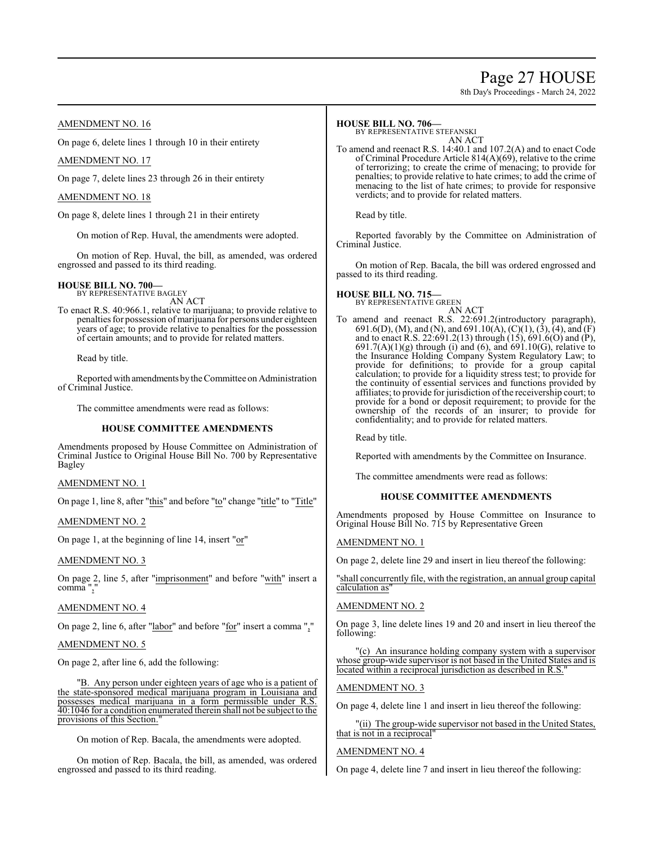### Page 27 HOUSE

8th Day's Proceedings - March 24, 2022

#### AMENDMENT NO. 16

On page 6, delete lines 1 through 10 in their entirety

#### AMENDMENT NO. 17

On page 7, delete lines 23 through 26 in their entirety

#### AMENDMENT NO. 18

On page 8, delete lines 1 through 21 in their entirety

On motion of Rep. Huval, the amendments were adopted.

On motion of Rep. Huval, the bill, as amended, was ordered engrossed and passed to its third reading.

### **HOUSE BILL NO. 700—** BY REPRESENTATIVE BAGLEY

AN ACT

To enact R.S. 40:966.1, relative to marijuana; to provide relative to penalties for possession of marijuana for persons under eighteen years of age; to provide relative to penalties for the possession of certain amounts; and to provide for related matters.

Read by title.

Reported with amendments bythe Committee on Administration of Criminal Justice.

The committee amendments were read as follows:

#### **HOUSE COMMITTEE AMENDMENTS**

Amendments proposed by House Committee on Administration of Criminal Justice to Original House Bill No. 700 by Representative Bagley

#### AMENDMENT NO. 1

On page 1, line 8, after "this" and before "to" change "title" to "Title"

#### AMENDMENT NO. 2

On page 1, at the beginning of line 14, insert "or"

#### AMENDMENT NO. 3

On page 2, line 5, after "imprisonment" and before "with" insert a comma ","

#### AMENDMENT NO. 4

On page 2, line 6, after "labor" and before "for" insert a comma ","

#### AMENDMENT NO. 5

On page 2, after line 6, add the following:

"B. Any person under eighteen years of age who is a patient of the state-sponsored medical marijuana program in Louisiana and possesses medical marijuana in a form permissible under R.S. 40:1046 for a condition enumerated therein shall not be subject to the provisions of this Section."

On motion of Rep. Bacala, the amendments were adopted.

On motion of Rep. Bacala, the bill, as amended, was ordered engrossed and passed to its third reading.

#### **HOUSE BILL NO. 706—**

BY REPRESENTATIVE STEFANSKI

AN ACT To amend and reenact R.S. 14:40.1 and 107.2(A) and to enact Code of Criminal Procedure Article 814(A)(69), relative to the crime of terrorizing; to create the crime of menacing; to provide for penalties; to provide relative to hate crimes; to add the crime of menacing to the list of hate crimes; to provide for responsive verdicts; and to provide for related matters.

Read by title.

Reported favorably by the Committee on Administration of Criminal Justice.

On motion of Rep. Bacala, the bill was ordered engrossed and passed to its third reading.

### **HOUSE BILL NO. 715—** BY REPRESENTATIVE GREEN

AN ACT

To amend and reenact R.S. 22:691.2(introductory paragraph), 691.6(D), (M), and (N), and 691.10(A), (C)(1), (3), (4), and (F) and to enact R.S. 22:691.2(13) through (15), 691.6(O) and (P),  $691.7(A)(1)(g)$  through (i) and (6), and  $691.10(G)$ , relative to the Insurance Holding Company System Regulatory Law; to provide for definitions; to provide for a group capital calculation; to provide for a liquidity stress test; to provide for the continuity of essential services and functions provided by affiliates; to provide for jurisdiction ofthe receivership court; to provide for a bond or deposit requirement; to provide for the ownership of the records of an insurer; to provide for confidentiality; and to provide for related matters.

Read by title.

Reported with amendments by the Committee on Insurance.

The committee amendments were read as follows:

#### **HOUSE COMMITTEE AMENDMENTS**

Amendments proposed by House Committee on Insurance to Original House Bill No. 715 by Representative Green

#### AMENDMENT NO. 1

On page 2, delete line 29 and insert in lieu thereof the following:

"shall concurrently file, with the registration, an annual group capital calculation as

#### AMENDMENT NO. 2

On page 3, line delete lines 19 and 20 and insert in lieu thereof the following:

(c) An insurance holding company system with a supervisor whose group-wide supervisor is not based in the United States and is located within a reciprocal jurisdiction as described in R.S.

#### AMENDMENT NO. 3

On page 4, delete line 1 and insert in lieu thereof the following:

"(ii) The group-wide supervisor not based in the United States, that is not in a reciprocal"

#### AMENDMENT NO. 4

On page 4, delete line 7 and insert in lieu thereof the following: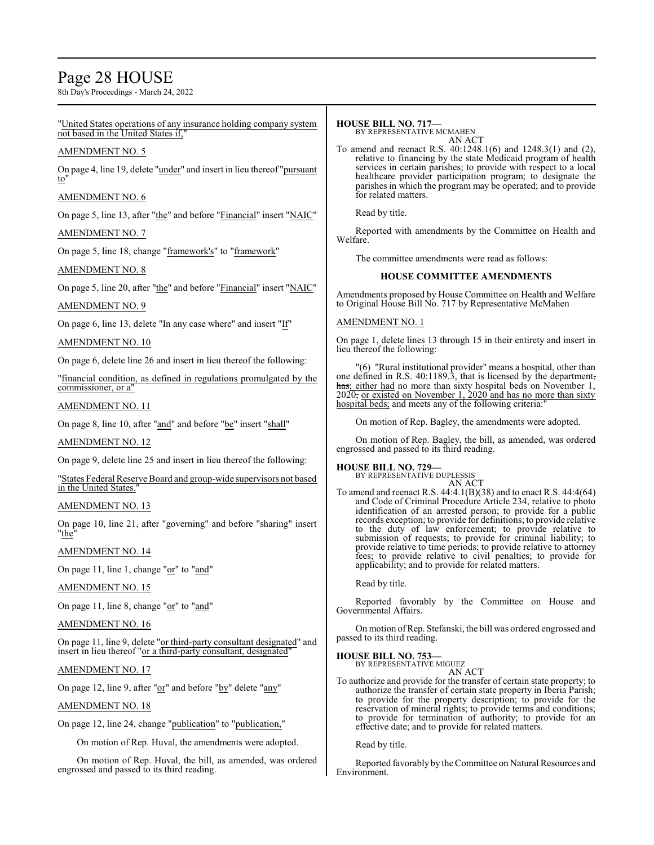### Page 28 HOUSE

8th Day's Proceedings - March 24, 2022

#### "United States operations of any insurance holding company system not based in the United States if,

#### AMENDMENT NO. 5

On page 4, line 19, delete "under" and insert in lieu thereof "pursuant to"

#### AMENDMENT NO. 6

On page 5, line 13, after "the" and before "Financial" insert "NAIC"

#### AMENDMENT NO. 7

On page 5, line 18, change "framework's" to "framework"

#### AMENDMENT NO. 8

On page 5, line 20, after "the" and before "Financial" insert "NAIC"

#### AMENDMENT NO. 9

On page 6, line 13, delete "In any case where" and insert "If"

#### AMENDMENT NO. 10

On page 6, delete line 26 and insert in lieu thereof the following:

"financial condition, as defined in regulations promulgated by the commissioner, or a"

#### AMENDMENT NO. 11

On page 8, line 10, after "and" and before "be" insert "shall"

#### AMENDMENT NO. 12

On page 9, delete line 25 and insert in lieu thereof the following:

"States Federal Reserve Board and group-wide supervisors not based in the United States.

#### AMENDMENT NO. 13

On page 10, line 21, after "governing" and before "sharing" insert "the"

#### AMENDMENT NO. 14

On page 11, line 1, change "or" to "and"

#### AMENDMENT NO. 15

On page 11, line 8, change "or" to "and"

#### AMENDMENT NO. 16

On page 11, line 9, delete "or third-party consultant designated" and insert in lieu thereof "<u>or a third-party consultant</u>, designated"

#### AMENDMENT NO. 17

On page 12, line 9, after "or" and before "by" delete "any"

#### AMENDMENT NO. 18

On page 12, line 24, change "publication" to "publication,"

On motion of Rep. Huval, the amendments were adopted.

On motion of Rep. Huval, the bill, as amended, was ordered engrossed and passed to its third reading.

#### **HOUSE BILL NO. 717—**

BY REPRESENTATIVE MCMAHEN AN ACT

To amend and reenact R.S. 40:1248.1(6) and 1248.3(1) and (2), relative to financing by the state Medicaid program of health services in certain parishes; to provide with respect to a local healthcare provider participation program; to designate the parishes in which the program may be operated; and to provide for related matters.

Read by title.

Reported with amendments by the Committee on Health and Welfare.

The committee amendments were read as follows:

#### **HOUSE COMMITTEE AMENDMENTS**

Amendments proposed by House Committee on Health and Welfare to Original House Bill No. 717 by Representative McMahen

#### AMENDMENT NO. 1

On page 1, delete lines 13 through 15 in their entirety and insert in lieu thereof the following:

"(6) "Rural institutional provider" means a hospital, other than one defined in R.S. 40:1189.3, that is licensed by the department, has; either had no more than sixty hospital beds on November 1, 2020, or existed on November 1, 2020 and has no more than sixty hospital beds; and meets any of the following criteria:"

On motion of Rep. Bagley, the amendments were adopted.

On motion of Rep. Bagley, the bill, as amended, was ordered engrossed and passed to its third reading.

#### **HOUSE BILL NO. 729—**

BY REPRESENTATIVE DUPLESSIS AN ACT

To amend and reenact R.S. 44:4.1(B)(38) and to enact R.S. 44:4(64) and Code of Criminal Procedure Article 234, relative to photo identification of an arrested person; to provide for a public records exception; to provide for definitions; to provide relative to the duty of law enforcement; to provide relative to submission of requests; to provide for criminal liability; to provide relative to time periods; to provide relative to attorney fees; to provide relative to civil penalties; to provide for applicability; and to provide for related matters.

Read by title.

Reported favorably by the Committee on House and Governmental Affairs.

On motion ofRep. Stefanski, the bill was ordered engrossed and passed to its third reading.

**HOUSE BILL NO. 753—** BY REPRESENTATIVE MIGUEZ

### AN ACT

To authorize and provide for the transfer of certain state property; to authorize the transfer of certain state property in Iberia Parish; to provide for the property description; to provide for the reservation of mineral rights; to provide terms and conditions; to provide for termination of authority; to provide for an effective date; and to provide for related matters.

Read by title.

Reported favorably by the Committee on Natural Resources and Environment.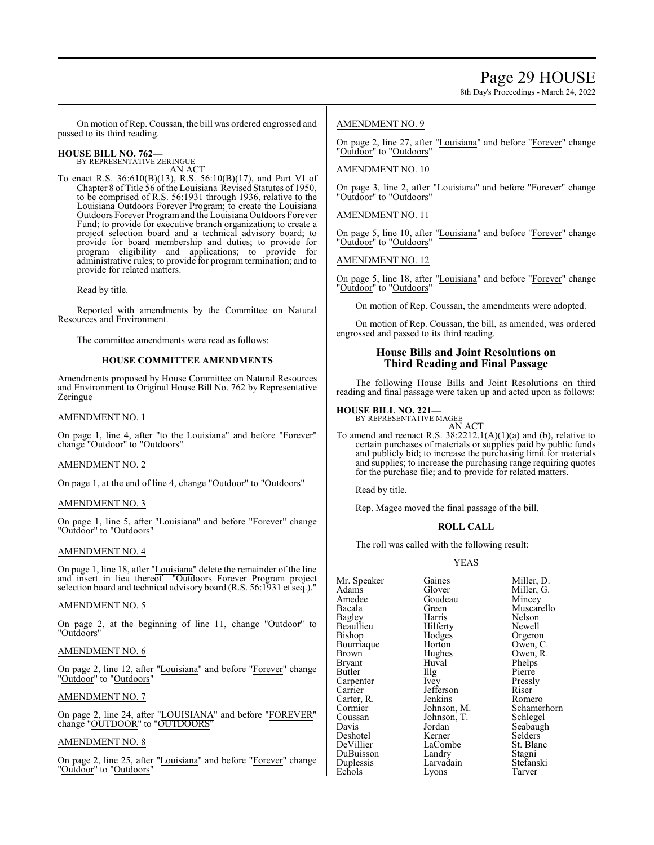8th Day's Proceedings - March 24, 2022

On motion of Rep. Coussan, the bill was ordered engrossed and passed to its third reading.

#### **HOUSE BILL NO. 762—** BY REPRESENTATIVE ZERINGUE

AN ACT

To enact R.S. 36:610(B)(13), R.S. 56:10(B)(17), and Part VI of Chapter 8 of Title 56 ofthe Louisiana Revised Statutes of 1950, to be comprised of R.S. 56:1931 through 1936, relative to the Louisiana Outdoors Forever Program; to create the Louisiana Outdoors Forever Programand the Louisiana Outdoors Forever Fund; to provide for executive branch organization; to create a project selection board and a technical advisory board; to provide for board membership and duties; to provide for program eligibility and applications; to provide for administrative rules; to provide for program termination; and to provide for related matters.

Read by title.

Reported with amendments by the Committee on Natural Resources and Environment.

The committee amendments were read as follows:

#### **HOUSE COMMITTEE AMENDMENTS**

Amendments proposed by House Committee on Natural Resources and Environment to Original House Bill No. 762 by Representative Zeringue

#### AMENDMENT NO. 1

On page 1, line 4, after "to the Louisiana" and before "Forever" change "Outdoor" to "Outdoors"

#### AMENDMENT NO. 2

On page 1, at the end of line 4, change "Outdoor" to "Outdoors"

#### AMENDMENT NO. 3

On page 1, line 5, after "Louisiana" and before "Forever" change "Outdoor" to "Outdoors"

#### AMENDMENT NO. 4

On page 1, line 18, after "Louisiana" delete the remainder of the line and insert in lieu thereof "Outdoors Forever Program project selection board and technical advisory board (R.S. 56:1931 et seq.)."

#### AMENDMENT NO. 5

On page 2, at the beginning of line 11, change "Outdoor" to "Outdoors"

#### AMENDMENT NO. 6

On page 2, line 12, after "Louisiana" and before "Forever" change "Outdoor" to "Outdoors"

#### AMENDMENT NO. 7

On page 2, line 24, after "LOUISIANA" and before "FOREVER" change "OUTDOOR" to "OUTDOORS"

#### AMENDMENT NO. 8

On page 2, line 25, after "Louisiana" and before "Forever" change "Outdoor" to "Outdoors"

#### AMENDMENT NO. 9

On page 2, line 27, after "Louisiana" and before "Forever" change "Outdoor" to "Outdoors"

#### AMENDMENT NO. 10

On page 3, line 2, after "Louisiana" and before "Forever" change "Outdoor" to "Outdoors"

AMENDMENT NO. 11

On page 5, line 10, after "Louisiana" and before "Forever" change "Outdoor" to "Outdoors"

AMENDMENT NO. 12

On page 5, line 18, after "Louisiana" and before "Forever" change "Outdoor" to "Outdoors"

On motion of Rep. Coussan, the amendments were adopted.

On motion of Rep. Coussan, the bill, as amended, was ordered engrossed and passed to its third reading.

#### **House Bills and Joint Resolutions on Third Reading and Final Passage**

The following House Bills and Joint Resolutions on third reading and final passage were taken up and acted upon as follows:

#### **HOUSE BILL NO. 221—** BY REPRESENTATIVE MAGEE



To amend and reenact R.S. 38:2212.1(A)(1)(a) and (b), relative to certain purchases of materials or supplies paid by public funds and publicly bid; to increase the purchasing limit for materials and supplies; to increase the purchasing range requiring quotes for the purchase file; and to provide for related matters.

Read by title.

Rep. Magee moved the final passage of the bill.

#### **ROLL CALL**

The roll was called with the following result:

#### YEAS

Mr. Speaker Gaines Miller, D.<br>Adams Glover Miller G. Adams Glover Miller, G.<br>Amedee Goudeau Mincey Amedee Goudeau<br>Bacala Green Beaullieu Hilferty<br>Bishop Hodges Bourriaque Horton<br>Brown Hughes Brown Hughes Owen, R.<br>Bryant Huval Phelps Butler IIIg Pierre<br>
Carpenter Ivey Pressly Carpenter Ivey Pressl<br>Carrier Jefferson Riser Carter, R. Jenkins<br>Cormier Johnson, M. Coussan Johnson, T.<br>Davis Jordan Deshotel Kerner<br>DeVillier LaCombe DuBuisson Landry Stagni<br>
Duplessis Larvadain Stefanski Echols

Bacala Green Muscarello Harris Nelson<br>Hilferty Newell Hodges Orgeron<br>Horton Owen, C. Huval Phelps<br>Illg Pierre Jefferson Riser Cormier Johnson, M. Schamerhorn<br>Coussan Johnson, T. Schlegel Jordan Seabaugh<br>Kerner Selders LaCombe<br>
Landry Stagni<br>
Stagni Larvadain Stefans<br>Lyons Tarver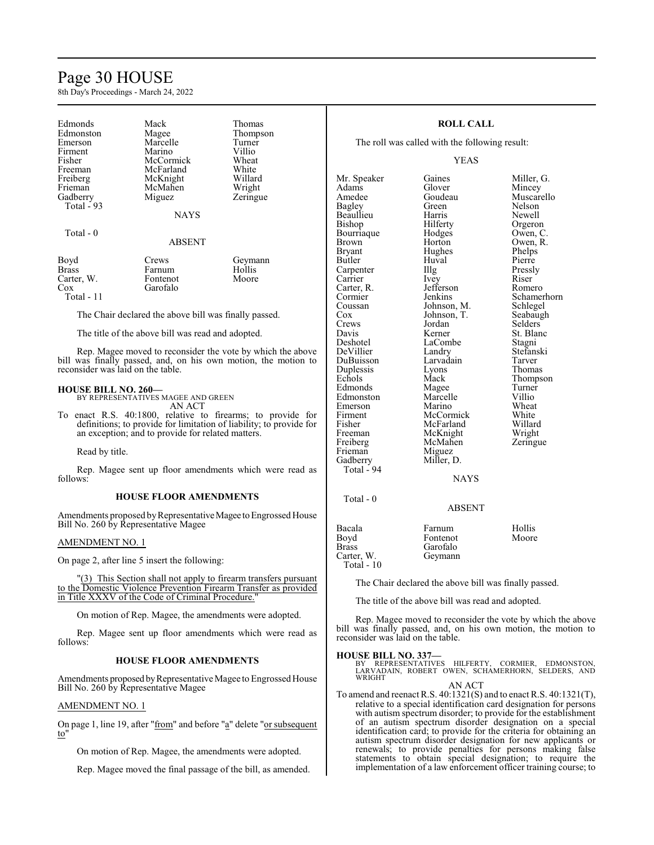### Page 30 HOUSE

8th Day's Proceedings - March 24, 2022

| Edmonds<br>Edmonston<br>Emerson<br>Firment<br>Fisher<br>Freeman<br>Freiberg<br>Frieman<br>Gadberry<br>Total $-93$ | Mack<br>Magee<br>Marcelle<br>Marino<br>McCormick<br>McFarland<br>McKnight<br>McMahen<br>Miguez | Thomas<br>Thompson<br>Turner<br>Villio<br>Wheat<br>White<br>Willard<br>Wright<br>Zeringue |
|-------------------------------------------------------------------------------------------------------------------|------------------------------------------------------------------------------------------------|-------------------------------------------------------------------------------------------|
|                                                                                                                   | <b>NAYS</b>                                                                                    |                                                                                           |
| Total - 0                                                                                                         | <b>ABSENT</b>                                                                                  |                                                                                           |

| Boyd       | Crews    | Geymann |
|------------|----------|---------|
| Brass      | Farnum   | Hollis  |
| Carter, W. | Fontenot | Moore   |
| Cox        | Garofalo |         |
| Total - 11 |          |         |

The Chair declared the above bill was finally passed.

The title of the above bill was read and adopted.

Rep. Magee moved to reconsider the vote by which the above bill was finally passed, and, on his own motion, the motion to reconsider was laid on the table.

**HOUSE BILL NO. 260—** BY REPRESENTATIVES MAGEE AND GREEN AN ACT

To enact R.S. 40:1800, relative to firearms; to provide for definitions; to provide for limitation of liability; to provide for an exception; and to provide for related matters.

Read by title.

Rep. Magee sent up floor amendments which were read as follows:

#### **HOUSE FLOOR AMENDMENTS**

Amendments proposed by Representative Magee to Engrossed House Bill No. 260 by Representative Magee

#### AMENDMENT NO. 1

On page 2, after line 5 insert the following:

"(3) This Section shall not apply to firearm transfers pursuant to the Domestic Violence Prevention Firearm Transfer as provided in Title XXXV of the Code of Criminal Procedure.

On motion of Rep. Magee, the amendments were adopted.

Rep. Magee sent up floor amendments which were read as follows:

#### **HOUSE FLOOR AMENDMENTS**

Amendments proposed byRepresentative Magee to Engrossed House Bill No. 260 by Representative Magee

#### AMENDMENT NO. 1

On page 1, line 19, after "from" and before "a" delete "or subsequent to"

On motion of Rep. Magee, the amendments were adopted.

Rep. Magee moved the final passage of the bill, as amended.

#### **ROLL CALL**

The roll was called with the following result:

Hughes

#### YEAS

Adams Glover Mincey Amedee Goudeau Muscarello<br>
Bagley Green Nelson Beaullieu Harris<br>Bishop Hilferty Bourriaque Hodges<br>Brown Horton Brown Horton Owen, R.<br>Bryant Hughes Phelps Butler Huval Pierre<br>
Carpenter IIIg Pressly Carpenter Illg Pressl<br>Carrier Ivey Riser Carrier Ivey Riser<br>Carter R. Jefferson Romero Carter, R. Jefferson<br>Cormier Jenkins Cormier Jenkins Schamerhorn<br>Coussan Johnson, M. Schlegel Coussan Johnson, M. Schlegel<br>Cox Johnson, T. Seabaugh Cox Johnson, T. Seabaugh<br>Crews Jordan Selders Crews Jordan<br>Davis Kerner Davis Kerner St. Blanc<br>Deshotel LaCombe Stagni DeVillier Landry Stefans<br>DuBuisson Larvadain Tarver DuBuisson Larvadain Tarver Duplessis Lyons<br>
Echols Mack Edmonds Magee Turner<br>Edmonston Marcelle Villio Edmonston Marcelle Villio<br>Emerson Marino Wheat Emerson Marino Wheat<br>Firment McCormick White Firment McCormick White<br>
Fisher McFarland Willard Fisher McFarland Willard<br>Freeman McKnight Wright Freeman McKnight Wright<br>
Freiberg McMahen Zeringue Freiberg McMahen<br>Frieman Miguez Gadberry Miller, D. Total - 94

Total - 0

Mr. Speaker Gaines Miller, G.<br>Adams Glover Mincey Green Nelson<br>Harris Newell Hilferty Orgeron<br>Hodges Owen, C. LaCombe Stagni<br>
Landry Stefanski Mack Thompson<br>
Magee Turner

**NAYS** 

ABSENT

Miguez

| Bacala       | Farnum   | Hollis |
|--------------|----------|--------|
| Boyd         | Fontenot | Moore  |
| Brass        | Garofalo |        |
| Carter, W.   | Geymann  |        |
| Total - $10$ |          |        |

The Chair declared the above bill was finally passed.

The title of the above bill was read and adopted.

Rep. Magee moved to reconsider the vote by which the above bill was finally passed, and, on his own motion, the motion to reconsider was laid on the table.

#### **HOUSE BILL NO. 337—**

BY REPRESENTATIVES HILFERTY, CORMIER, EDMONSTON, LARVADAIN, ROBERT OWEN, SCHAMERHORN, SELDERS, AND WRIGHT

AN ACT To amend and reenact R.S. 40:1321(S) and to enact R.S. 40:1321(T), relative to a special identification card designation for persons with autism spectrum disorder; to provide for the establishment of an autism spectrum disorder designation on a special identification card; to provide for the criteria for obtaining an autism spectrum disorder designation for new applicants or renewals; to provide penalties for persons making false statements to obtain special designation; to require the

implementation of a law enforcement officer training course; to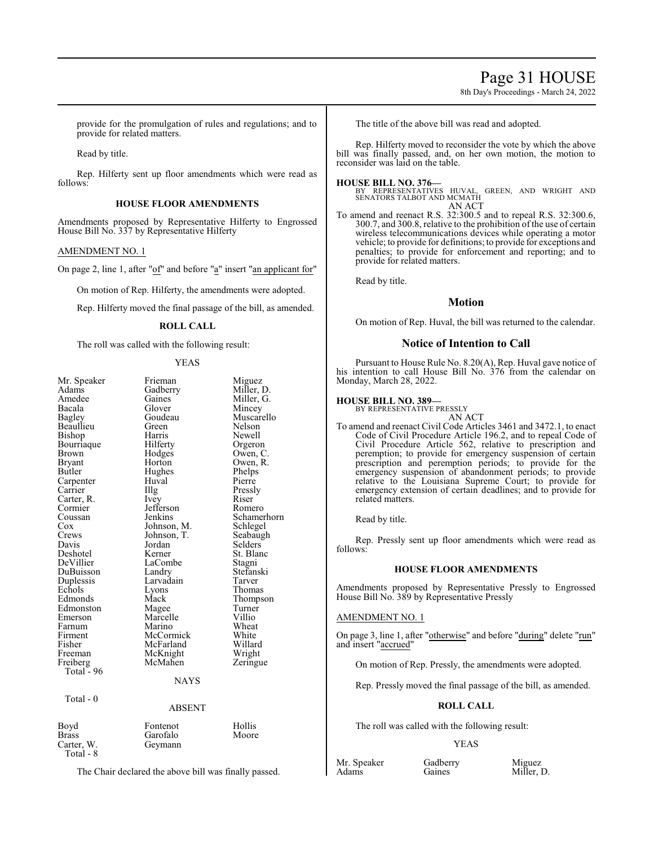### Page 31 HOUSE

8th Day's Proceedings - March 24, 2022

provide for the promulgation of rules and regulations; and to provide for related matters.

Read by title.

Rep. Hilferty sent up floor amendments which were read as follows:

#### **HOUSE FLOOR AMENDMENTS**

Amendments proposed by Representative Hilferty to Engrossed House Bill No. 337 by Representative Hilferty

#### AMENDMENT NO. 1

On page 2, line 1, after "of" and before "a" insert "an applicant for"

On motion of Rep. Hilferty, the amendments were adopted.

Rep. Hilferty moved the final passage of the bill, as amended.

#### **ROLL CALL**

The roll was called with the following result:

#### YEAS

| Mr. Speaker<br>Adams | Frieman<br>Gadberry | Miguez<br>Miller, D. |
|----------------------|---------------------|----------------------|
| Amedee               | Gaines              | Miller, G.           |
| Bacala               | Glover              | Mincey               |
| Bagley               | Goudeau             | Muscarello           |
| Beaullieu            | Green               | Nelson               |
| Bishop               | Harris              | Newell               |
| Bourriaque           | Hilferty            | Orgeron              |
| Brown                | Hodges              | Owen, C.             |
| <b>Bryant</b>        | Horton              | Owen, R.             |
| Butler               | Hughes              | Phelps               |
| Carpenter            | Huval               | Pierre               |
| Carrier              | Illg                | Pressly              |
| Carter, R.           | <i>lvey</i>         | Riser                |
| Cormier              | Jefferson           | Romero               |
| Coussan              | Jenkins             | Schamerhorn          |
| Cox                  | Johnson, M.         | Schlegel             |
| Crews                | Johnson, T.         | Seabaugh             |
| Davis                | Jordan              | Selders              |
| Deshotel             | Kerner              | St. Blanc            |
| DeVillier            | LaCombe             | Stagni               |
| DuBuisson            | Landry              | Stefanski            |
| Duplessis            | Larvadain           | Tarver               |
| Echols               | Lyons               | Thomas               |
| Edmonds              | Mack                | Thompson             |
| Edmonston            | Magee               | Turner               |
| Emerson              | Marcelle            | Villio               |
| Farnum               | Marino              | Wheat                |
| Firment              | McCormick           | White                |
| Fisher               | McFarland           | Willard              |
| Freeman              | McKnight            | Wright               |
| Freiberg             | McMahen             | Zeringue             |
| Total - 96           |                     |                      |
|                      | <b>NAYS</b>         |                      |
|                      |                     |                      |
| Total - 0            |                     |                      |
|                      | <b>ABSENT</b>       |                      |
| Boyd                 | Fontenot            | Hollis               |
| <b>Brass</b>         | Garofalo            | Moore                |
| Carter, W.           | Geymann             |                      |
| Total - 8            |                     |                      |

The Chair declared the above bill was finally passed.

The title of the above bill was read and adopted.

Rep. Hilferty moved to reconsider the vote by which the above bill was finally passed, and, on her own motion, the motion to reconsider was laid on the table.

#### **HOUSE BILL NO. 376—**

BY REPRESENTATIVES HUVAL, GREEN, AND WRIGHT AND SENATORS TALBOT AND MCMATH AN ACT

To amend and reenact R.S. 32:300.5 and to repeal R.S. 32:300.6, 300.7, and 300.8, relative to the prohibition of the use of certain wireless telecommunications devices while operating a motor vehicle; to provide for definitions; to provide for exceptions and penalties; to provide for enforcement and reporting; and to provide for related matters.

Read by title.

#### **Motion**

On motion of Rep. Huval, the bill was returned to the calendar.

#### **Notice of Intention to Call**

Pursuant to House Rule No. 8.20(A), Rep. Huval gave notice of his intention to call House Bill No. 376 from the calendar on Monday, March 28, 2022.

#### **HOUSE BILL NO. 389—**

BY REPRESENTATIVE PRESSLY AN ACT

To amend and reenact Civil Code Articles 3461 and 3472.1, to enact Code of Civil Procedure Article 196.2, and to repeal Code of Civil Procedure Article 562, relative to prescription and peremption; to provide for emergency suspension of certain prescription and peremption periods; to provide for the emergency suspension of abandonment periods; to provide relative to the Louisiana Supreme Court; to provide for emergency extension of certain deadlines; and to provide for related matters.

Read by title.

Rep. Pressly sent up floor amendments which were read as follows:

#### **HOUSE FLOOR AMENDMENTS**

Amendments proposed by Representative Pressly to Engrossed House Bill No. 389 by Representative Pressly

#### AMENDMENT NO. 1

On page 3, line 1, after "otherwise" and before "during" delete "run" and insert "accrued"

On motion of Rep. Pressly, the amendments were adopted.

Rep. Pressly moved the final passage of the bill, as amended.

#### **ROLL CALL**

The roll was called with the following result:

#### YEAS

Mr. Speaker Gadberry Miguez<br>Adams Gaines Miller, 1

Miller, D.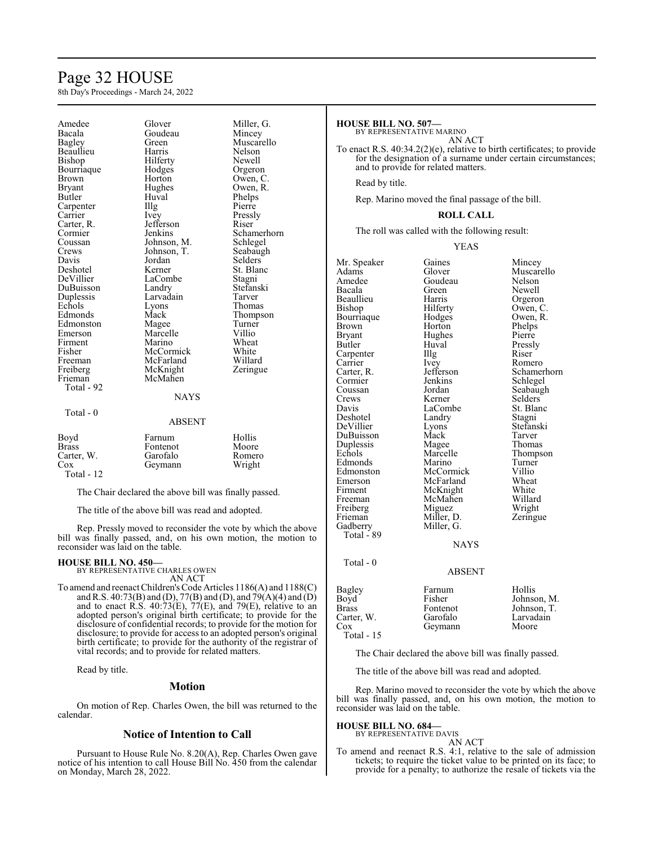### Page 32 HOUSE

8th Day's Proceedings - March 24, 2022

| Amedee<br>Bacala<br><b>Bagley</b><br>Beaullieu<br>Bishop<br>Bourriaque<br>Brown<br>Bryant<br>Butler<br>Carpenter<br>Carrier<br>Carter, R.<br>Cormier<br>Coussan<br>Crews<br>Davis<br>Deshotel<br>DeVillier<br>DuBuisson<br>Duplessis<br>Echols<br>Edmonds<br>Edmonston<br>Emerson<br>Firment<br>Fisher<br>Freeman<br>Freiberg<br>Frieman<br>Total - 92<br>Total - 0 | Glover<br>Goudeau<br>Green<br>Harris<br>Hilferty<br>Hodges<br>Horton<br>Hughes<br>Huval<br>Illg<br>Ivey<br>Jefferson<br>Jenkins<br>Johnson, M.<br>Johnson, T.<br>Jordan<br>Kerner<br>LaCombe<br>Landry<br>Larvadain<br>Lyons<br>Mack<br>Magee<br>Marcelle<br>Marino<br>McCormick<br>McFarland<br>McKnight<br>McMahen<br><b>NAYS</b> | Miller, G.<br>Mincey<br>Muscarello<br>Nelson<br>Newell<br>Orgeron<br>Owen, C.<br>Owen, R.<br>Phelps<br>Pierre<br>Pressly<br>Riser<br>Schamerhorn<br>Schlegel<br>Seabaugh<br>Selders<br>St. Blanc<br>Stagni<br>Stefanski<br>Tarver<br>Thomas<br>Thompson<br>Turner<br>Villio<br>Wheat<br>White<br>Willard<br>Zeringue |
|---------------------------------------------------------------------------------------------------------------------------------------------------------------------------------------------------------------------------------------------------------------------------------------------------------------------------------------------------------------------|-------------------------------------------------------------------------------------------------------------------------------------------------------------------------------------------------------------------------------------------------------------------------------------------------------------------------------------|----------------------------------------------------------------------------------------------------------------------------------------------------------------------------------------------------------------------------------------------------------------------------------------------------------------------|
|                                                                                                                                                                                                                                                                                                                                                                     | <b>ABSENT</b>                                                                                                                                                                                                                                                                                                                       |                                                                                                                                                                                                                                                                                                                      |
| Boyd<br><b>Brass</b><br>Carter, W.<br>Cox<br>Total - 12                                                                                                                                                                                                                                                                                                             | Farnum<br>Fontenot<br>Garofalo<br>Geymann                                                                                                                                                                                                                                                                                           | Hollis<br>Moore<br>Romero<br>Wright                                                                                                                                                                                                                                                                                  |

The Chair declared the above bill was finally passed.

The title of the above bill was read and adopted.

Rep. Pressly moved to reconsider the vote by which the above bill was finally passed, and, on his own motion, the motion to reconsider was laid on the table.

#### **HOUSE BILL NO. 450—** BY REPRESENTATIVE CHARLES OWEN

AN ACT

To amend and reenact Children's Code Articles 1186(A) and 1188(C) and R.S. 40:73(B) and (D), 77(B) and (D), and 79(A)(4) and (D) and to enact R.S.  $40:73(E)$ ,  $77(E)$ , and  $79(E)$ , relative to an adopted person's original birth certificate; to provide for the disclosure of confidential records; to provide for the motion for disclosure; to provide for access to an adopted person's original birth certificate; to provide for the authority of the registrar of vital records; and to provide for related matters.

Read by title.

#### **Motion**

On motion of Rep. Charles Owen, the bill was returned to the calendar.

#### **Notice of Intention to Call**

Pursuant to House Rule No. 8.20(A), Rep. Charles Owen gave notice of his intention to call House Bill No. 450 from the calendar on Monday, March 28, 2022.

#### **HOUSE BILL NO. 507—**

BY REPRESENTATIVE MARINO

AN ACT To enact R.S. 40:34.2(2)(e), relative to birth certificates; to provide for the designation of a surname under certain circumstances; and to provide for related matters.

Read by title.

Rep. Marino moved the final passage of the bill.

#### **ROLL CALL**

The roll was called with the following result:

YEAS

| Mr. Speaker<br>Adams<br>Amedee<br>Bacala<br>Beaullieu<br>Bishop<br>Bourriaque<br>Brown<br>Bryant<br>Butler<br>Carpenter<br>Carrier<br>Carter, R.<br>Cormier<br>Coussan<br>Crews<br>Davis<br>Deshotel<br>DeVillier<br>DuBuisson<br>Duplessis<br>Echols<br>Edmonds<br>Edmonston<br>Emerson<br>Firment<br>Freeman<br>Freiberg<br>Frieman<br>Gadberry<br>Total - 89 | Gaines<br>Glover<br>Goudeau<br>Green<br>Harris<br>Hilferty<br>Hodges<br>Horton<br>Hughes<br>Huval<br>Illg<br>Ivey<br>Jefferson<br>Jenkins<br>Jordan<br>Kerner<br>LaCombe<br>Landry<br>Lyons<br>Mack<br>Magee<br>Marcelle<br>Marino<br>McCormick<br>McFarland<br>McKnight<br>McMahen<br>Miguez<br>Miller, D.<br>Miller, G.<br><b>NAYS</b> | Mincey<br>Muscarello<br>Nelson<br>Newell<br>Orgeron<br>Owen, C.<br>Owen, R.<br>Phelps<br>Pierre<br>Pressly<br>Riser<br>Romero<br>Schamerhorn<br>Schlegel<br>Seabaugh<br>Selders<br>St. Blanc<br>Stagni<br>Stefanski<br>Tarver<br>Thomas<br>Thompson<br>Turner<br>Villio<br>Wheat<br>White<br>Willard<br>Wright<br>Zeringue |
|-----------------------------------------------------------------------------------------------------------------------------------------------------------------------------------------------------------------------------------------------------------------------------------------------------------------------------------------------------------------|------------------------------------------------------------------------------------------------------------------------------------------------------------------------------------------------------------------------------------------------------------------------------------------------------------------------------------------|----------------------------------------------------------------------------------------------------------------------------------------------------------------------------------------------------------------------------------------------------------------------------------------------------------------------------|
| Total - 0                                                                                                                                                                                                                                                                                                                                                       | <b>ABSENT</b>                                                                                                                                                                                                                                                                                                                            |                                                                                                                                                                                                                                                                                                                            |
| Bagley<br>Boyd<br>Brass<br>Carter, W.<br>$\cos$<br>Total - 15                                                                                                                                                                                                                                                                                                   | Farnum<br>Fisher<br>Fontenot<br>Garofalo<br>Geymann                                                                                                                                                                                                                                                                                      | Hollis<br>Johnson, M.<br>Johnson, T.<br>Larvadain<br>Moore                                                                                                                                                                                                                                                                 |

The Chair declared the above bill was finally passed.

The title of the above bill was read and adopted.

Rep. Marino moved to reconsider the vote by which the above bill was finally passed, and, on his own motion, the motion to reconsider was laid on the table.

#### **HOUSE BILL NO. 684—**

BY REPRESENTATIVE DAVIS

AN ACT To amend and reenact R.S. 4:1, relative to the sale of admission tickets; to require the ticket value to be printed on its face; to provide for a penalty; to authorize the resale of tickets via the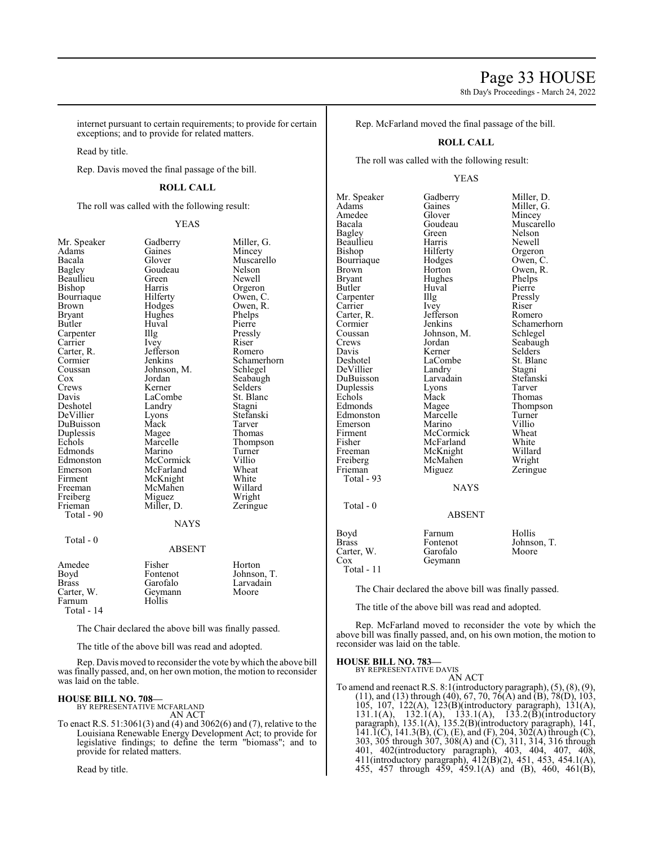8th Day's Proceedings - March 24, 2022

internet pursuant to certain requirements; to provide for certain exceptions; and to provide for related matters.

Read by title.

Rep. Davis moved the final passage of the bill.

#### **ROLL CALL**

The roll was called with the following result:

#### YEAS

Beaullieu Green<br>Bishop Harris Bourriaque Hilferty<br>Brown Hodges Carter, R. Jefferson Jefferson Romeron Bankins Coussan Johnson, M.<br>Cox Jordan Deshotel Landry<br>DeVillier Lyons Duplessis Magee<br>Echols Marcelle Total - 90

Total - 0

Mr. Speaker Gadberry Miller, G.<br>Adams Gaines Mincey Adams Gaines Mincey<br>Bacala Glover Muscar Bacala Glover Muscarello Goudeau Nelson<br>Green Newell Harris Orgeron<br>Hilferty Owen, C Brown Hodges Owen, R.<br>Bryant Hughes Phelps Hughes Phelps<br>Huval Pierre Butler Huval Pierre<br>
Carpenter IIIg Pressly Carpenter IIIg Pressl<br>Carrier Ivey Riser Carrier Ivey Riser<br>Carter, R. Jefferson Romero Cormier Jenkins Schamerhorn<br>Coussan Johnson, M. Schlegel Cox Jordan Seabaugh<br>Crews Kerner Selders Crews Kerner Selders<br>
Davis LaCombe St. Blanc LaCombe<br>Landry Stagni Lyons Stefanski<br>Mack Tarver DuBuisson Mack Tarver<br>
Duplessis Magee Thomas Marcelle Thompson<br>
Marino Turner Edmonds Marino Turner<br>Edmonston McCormick Villio Edmonston McCormick Villio Emerson McFarland Wheat<br>Firment McKnight White Firment McKnight White<br>Freeman McMahen Willard McMahen Willard<br>Miguez Wright Freiberg Miguez Wright<br>
Frieman Miller, D. Zeringue Miller, D. **NAYS** 

#### ABSENT

| Amedee<br>Boyd<br><b>Brass</b><br>Carter, W.<br>Farnum<br>Total - $14$ | Fisher<br>Fontenot<br>Garofalo<br>Geymann<br>Hollis | Horton<br>Johnson, T.<br>Larvadain<br>Moore |
|------------------------------------------------------------------------|-----------------------------------------------------|---------------------------------------------|
|------------------------------------------------------------------------|-----------------------------------------------------|---------------------------------------------|

The Chair declared the above bill was finally passed.

The title of the above bill was read and adopted.

Rep. Davis moved to reconsider the vote bywhich the above bill was finally passed, and, on her own motion, the motion to reconsider was laid on the table.

#### **HOUSE BILL NO. 708—**

BY REPRESENTATIVE MCFARLAND AN ACT

To enact R.S. 51:3061(3) and (4) and 3062(6) and (7), relative to the Louisiana Renewable Energy Development Act; to provide for legislative findings; to define the term "biomass"; and to provide for related matters.

Read by title.

Rep. McFarland moved the final passage of the bill.

#### **ROLL CALL**

The roll was called with the following result:

#### YEAS

Mr. Speaker Gadberry Miller, D.<br>Adams Gaines Miller, G. Adams Gaines Miller, G.<br>Amedee Glover Mincey Amedee Glover Mincey<br>Bacala Goudeau Muscare Bacala Goudeau Muscarello Beaullieu Harris<br>Bishop Hilferty Bourriaque Hodges Owen, C.<br>Brown Horton Owen, R. Brown Horton Owen, R.<br>Bryant Hughes Phelps Bryant Hughes Phelps<br>Butler Huval Pierre Carpenter Illg Pressl<br>Carrier Ivey Riser Carrier Ivey Riser Riser<br>Carter, R. Jefferson Romero Carter, R. Jefferson<br>Cormier Jenkins Cormier Jenkins Schamerhorn<br>Coussan Johnson, M. Schlegel Coussan Johnson, M.<br>Crews Jordan Crews Jordan Seabaugh<br>
Davis Kerner Selders Davis Kerner Selders DeVillier Landry Stagni<br>
DuBuisson Larvadain Stefanski DuBuisson Larvadain Stefans<br>
Duplessis Lyons Tarver Duplessis Lyons<br>
Echols Mack Echols Mack Thomas<br>Edmonds Magee Thomps Edmonds Magee Thompson<br>
Edmonston Marcelle Turner Edmonston Marcelle Turner<br>
Emerson Marino Villio Emerson Marino Villio<br>Firment McCormick Wheat Firment McCormick Wheat<br>
Fisher McFarland White Fisher McFarland White<br>Freeman McKnight Willard Freiberg McMahen<br>Frieman Miguez Total - 93 Total - 0

Green Nelson<br>Harris Newell Hilferty Orgeron<br>
Hodges Owen, C Huval Pierre<br>Illg Pressly LaCombe<br>
Landry Stagni<br>
Stagni McKnight Willard<br>
McMahen Wright Zeringue NAYS

#### ABSENT

| Boyd       | Farnum   | Hollis      |
|------------|----------|-------------|
| Brass      | Fontenot | Johnson, T. |
| Carter, W. | Garofalo | Moore       |
| Cox        | Geymann  |             |
| Total - 11 |          |             |

The Chair declared the above bill was finally passed.

The title of the above bill was read and adopted.

Rep. McFarland moved to reconsider the vote by which the above bill was finally passed, and, on his own motion, the motion to reconsider was laid on the table.

#### **HOUSE BILL NO. 783—** BY REPRESENTATIVE DAVIS

AN ACT

To amend and reenact R.S. 8:1(introductory paragraph), (5), (8), (9),  $(11)$ , and  $(13)$  through  $(40)$ , 67, 70, 76 $(A)$  and  $(B)$ , 78 $(D)$ , 103, 105, 107, 122(A), 123(B)(introductory paragraph), 131(A), 131.1(A), 132.1(A), 133.1(A), 133.2(B)(introductory paragraph), 135.1(A), 135.2(B)(introductory paragraph), 141, 141.1(C), 141.3(B), (C), (E), and (F), 204, 302(A) through (C), 303, 305 through 307, 308(A) and (C), 311, 314, 316 through 401, 402(introductory paragraph), 403, 404, 407, 408, 411(introductory paragraph), 412(B)(2), 451, 453, 454.1(A), 455, 457 through 459, 459.1(A) and (B), 460, 461(B),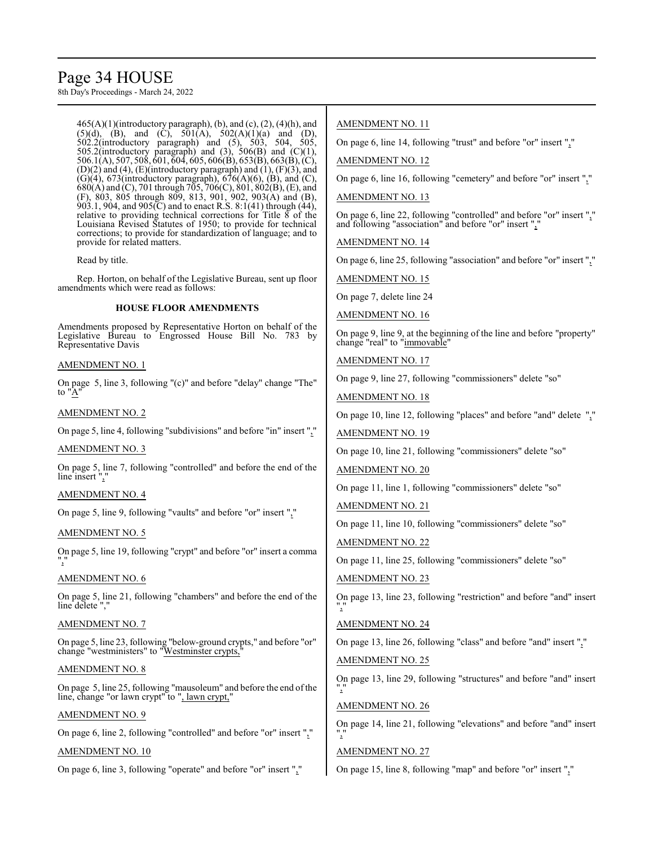## Page 34 HOUSE

8th Day's Proceedings - March 24, 2022

 $465(A)(1)$ (introductory paragraph), (b), and (c),  $(2)$ ,  $(4)$ (h), and  $(5)(d)$ ,  $(B)$ , and  $(C)$ ,  $501(A)$ ,  $502(A)(1)(a)$  and  $(D)$ , 502.2(introductory paragraph) and (5), 503, 504, 505, 505.2(introductory paragraph) and  $(3)$ , 506 $(B)$  and  $(C)(1)$ , 506.1(A), 507, 508, 601, 604, 605, 606(B), 653(B), 663(B), (C), (D)(2) and (4), (E)(introductory paragraph) and  $(1)$ ,  $(F)(3)$ , and  $(G)(4)$ , 673(introductory paragraph), 676(A)(6), (B), and (C), 680(A) and (C), 701 through 705, 706(C), 801, 802(B), (E), and (F), 803, 805 through 809, 813, 901, 902, 903(A) and (B), 903.1, 904, and 905 $\rm(\bar{C})$  and to enact R.S. 8:1(41) through (44), relative to providing technical corrections for Title 8 of the Louisiana Revised Statutes of 1950; to provide for technical corrections; to provide for standardization of language; and to provide for related matters.

Read by title.

Rep. Horton, on behalf of the Legislative Bureau, sent up floor amendments which were read as follows:

#### **HOUSE FLOOR AMENDMENTS**

Amendments proposed by Representative Horton on behalf of the Legislative Bureau to Engrossed House Bill No. 783 by Representative Davis

#### AMENDMENT NO. 1

On page 5, line 3, following "(c)" and before "delay" change "The" to "A

#### AMENDMENT NO. 2

On page 5, line 4, following "subdivisions" and before "in" insert ","

#### AMENDMENT NO. 3

On page 5, line 7, following "controlled" and before the end of the line insert ","

#### AMENDMENT NO. 4

On page 5, line 9, following "vaults" and before "or" insert ","

#### AMENDMENT NO. 5

On page 5, line 19, following "crypt" and before "or" insert a comma ","

#### AMENDMENT NO. 6

On page 5, line 21, following "chambers" and before the end of the line delete ","

#### AMENDMENT NO. 7

On page 5, line 23, following "below-ground crypts," and before "or" change "westministers" to "Westminster crypts,

#### AMENDMENT NO. 8

On page 5, line 25, following "mausoleum" and before the end of the line, change "or lawn crypt" to ", lawn crypt,"

#### AMENDMENT NO. 9

On page 6, line 2, following "controlled" and before "or" insert ","

#### AMENDMENT NO. 10

On page 6, line 3, following "operate" and before "or" insert ","

#### AMENDMENT NO. 11

On page 6, line 14, following "trust" and before "or" insert ","

AMENDMENT NO. 12

On page 6, line 16, following "cemetery" and before "or" insert ","

#### AMENDMENT NO. 13

On page 6, line 22, following "controlled" and before "or" insert "," and following "association" and before "or" insert ","

AMENDMENT NO. 14

On page 6, line 25, following "association" and before "or" insert ","

AMENDMENT NO. 15

On page 7, delete line 24

AMENDMENT NO. 16

On page 9, line 9, at the beginning of the line and before "property" change "real" to "immovable"

AMENDMENT NO. 17

On page 9, line 27, following "commissioners" delete "so"

AMENDMENT NO. 18

On page 10, line 12, following "places" and before "and" delete ","

AMENDMENT NO. 19

On page 10, line 21, following "commissioners" delete "so"

AMENDMENT NO. 20

On page 11, line 1, following "commissioners" delete "so"

AMENDMENT NO. 21

On page 11, line 10, following "commissioners" delete "so"

AMENDMENT NO. 22

On page 11, line 25, following "commissioners" delete "so"

AMENDMENT NO. 23

On page 13, line 23, following "restriction" and before "and" insert ","

#### AMENDMENT NO. 24

On page 13, line 26, following "class" and before "and" insert ","

AMENDMENT NO. 25

On page 13, line 29, following "structures" and before "and" insert ","

#### AMENDMENT NO. 26

On page 14, line 21, following "elevations" and before "and" insert ","

#### AMENDMENT NO. 27

On page 15, line 8, following "map" and before "or" insert ","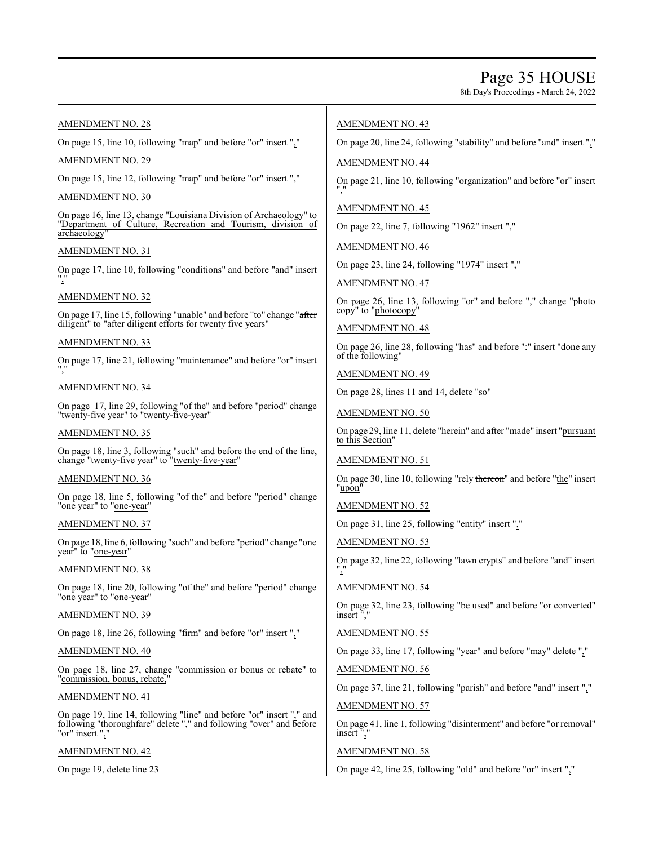### Page 35 HOUSE

8th Day's Proceedings - March 24, 2022

#### AMENDMENT NO. 28

On page 15, line 10, following "map" and before "or" insert ","

#### AMENDMENT NO. 29

On page 15, line 12, following "map" and before "or" insert ","

#### AMENDMENT NO. 30

On page 16, line 13, change "Louisiana Division of Archaeology" to "Department of Culture, Recreation and Tourism, division of archaeology

#### AMENDMENT NO. 31

On page 17, line 10, following "conditions" and before "and" insert ","

#### AMENDMENT NO. 32

On page 17, line 15, following "unable" and before "to" change "after diligent" to "after diligent efforts for twenty five years'

#### AMENDMENT NO. 33

On page 17, line 21, following "maintenance" and before "or" insert ","

#### AMENDMENT NO. 34

On page 17, line 29, following "of the" and before "period" change "twenty-five year" to "twenty-five-year"

#### AMENDMENT NO. 35

On page 18, line 3, following "such" and before the end of the line, change "twenty-five year" to "twenty-five-year"

#### AMENDMENT NO. 36

On page 18, line 5, following "of the" and before "period" change "one year" to "one-year"

#### AMENDMENT NO. 37

On page 18, line 6, following "such" and before "period" change "one year" to "one-year"

#### AMENDMENT NO. 38

On page 18, line 20, following "of the" and before "period" change "one year" to "one-year"

AMENDMENT NO. 39

On page 18, line 26, following "firm" and before "or" insert ","

#### AMENDMENT NO. 40

On page 18, line 27, change "commission or bonus or rebate" to "commission, bonus, rebate,"

#### AMENDMENT NO. 41

On page 19, line 14, following "line" and before "or" insert "," and following "thoroughfare" delete "," and following "over" and before "or" insert ",

#### AMENDMENT NO. 42

On page 19, delete line 23

#### AMENDMENT NO. 43

On page 20, line 24, following "stability" and before "and" insert ","

#### AMENDMENT NO. 44

On page 21, line 10, following "organization" and before "or" insert ","

### AMENDMENT NO. 45

On page 22, line 7, following "1962" insert ","

AMENDMENT NO. 46

On page 23, line 24, following "1974" insert ","

AMENDMENT NO. 47

On page 26, line 13, following "or" and before "," change "photo copy" to "photocopy"

#### AMENDMENT NO. 48

On page 26, line 28, following "has" and before ":" insert "done any of the following"

#### AMENDMENT NO. 49

On page 28, lines 11 and 14, delete "so"

#### AMENDMENT NO. 50

On page 29, line 11, delete "herein" and after "made" insert "pursuant to this Section"

#### AMENDMENT NO. 51

On page 30, line 10, following "rely thereon" and before "the" insert "upon"

AMENDMENT NO. 52

On page 31, line 25, following "entity" insert ","

AMENDMENT NO. 53

On page 32, line 22, following "lawn crypts" and before "and" insert ","

#### AMENDMENT NO. 54

On page 32, line 23, following "be used" and before "or converted" insert",

#### AMENDMENT NO. 55

On page 33, line 17, following "year" and before "may" delete ","

AMENDMENT NO. 56

On page 37, line 21, following "parish" and before "and" insert ","

#### AMENDMENT NO. 57

On page 41, line 1, following "disinterment" and before "or removal" insert",

#### AMENDMENT NO. 58

On page 42, line 25, following "old" and before "or" insert ","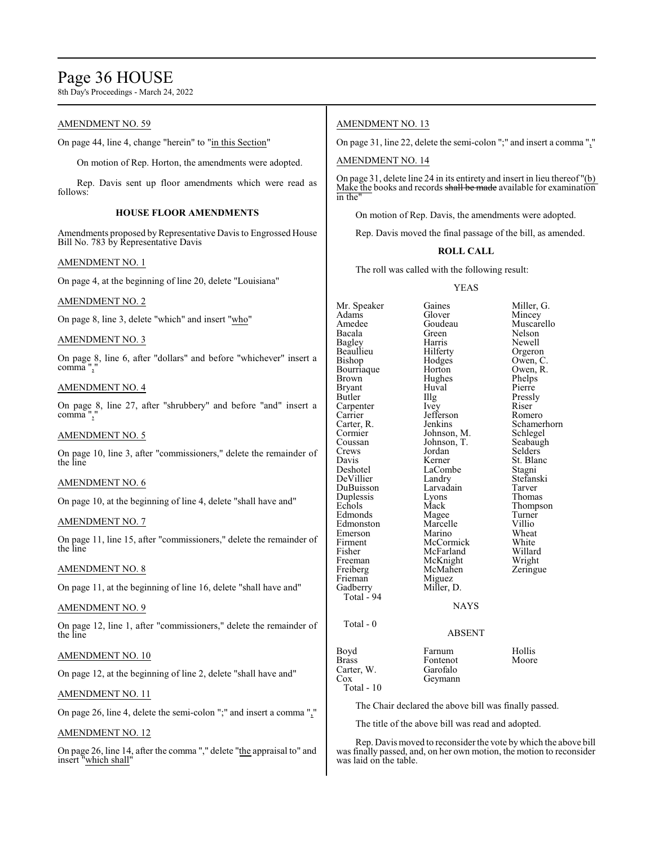### Page 36 HOUSE

8th Day's Proceedings - March 24, 2022

#### AMENDMENT NO. 59

On page 44, line 4, change "herein" to "in this Section"

On motion of Rep. Horton, the amendments were adopted.

Rep. Davis sent up floor amendments which were read as follows:

#### **HOUSE FLOOR AMENDMENTS**

Amendments proposed by Representative Davis to Engrossed House Bill No. 783 by Representative Davis

#### AMENDMENT NO. 1

On page 4, at the beginning of line 20, delete "Louisiana"

#### AMENDMENT NO. 2

On page 8, line 3, delete "which" and insert "who"

#### AMENDMENT NO. 3

On page 8, line 6, after "dollars" and before "whichever" insert a comma",

#### AMENDMENT NO. 4

On page 8, line 27, after "shrubbery" and before "and" insert a comma ","

#### AMENDMENT NO. 5

On page 10, line 3, after "commissioners," delete the remainder of the line

#### AMENDMENT NO. 6

On page 10, at the beginning of line 4, delete "shall have and"

#### AMENDMENT NO. 7

On page 11, line 15, after "commissioners," delete the remainder of the line

#### AMENDMENT NO. 8

On page 11, at the beginning of line 16, delete "shall have and"

#### AMENDMENT NO. 9

On page 12, line 1, after "commissioners," delete the remainder of the line

#### AMENDMENT NO. 10

On page 12, at the beginning of line 2, delete "shall have and"

#### AMENDMENT NO. 11

On page 26, line 4, delete the semi-colon ";" and insert a comma ","

#### AMENDMENT NO. 12

On page 26, line 14, after the comma "," delete "the appraisal to" and insert "which shall"

#### AMENDMENT NO. 13

On page 31, line 22, delete the semi-colon ";" and insert a comma ","

#### AMENDMENT NO. 14

On page 31, delete line 24 in its entirety and insert in lieu thereof "(b) Make the books and records shall be made available for examination in the

On motion of Rep. Davis, the amendments were adopted.

Rep. Davis moved the final passage of the bill, as amended.

#### **ROLL CALL**

The roll was called with the following result:

#### YEAS

Adams Glover Mincey<br>Amedee Goudeau Muscar Amedee Goudeau Muscarello<br>Bacala Green Nelson Bacala Green Nelson Bagley Harris Newell Beaullieu Hilferty<br>Bishop Hodges Bourriaque Horton Owen,<br>Brown Hughes Phelps Bryant Huv<br>Butler Hllg Carpenter Ivey Riser<br>
Carrier Iefferson Romero Carrier Jefferson<br>Carter, R. Jenkins Carter, R. Jenkins Schamerhorn<br>Cormier Johnson, M. Schlegel Cormier Johnson, M. Schlegel<br>Coussan Johnson, T. Seabaugh Coussan Johnson, T.<br>Crews Jordan Davis Kerner St. Blanc<br>Deshotel LaCombe Stagni DeVillier Landry Stefans<br>
DuBuisson Larvadain Tarver DuBuisson Larvadain Tarver Duplessis Lyons<br>Echols Mack Edmonds Magee Turner<br>Edmonston Marcelle Villio Edmonston Marcelle Villio<br>
Emerson Marino Wheat Emerson Marino Wheat<br>Firment McCormick White Firment McCormick White<br>
Fisher McFarland Willard Fisher McFarland Willard<br>Freeman McKnight Wright Freeman McKnight Wright<br>
Freiberg McMahen Zeringue McMahen<br>Miguez Frieman<br>Gadberry Miller, D. Total - 94 Total - 0

Mr. Speaker Gaines Miller, G.<br>Adams Glover Mincey Hodges Owen, C.<br>Horton Owen, R. Hughes Phelps<br>Huval Pierre Illg Pressly<br>Ivey Riser Jordan Selders<br>Kerner St Blan LaCombe<br>
Landry Stefanski Mack Thompson<br>
Magee Turner

### ABSENT

NAYS

### Boyd Farnum Hollis<br>Brass Fontenot Moore Carter, W.<br>Cox Total - 10

The Chair declared the above bill was finally passed.

The title of the above bill was read and adopted.

Fontenot<br>Garofalo

Geymann

Rep. Davis moved to reconsider the vote by which the above bill was finally passed, and, on her own motion, the motion to reconsider was laid on the table.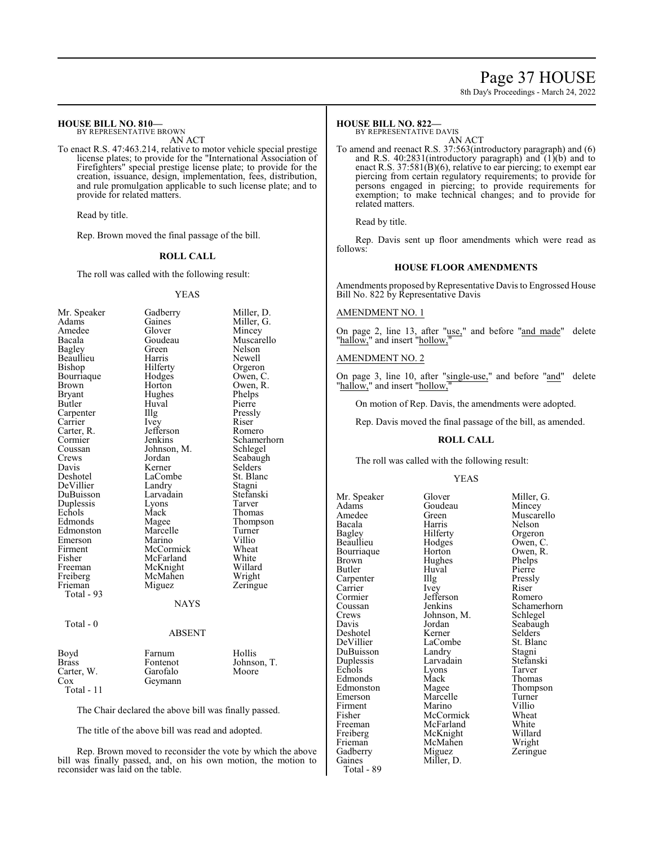### Page 37 HOUSE

8th Day's Proceedings - March 24, 2022

#### **HOUSE BILL NO. 810—**

BY REPRESENTATIVE BROWN AN ACT

To enact R.S. 47:463.214, relative to motor vehicle special prestige license plates; to provide for the "International Association of Firefighters" special prestige license plate; to provide for the creation, issuance, design, implementation, fees, distribution, and rule promulgation applicable to such license plate; and to provide for related matters.

Read by title.

Rep. Brown moved the final passage of the bill.

#### **ROLL CALL**

The roll was called with the following result:

#### YEAS

| Mr. Speaker   | Gadberry    | Miller, D.    |
|---------------|-------------|---------------|
| Adams         | Gaines      | Miller, G.    |
| Amedee        | Glover      | Mincey        |
| Bacala        | Goudeau     | Muscarello    |
| <b>Bagley</b> | Green       | <b>Nelson</b> |
| Beaullieu     | Harris      | Newell        |
| Bishop        | Hilferty    | Orgeron       |
| Bourriaque    | Hodges      | Owen, C.      |
| Brown         | Horton      | Owen, R.      |
| Bryant        | Hughes      | Phelps        |
| Butler        | Huval       | Pierre        |
| Carpenter     | Illg        | Pressly       |
| Carrier       | Ivey        | Riser         |
| Carter, R.    | Jefferson   | Romero        |
| Cormier       | Jenkins     | Schamerhorn   |
| Coussan       | Johnson, M. | Schlegel      |
| Crews         | Jordan      | Seabaugh      |
| Davis         | Kerner      | Selders       |
| Deshotel      | LaCombe     | St. Blanc     |
| DeVillier     | Landry      | Stagni        |
| DuBuisson     | Larvadain   | Stefanski     |
| Duplessis     | Lyons       | Tarver        |
| Echols        | Mack        | Thomas        |
| Edmonds       | Magee       | Thompson      |
| Edmonston     | Marcelle    | Turner        |
| Emerson       | Marino      | Villio        |
| Firment       | McCormick   | Wheat         |
| Fisher        | McFarland   | White         |
| Freeman       | McKnight    | Willard       |
| Freiberg      | McMahen     | Wright        |
| Frieman       | Miguez      | Zeringue      |
| Total - 93    |             |               |
|               | <b>NAYS</b> |               |
| Total - 0     |             |               |
|               | ABSENT      |               |
| Boyd          | Farnum      | Hollis        |

| boya         | <b>ramum</b> | <b>HOIIIS</b> |
|--------------|--------------|---------------|
| <b>Brass</b> | Fontenot     | Johnson, T.   |
| Carter. W.   | Garofalo     | Moore         |
| Cox          | Geymann      |               |
| Total - 11   |              |               |

The Chair declared the above bill was finally passed.

The title of the above bill was read and adopted.

Rep. Brown moved to reconsider the vote by which the above bill was finally passed, and, on his own motion, the motion to reconsider was laid on the table.

#### **HOUSE BILL NO. 822—**

BY REPRESENTATIVE DAVIS

AN ACT To amend and reenact R.S. 37:563(introductory paragraph) and (6) and R.S. 40:2831(introductory paragraph) and (1)(b) and to enact R.S. 37:581(B)(6), relative to ear piercing; to exempt ear piercing from certain regulatory requirements; to provide for persons engaged in piercing; to provide requirements for exemption; to make technical changes; and to provide for related matters.

Read by title.

Rep. Davis sent up floor amendments which were read as follows:

#### **HOUSE FLOOR AMENDMENTS**

Amendments proposed by Representative Davis to Engrossed House Bill No. 822 by Representative Davis

#### AMENDMENT NO. 1

On page 2, line 13, after "use," and before "and made" delete "hallow," and insert "hollow,"

#### AMENDMENT NO. 2

On page 3, line 10, after "single-use," and before "and" delete "hallow," and insert "hollow,"

On motion of Rep. Davis, the amendments were adopted.

Rep. Davis moved the final passage of the bill, as amended.

#### **ROLL CALL**

The roll was called with the following result:

#### YEAS

Mr. Speaker Glover Miller, G.<br>Adams Goudeau Mincey Adams Goudeau<br>Amedee Green Amedee Green Muscarello<br>Bacala Harris Nelson Bacala Harris Nelson Bagley Hilferty Orgeron<br>Beaullieu Hodges Owen, C Bourriaque Horton Owen,<br>Brown Hughes Phelps Brown Hughes Phelps<br>Butler Huval Pierre Carpenter Illg Pressl<br>Carrier Ivey Riser Carrier Ivey Riser<br>
Cormier Iefferson Romero Cormier Jefferson<br>Coussan Jenkins Coussan Jenkins Schamerhorn<br>Crews Johnson, M. Schlegel Crews Johnson, M.<br>Davis Jordan Deshotel Kerner Selders<br>DeVillier LaCombe St. Blanc DuBuisson Landry Stagni<br>
Duplessis Larvadain Stefanski Duplessis Larvadain Stefans<br>Echols Lyons Tarver Edmonds Mack<br>Edmonston Magee Edmonston Magee Thompson<br>
Emerson Marcelle Turner Firment Marino Villio<br>Fisher McCormick Wheat Fisher McCormick Wheat<br>Freeman McFarland White Freeman McFarland White<br>
Freiberg McKnight Willard Freiberg McKnight Willard<br>Frieman McMahen Wright Gadberry<br>Gaines Total - 89

Hodges Owen, C.<br>Horton Owen, R. Huval Pierre<br>Illg Pressly Jordan Seabaugh<br>Kerner Selders LaCombe<br>
Landrv Stagni Extends Lyons Tarver<br>
Mack Thomas Marcelle Turner<br>
Marino Villio McMahen Wright<br>Miguez Zeringue Miller, D.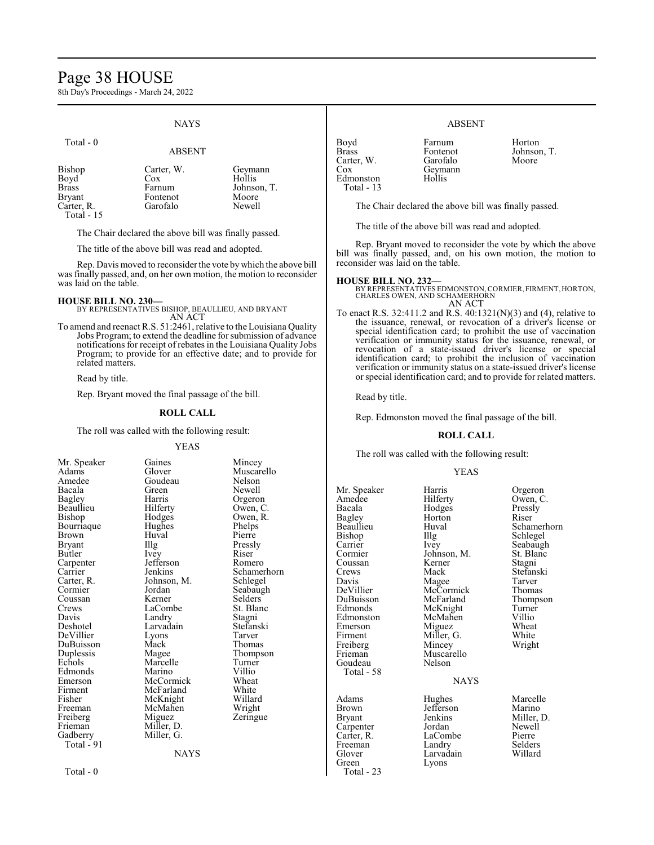### Page 38 HOUSE

8th Day's Proceedings - March 24, 2022

### **NAYS**

| Total - 0                                                                         | <b>ABSENT</b>                                       |                                                     |
|-----------------------------------------------------------------------------------|-----------------------------------------------------|-----------------------------------------------------|
| Bishop<br>Boyd <sup>-</sup><br><b>Brass</b><br>Bryant<br>Carter, R.<br>Total - 15 | Carter, W.<br>Cox<br>Farnum<br>Fontenot<br>Garofalo | Geymann<br>Hollis<br>Johnson, T.<br>Moore<br>Newell |

The Chair declared the above bill was finally passed.

The title of the above bill was read and adopted.

Rep. Davis moved to reconsider the vote by which the above bill was finally passed, and, on her own motion, the motion to reconsider was laid on the table.

#### **HOUSE BILL NO. 230—**

BY REPRESENTATIVES BISHOP, BEAULLIEU, AND BRYANT AN ACT

To amend and reenact R.S. 51:2461, relative to the Louisiana Quality Jobs Program; to extend the deadline for submission of advance notifications for receipt of rebates in the Louisiana Quality Jobs Program; to provide for an effective date; and to provide for related matters.

Read by title.

Rep. Bryant moved the final passage of the

#### **ROLL CALL**

The roll was called with the following result

#### YEAS

| Mr. Speaker | Gaines      | Mincey      |
|-------------|-------------|-------------|
| Adams       | Glover      | Muscarello  |
| Amedee      | Goudeau     | Nelson      |
| Bacala      | Green       | Newell      |
| Bagley      | Harris      | Orgeron     |
| Beaullieu   | Hilferty    | Owen, C.    |
| Bishop      | Hodges      | Owen, R.    |
| Bourriaque  | Hughes      | Phelps      |
| Brown       | Huval       | Pierre      |
| Bryant      | Illg        | Pressly     |
| Butler      | Ivey        | Riser       |
| Carpenter   | Jefferson   | Romero      |
| Carrier     | Jenkins     | Schamerhorn |
| Carter, R.  | Johnson, M. | Schlegel    |
| Cormier     | Jordan      | Seabaugh    |
| Coussan     | Kerner      | Selders     |
| Crews       | LaCombe     | St. Blanc   |
| Davis       | Landry      | Stagni      |
| Deshotel    | Larvadain   | Stefanski   |
| DeVillier   | Lyons       | Tarver      |
| DuBuisson   | Mack        | Thomas      |
| Duplessis   | Magee       | Thompson    |
| Echols      | Marcelle    | Turner      |
| Edmonds     | Marino      | Villio      |
| Emerson     | McCormick   | Wheat       |
| Firment     | McFarland   | White       |
| Fisher      | McKnight    | Willard     |
| Freeman     | McMahen     | Wright      |
| Freiberg    | Miguez      | Zeringue    |
| Frieman     | Miller, D.  |             |
| Gadberry    | Miller, G.  |             |
| Total - 91  |             |             |
|             | NAYS        |             |
|             |             |             |

Total - 0

| :he bill.                                                                                                                                                                                                                                                                         |
|-----------------------------------------------------------------------------------------------------------------------------------------------------------------------------------------------------------------------------------------------------------------------------------|
| :sult:                                                                                                                                                                                                                                                                            |
| Mincey<br>Muscarello<br>Nelson<br>Nelson<br>Newell<br>Orgeron<br>Owen, C.<br>Owen, R.<br>Phelps<br>Pierre<br>Pressly<br>Riser<br>Romero<br>Schamerhorn<br>Schlegel<br>Seabaugh<br>Selders<br>St. Blanc<br>Stagni<br>Stefanski<br>Tarver<br>Thomas<br>Thompson<br>Turner<br>Villio |
| Wheat<br>White<br>Willard                                                                                                                                                                                                                                                         |

#### ABSENT

| Boyd              |  |
|-------------------|--|
| Brass             |  |
| Carter, W.        |  |
| Cox               |  |
| Edmonston         |  |
| <b>Total - 13</b> |  |
|                   |  |

Farnum Horton<br>Fontenot Johnson Garofalo Geymann Hollis

Johnson, T.<br>Moore

The Chair declared the above bill was finally passed.

The title of the above bill was read and adopted.

Rep. Bryant moved to reconsider the vote by which the above bill was finally passed, and, on his own motion, the motion to reconsider was laid on the table.

#### **HOUSE BILL NO. 232—**

BY REPRESENTATIVES EDMONSTON,CORMIER, FIRMENT, HORTON, CHARLES OWEN, AND SCHAMERHORN AN ACT

To enact R.S. 32:411.2 and R.S. 40:1321(N)(3) and (4), relative to the issuance, renewal, or revocation of a driver's license or special identification card; to prohibit the use of vaccination verification or immunity status for the issuance, renewal, or revocation of a state-issued driver's license or special identification card; to prohibit the inclusion of vaccination verification or immunity status on a state-issued driver's license or special identification card; and to provide for related matters.

Read by title.

Rep. Edmonston moved the final passage of the bill.

#### **ROLL CALL**

The roll was called with the following result:

#### YEAS

| Mr. Speaker<br>Amedee<br>Bacala<br>Bagley<br>Beaullieu<br>Bishop<br>Carrier<br>Cormier<br>Coussan<br>Crews<br>Davis<br>DeVillier<br>DuBuisson<br>Edmonds<br>Edmonston<br>Emerson<br>Firment<br>Freiberg<br>Frieman<br>Goudeau | Harris<br>Hilferty<br>Hodges<br>Horton<br>Huval<br>Illg<br>Ivey<br>Johnson, M.<br>Kerner<br>Mack<br>Magee<br>McCormick<br>McFarland<br>McKnight<br>McMahen<br>Miguez<br>Miller, G.<br>Mincey<br>Muscarello<br>Nelson | Orgeron<br>Owen, C.<br>Pressly<br>Riser<br>Schamerhorn<br>Schlegel<br>Seabaugh<br>St. Blanc<br>Stagni<br>Stefanski<br>Tarver<br>Thomas<br>Thompson<br>Turner<br>Villio<br>Wheat<br>White<br>Wright |
|-------------------------------------------------------------------------------------------------------------------------------------------------------------------------------------------------------------------------------|----------------------------------------------------------------------------------------------------------------------------------------------------------------------------------------------------------------------|----------------------------------------------------------------------------------------------------------------------------------------------------------------------------------------------------|
| Total - 58                                                                                                                                                                                                                    | <b>NAYS</b>                                                                                                                                                                                                          |                                                                                                                                                                                                    |
| Adams<br>Brown<br>Bryant<br>Carpenter<br>Carter, R.<br>Freeman<br>Glover<br>Green<br>Total - 23                                                                                                                               | Hughes<br>Jefferson<br>Jenkins<br>Jordan<br>LaCombe<br>Landry<br>Larvadain<br>Lyons                                                                                                                                  | Marcelle<br>Marino<br>Miller, D.<br>Newell<br>Pierre<br>Selders<br>Willard                                                                                                                         |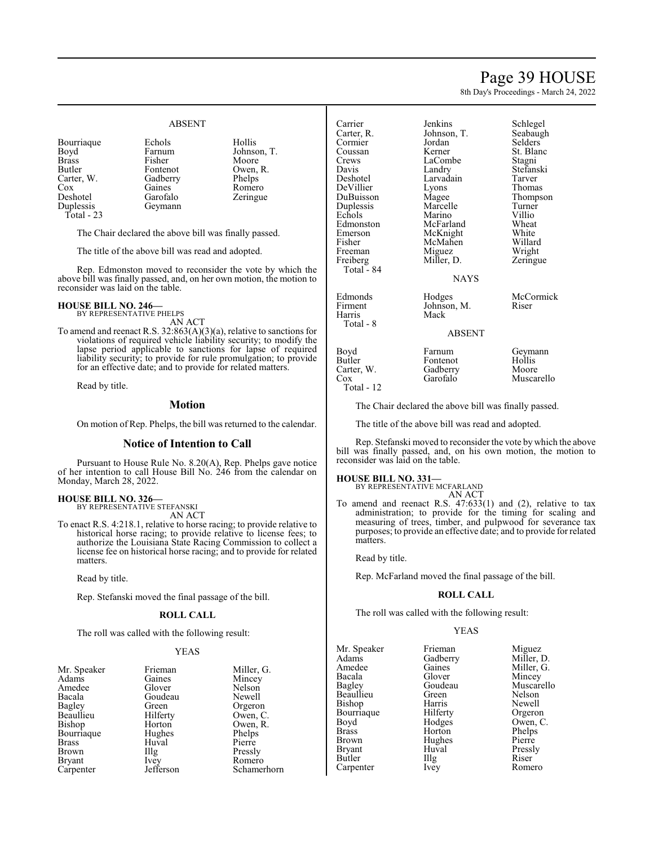### Page 39 HOUSE

8th Day's Proceedings - March 24, 2022

#### ABSENT

Deshotel<br>Duplessis

Bourriaque Echols Hollis<br>Boyd Farnum Johnso Boyd Farnum Johnson, T.<br>Brass Fisher Moore Moore Brass Fisher Moore Butler Fontenot Owen, R. Carter, W. Gadberry Phelps Carter, W. Gadberry Phelps<br>Cox Gaines Romer Gaines Romero<br>Garofalo Zeringue

Total - 23

The Chair declared the above bill was finally passed.

The title of the above bill was read and adopted.

Geymann

Rep. Edmonston moved to reconsider the vote by which the above bill was finally passed, and, on her own motion, the motion to reconsider was laid on the table.

### **HOUSE BILL NO. 246—** BY REPRESENTATIVE PHELPS

AN ACT

To amend and reenact R.S. 32:863(A)(3)(a), relative to sanctions for violations of required vehicle liability security; to modify the lapse period applicable to sanctions for lapse of required liability security; to provide for rule promulgation; to provide for an effective date; and to provide for related matters.

Read by title.

#### **Motion**

On motion of Rep. Phelps, the bill was returned to the calendar.

#### **Notice of Intention to Call**

Pursuant to House Rule No. 8.20(A), Rep. Phelps gave notice of her intention to call House Bill No. 246 from the calendar on Monday, March 28, 2022.

#### **HOUSE BILL NO. 326—** BY REPRESENTATIVE STEFANSKI

AN ACT

To enact R.S. 4:218.1, relative to horse racing; to provide relative to historical horse racing; to provide relative to license fees; to authorize the Louisiana State Racing Commission to collect a license fee on historical horse racing; and to provide for related matters.

Read by title.

Rep. Stefanski moved the final passage of the bill.

#### **ROLL CALL**

The roll was called with the following result:

#### YEAS

| Mr. Speaker   | Frieman           | Millei       |
|---------------|-------------------|--------------|
| Adams         | Gaines            | Mince        |
| Amedee        | Glover            | <b>Nelso</b> |
| Bacala        | Goudeau           | Newe         |
| Bagley        | Green             | Orger        |
| Beaullieu     | Hilferty          | Owen         |
| Bishop        | Horton            | Owen         |
| Bourriaque    | Hughes            | Phelp        |
| <b>Brass</b>  | Huval             | Pierre       |
| <b>Brown</b>  | $\prod_{i=1}^{n}$ | Pressl       |
| <b>Bryant</b> | Ivey              | Rome         |
| Carpenter     | Jefferson         | Schan        |
|               |                   |              |

Miller, G. Mincey Nelson Newell Orgeron Owen, C. Owen, R. Phelps<br>Pierre Pressly Romero Schamerhorn

| Jenkins     | Schlegel                                                   |
|-------------|------------------------------------------------------------|
|             | Seabaugh                                                   |
| Jordan      | <b>Selders</b>                                             |
| Kerner      | St. Blanc                                                  |
| LaCombe     | Stagni                                                     |
| Landry      | Stefanski                                                  |
| Larvadain   | Tarver                                                     |
| Lyons       | Thomas                                                     |
| Magee       | Thompson                                                   |
| Marcelle    | Turner                                                     |
| Marino      | Villio                                                     |
| McFarland   | Wheat                                                      |
|             | White                                                      |
|             | Willard                                                    |
|             | Wright                                                     |
|             | Zeringue                                                   |
|             |                                                            |
| NAYS        |                                                            |
| Hodges      | McCormick                                                  |
| Johnson, M. | Riser                                                      |
| Mack        |                                                            |
|             |                                                            |
|             | Johnson, T.<br>McKnight<br>McMahen<br>Miguez<br>Miller, D. |

### Miller, D. Zeringue **NAYS**

#### ABSENT

Carter, W. Gadberry<br>Cox Garofalo Total - 12

Boyd Farnum Geymann<br>Butler Fontenot Hollis Fontenot Hollis<br>Gadberry Moore Muscarello

The Chair declared the above bill was finally passed.

The title of the above bill was read and adopted.

Rep. Stefanski moved to reconsider the vote by which the above bill was finally passed, and, on his own motion, the motion to reconsider was laid on the table.

#### **HOUSE BILL NO. 331—**

BY REPRESENTATIVE MCFARLAND AN ACT

To amend and reenact R.S. 47:633(1) and (2), relative to tax administration; to provide for the timing for scaling and measuring of trees, timber, and pulpwood for severance tax purposes; to provide an effective date; and to provide for related matters.

Read by title.

Rep. McFarland moved the final passage of the bill.

#### **ROLL CALL**

The roll was called with the following result:

#### YEAS

| Mr. Speaker   | Frieman  | Miguez     |
|---------------|----------|------------|
| Adams         | Gadberry | Miller, D. |
| Amedee        | Gaines   | Miller, G. |
| Bacala        | Glover   | Mincey     |
| Bagley        | Goudeau  | Muscarello |
| Beaullieu     | Green    | Nelson     |
| Bishop        | Harris   | Newell     |
| Bourriaque    | Hilferty | Orgeron    |
| Boyd          | Hodges   | Owen, C.   |
| <b>Brass</b>  | Horton   | Phelps     |
| <b>Brown</b>  | Hughes   | Pierre     |
| <b>Bryant</b> | Huval    | Pressly    |
| Butler        | Illg     | Riser      |
| Carpenter     | Ivey     | Romero     |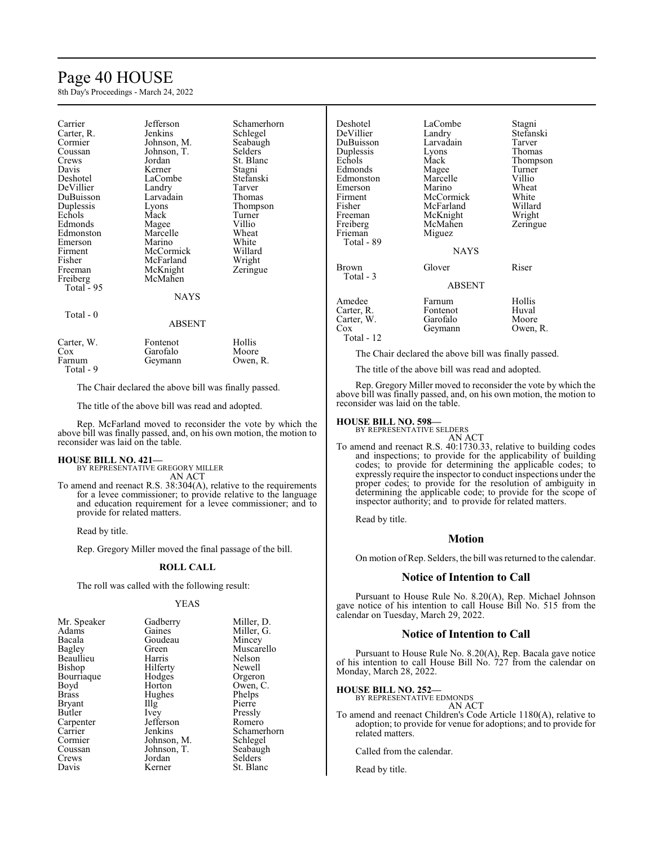### Page 40 HOUSE

8th Day's Proceedings - March 24, 2022

| Carrier    | Jefferson   | Schamerhorn |
|------------|-------------|-------------|
| Carter, R. | Jenkins     | Schlegel    |
| Cormier    | Johnson, M. | Seabaugh    |
| Coussan    | Johnson, T. | Selders     |
| Crews      | Jordan      | St. Blanc   |
| Davis      | Kerner      | Stagni      |
| Deshotel   | LaCombe     | Stefanski   |
| DeVillier  | Landry      | Tarver      |
| DuBuisson  | Larvadain   | Thomas      |
| Duplessis  | Lyons       | Thompson    |
| Echols     | Mack        | Turner      |
| Edmonds    | Magee       | Villio      |
| Edmonston  | Marcelle    | Wheat       |
| Emerson    | Marino      | White       |
| Firment    | McCormick   | Willard     |
| Fisher     | McFarland   | Wright      |
| Freeman    | McKnight    | Zeringue    |
| Freiberg   | McMahen     |             |
| Total - 95 |             |             |
|            | NAYS        |             |
|            |             |             |
| Total - 0  |             |             |
|            | ABSENT      |             |
|            |             |             |
| Carter, W. | Fontenot    | Hollis      |
| Cox        | Garofalo    | Moore       |
| Farnum     | Gevmann     | Owen, R.    |

Total - 9

The Chair declared the above bill was finally passed.

The title of the above bill was read and adopted.

Rep. McFarland moved to reconsider the vote by which the above bill was finally passed, and, on his own motion, the motion to reconsider was laid on the table.

#### **HOUSE BILL NO. 421—**

BY REPRESENTATIVE GREGORY MILLER AN ACT

To amend and reenact R.S. 38:304(A), relative to the requirements for a levee commissioner; to provide relative to the language and education requirement for a levee commissioner; and to provide for related matters.

Read by title.

Rep. Gregory Miller moved the final passage of the bill.

#### **ROLL CALL**

The roll was called with the following result:

#### YEAS

| Mr. Speaker  | Gadberry          | Miller, D.  |
|--------------|-------------------|-------------|
| Adams        | Gaines            | Miller, G.  |
| Bacala       | Goudeau           | Mincey      |
| Bagley       | Green             | Muscarello  |
| Beaullieu    | Harris            | Nelson      |
| Bishop       | Hilferty          | Newell      |
| Bourriaque   | Hodges            | Orgeron     |
| Boyd         | Horton            | Owen, C.    |
| <b>Brass</b> | Hughes            | Phelps      |
| Bryant       | $\prod_{i=1}^{n}$ | Pierre      |
| Butler       | Ivey              | Pressly     |
| Carpenter    | Jefferson         | Romero      |
| Carrier      | Jenkins           | Schamerhorn |
| Cormier      | Johnson, M.       | Schlegel    |
| Coussan      | Johnson, T.       | Seabaugh    |
| Crews        | Jordan            | Selders     |
| Davis        | Kerner            | St. Blanc   |

| Deshotel<br>DeVillier<br>DuBuisson<br>Duplessis<br>Echols<br>Edmonds<br>Edmonston<br>Emerson<br>Firment<br>Fisher<br>Freeman<br>Freiberg<br>Frieman<br>Total - 89 | LaCombe<br>Landry<br>Larvadain<br>Lyons<br>Mack<br>Magee<br>Marcelle<br>Marino<br>McCormick<br>McFarland<br>McKnight<br>McMahen<br>Miguez<br><b>NAYS</b> | Stagni<br>Stefanski<br>Tarver<br>Thomas<br>Thompson<br>Turner<br>Villio<br>Wheat<br>White<br>Willard<br>Wright<br>Zeringue |
|-------------------------------------------------------------------------------------------------------------------------------------------------------------------|----------------------------------------------------------------------------------------------------------------------------------------------------------|----------------------------------------------------------------------------------------------------------------------------|
| Brown<br>Total - 3                                                                                                                                                | Glover<br><b>ABSENT</b>                                                                                                                                  | Riser                                                                                                                      |
| Amedee<br>Carter, R.<br>Carter, W.<br>Cox<br>Total - 12                                                                                                           | Farnum<br>Fontenot<br>Garofalo<br>Geymann                                                                                                                | Hollis<br>Huval<br>Moore<br>Owen, R.                                                                                       |

The Chair declared the above bill was finally passed.

The title of the above bill was read and adopted.

Rep. Gregory Miller moved to reconsider the vote by which the above bill was finally passed, and, on his own motion, the motion to reconsider was laid on the table.

### **HOUSE BILL NO. 598—** BY REPRESENTATIVE SELDERS

AN ACT To amend and reenact R.S. 40:1730.33, relative to building codes and inspections; to provide for the applicability of building codes; to provide for determining the applicable codes; to expressly require the inspector to conduct inspections under the proper codes; to provide for the resolution of ambiguity in determining the applicable code; to provide for the scope of inspector authority; and to provide for related matters.

Read by title.

#### **Motion**

On motion ofRep. Selders, the bill was returned to the calendar.

#### **Notice of Intention to Call**

Pursuant to House Rule No. 8.20(A), Rep. Michael Johnson gave notice of his intention to call House Bill No. 515 from the calendar on Tuesday, March 29, 2022.

#### **Notice of Intention to Call**

Pursuant to House Rule No. 8.20(A), Rep. Bacala gave notice of his intention to call House Bill No. 727 from the calendar on Monday, March 28, 2022.

**HOUSE BILL NO. 252—**

BY REPRESENTATIVE EDMONDS AN ACT

To amend and reenact Children's Code Article 1180(A), relative to adoption; to provide for venue for adoptions; and to provide for related matters.

Called from the calendar.

Read by title.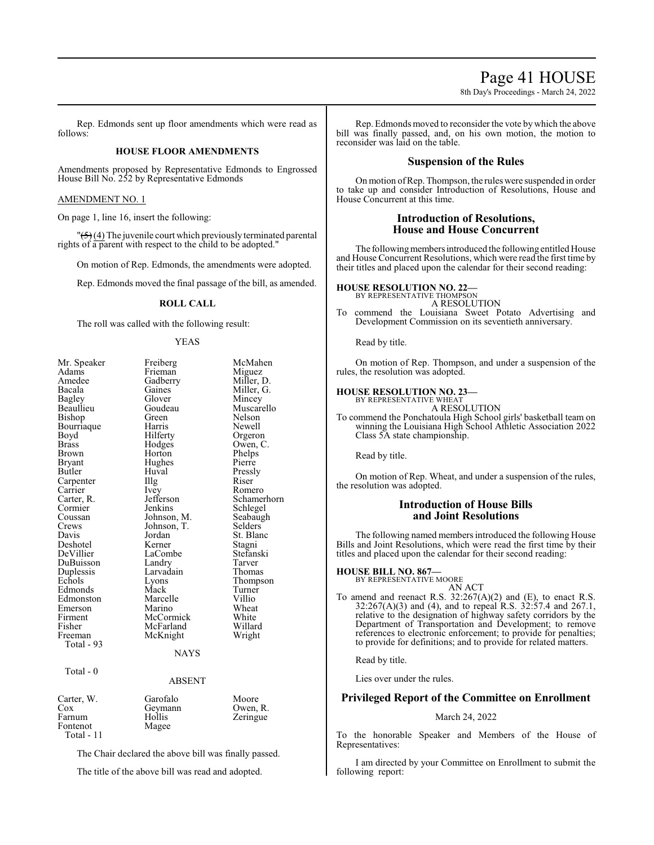### Page 41 HOUSE

8th Day's Proceedings - March 24, 2022

Rep. Edmonds sent up floor amendments which were read as follows:

#### **HOUSE FLOOR AMENDMENTS**

Amendments proposed by Representative Edmonds to Engrossed House Bill No. 252 by Representative Edmonds

#### AMENDMENT NO. 1

On page 1, line 16, insert the following:

 $\sqrt{5}$  (4) The juvenile court which previously terminated parental rights of a parent with respect to the child to be adopted."

On motion of Rep. Edmonds, the amendments were adopted.

Rep. Edmonds moved the final passage of the bill, as amended.

#### **ROLL CALL**

The roll was called with the following result:

#### YEAS

| Mr. Speaker   | Freiberg      | McMahen     |
|---------------|---------------|-------------|
| Adams         | Frieman       | Miguez      |
| Amedee        | Gadberry      | Miller, D.  |
| Bacala        | Gaines        | Miller, G.  |
| Bagley        | Glover        | Mincey      |
| Beaullieu     | Goudeau       | Muscarello  |
| Bishop        | Green         | Nelson      |
| Bourriaque    | Harris        | Newell      |
| Boyd          | Hilferty      | Orgeron     |
| <b>Brass</b>  | Hodges        | Owen, C.    |
| Brown         | Horton        | Phelps      |
| <b>Bryant</b> | Hughes        | Pierre      |
| Butler        | Huval         | Pressly     |
| Carpenter     | Illg          | Riser       |
| Carrier       | <i>lvey</i>   | Romero      |
| Carter, R.    | Jefferson     | Schamerhorn |
| Cormier       | Jenkins       | Schlegel    |
| Coussan       | Johnson, M.   | Seabaugh    |
| Crews         | Johnson, T.   | Selders     |
| Davis         | Jordan        | St. Blanc   |
| Deshotel      | Kerner        | Stagni      |
| DeVillier     | LaCombe       | Stefanski   |
| DuBuisson     | Landry        | Tarver      |
| Duplessis     | Larvadain     | Thomas      |
| Echols        | Lyons         | Thompson    |
| Edmonds       | Mack          | Turner      |
| Edmonston     | Marcelle      | Villio      |
| Emerson       | Marino        | Wheat       |
| Firment       | McCormick     | White       |
| Fisher        | McFarland     | Willard     |
| Freeman       | McKnight      | Wright      |
| Total - 93    |               |             |
|               | NAYS          |             |
| Total - 0     |               |             |
|               | <b>ABSENT</b> |             |
| Carter, W.    | Garofalo      | Moore       |
| Cox           | Geymann       | Owen, R.    |
|               |               |             |

Farnum Hollis Zeringue<br>Fontenot Magee Fontenot Total - 11

The Chair declared the above bill was finally passed.

The title of the above bill was read and adopted.

Rep. Edmonds moved to reconsider the vote by which the above bill was finally passed, and, on his own motion, the motion to reconsider was laid on the table.

#### **Suspension of the Rules**

On motion ofRep. Thompson, the rules were suspended in order to take up and consider Introduction of Resolutions, House and House Concurrent at this time.

#### **Introduction of Resolutions, House and House Concurrent**

The following members introduced the following entitled House and House Concurrent Resolutions, which were read the first time by their titles and placed upon the calendar for their second reading:

#### **HOUSE RESOLUTION NO. 22—**

BY REPRESENTATIVE THOMPSON A RESOLUTION

To commend the Louisiana Sweet Potato Advertising and Development Commission on its seventieth anniversary.

Read by title.

On motion of Rep. Thompson, and under a suspension of the rules, the resolution was adopted.

#### **HOUSE RESOLUTION NO. 23—** BY REPRESENTATIVE WHEAT

A RESOLUTION

To commend the Ponchatoula High School girls' basketball team on winning the Louisiana High School Athletic Association 2022 Class 5A state championship.

Read by title.

On motion of Rep. Wheat, and under a suspension of the rules, the resolution was adopted.

#### **Introduction of House Bills and Joint Resolutions**

The following named members introduced the following House Bills and Joint Resolutions, which were read the first time by their titles and placed upon the calendar for their second reading:

#### **HOUSE BILL NO. 867—**

BY REPRESENTATIVE MOORE AN ACT

To amend and reenact R.S.  $32:267(A)(2)$  and (E), to enact R.S.  $32:267(A)(3)$  and (4), and to repeal R.S.  $32:57.4$  and  $267.1$ , relative to the designation of highway safety corridors by the Department of Transportation and Development; to remove references to electronic enforcement; to provide for penalties; to provide for definitions; and to provide for related matters.

Read by title.

Lies over under the rules.

### **Privileged Report of the Committee on Enrollment**

#### March 24, 2022

To the honorable Speaker and Members of the House of Representatives:

I am directed by your Committee on Enrollment to submit the following report: